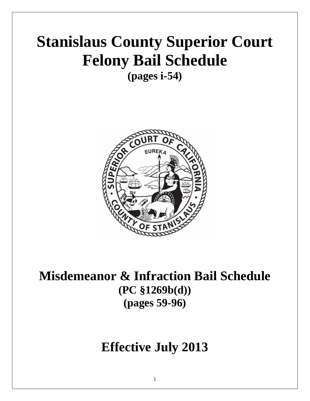# **Stanislaus County Superior Court Felony Bail Schedule**

**(pages i-54)** 



**Misdemeanor & Infraction Bail Schedule (PC §1269b(d)) (pages 59-96)** 

## **Effective July 2013**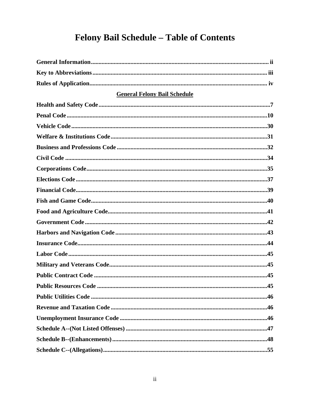### Felony Bail Schedule - Table of Contents

| <b>General Felony Bail Schedule</b> |    |
|-------------------------------------|----|
|                                     |    |
|                                     |    |
|                                     |    |
|                                     |    |
|                                     |    |
|                                     |    |
|                                     |    |
|                                     |    |
|                                     |    |
|                                     |    |
|                                     |    |
|                                     |    |
|                                     |    |
|                                     |    |
|                                     |    |
|                                     |    |
|                                     |    |
|                                     | 45 |
|                                     |    |
|                                     |    |
|                                     |    |
|                                     |    |
|                                     |    |
|                                     |    |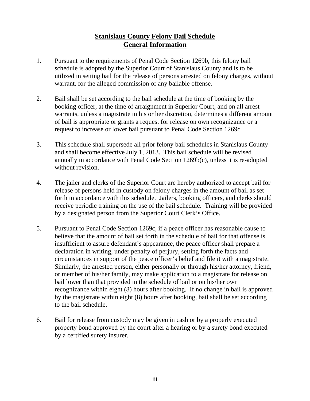#### **Stanislaus County Felony Bail Schedule General Information**

- 1. Pursuant to the requirements of Penal Code Section 1269b, this felony bail schedule is adopted by the Superior Court of Stanislaus County and is to be utilized in setting bail for the release of persons arrested on felony charges, without warrant, for the alleged commission of any bailable offense.
- 2. Bail shall be set according to the bail schedule at the time of booking by the booking officer, at the time of arraignment in Superior Court, and on all arrest warrants, unless a magistrate in his or her discretion, determines a different amount of bail is appropriate or grants a request for release on own recognizance or a request to increase or lower bail pursuant to Penal Code Section 1269c.
- 3. This schedule shall supersede all prior felony bail schedules in Stanislaus County and shall become effective July 1, 2013. This bail schedule will be revised annually in accordance with Penal Code Section 1269b(c), unless it is re-adopted without revision.
- 4. The jailer and clerks of the Superior Court are hereby authorized to accept bail for release of persons held in custody on felony charges in the amount of bail as set forth in accordance with this schedule. Jailers, booking officers, and clerks should receive periodic training on the use of the bail schedule. Training will be provided by a designated person from the Superior Court Clerk's Office.
- 5. Pursuant to Penal Code Section 1269c, if a peace officer has reasonable cause to believe that the amount of bail set forth in the schedule of bail for that offense is insufficient to assure defendant's appearance, the peace officer shall prepare a declaration in writing, under penalty of perjury, setting forth the facts and circumstances in support of the peace officer's belief and file it with a magistrate. Similarly, the arrested person, either personally or through his/her attorney, friend, or member of his/her family, may make application to a magistrate for release on bail lower than that provided in the schedule of bail or on his/her own recognizance within eight (8) hours after booking. If no change in bail is approved by the magistrate within eight (8) hours after booking, bail shall be set according to the bail schedule.
- 6. Bail for release from custody may be given in cash or by a properly executed property bond approved by the court after a hearing or by a surety bond executed by a certified surety insurer.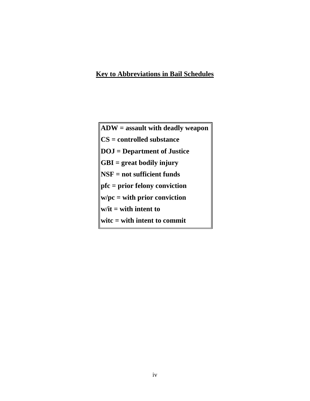#### **Key to Abbreviations in Bail Schedules**

| $\ ADW =$ assault with deadly weapon                                       |
|----------------------------------------------------------------------------|
| $\  \textbf{CS} = \textbf{controlled} \text{ substance}$                   |
| $\ $ DOJ = Department of Justice                                           |
| $\ \mathbf{GBI} = \text{great}$ bodily injury                              |
| $\mathbf{NSF} = \mathbf{not}$ sufficient funds                             |
| $\ $ pfc = prior felony conviction                                         |
| $\mathbf{w}/\mathbf{pc} = \mathbf{with} \mathbf{prior} \text{ convection}$ |
| $\mathbf{w}/\mathbf{it} = \mathbf{with} \mathbf{int} \mathbf{to}$          |
| $\textbf{write} = \textbf{with}$ intent to commit                          |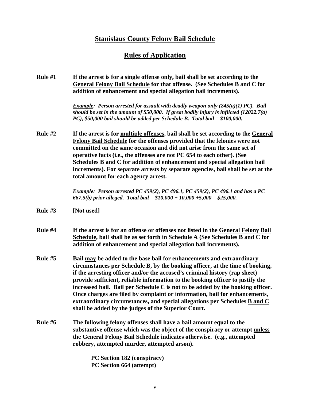#### **Stanislaus County Felony Bail Schedule**

#### **Rules of Application**

| Rule $#1$ | If the arrest is for a single offense only, bail shall be set according to the<br>General Felony Bail Schedule for that offense. (See Schedules B and C for<br>addition of enhancement and special allegation bail increments).                                                                                                                                                                                                                                                                                                                                                                                                    |
|-----------|------------------------------------------------------------------------------------------------------------------------------------------------------------------------------------------------------------------------------------------------------------------------------------------------------------------------------------------------------------------------------------------------------------------------------------------------------------------------------------------------------------------------------------------------------------------------------------------------------------------------------------|
|           | <i>Example: Person arrested for assault with deadly weapon only <math>(245(a)(1) PC)</math>. Bail</i><br>should be set in the amount of \$50,000. If great bodily injury is inflicted $(12022.7(a)$<br>PC), \$50,000 bail should be added per Schedule B. Total bail = $$100,000$ .                                                                                                                                                                                                                                                                                                                                                |
| Rule $#2$ | If the arrest is for multiple offenses, bail shall be set according to the General<br>Felony Bail Schedule for the offenses provided that the felonies were not<br>committed on the same occasion and did not arise from the same set of<br>operative facts (i.e., the offenses are not PC 654 to each other). (See<br>Schedules B and C for addition of enhancement and special allegation bail<br>increments). For separate arrests by separate agencies, bail shall be set at the<br>total amount for each agency arrest.                                                                                                       |
|           | Example: Person arrested PC 459(2), PC 496.1, PC 459(2), PC 496.1 and has a PC<br>667.5(b) prior alleged. Total bail = $$10,000 + 10,000 + 5,000 = $25,000$ .                                                                                                                                                                                                                                                                                                                                                                                                                                                                      |
| Rule $#3$ | [Not used]                                                                                                                                                                                                                                                                                                                                                                                                                                                                                                                                                                                                                         |
| Rule #4   | If the arrest is for an offense or offenses not listed in the General Felony Bail<br>Schedule, bail shall be as set forth in Schedule A (See Schedules B and C for<br>addition of enhancement and special allegation bail increments).                                                                                                                                                                                                                                                                                                                                                                                             |
| Rule #5   | Bail may be added to the base bail for enhancements and extraordinary<br>circumstances per Schedule B, by the booking officer, at the time of booking,<br>if the arresting officer and/or the accused's criminal history (rap sheet)<br>provide sufficient, reliable information to the booking officer to justify the<br>increased bail. Bail per Schedule C is not to be added by the booking officer.<br>Once charges are filed by complaint or information, bail for enhancements,<br>extraordinary circumstances, and special allegations per Schedules <b>B</b> and C<br>shall be added by the judges of the Superior Court. |
| Rule #6   | The following felony offenses shall have a bail amount equal to the<br>substantive offense which was the object of the conspiracy or attempt unless<br>the General Felony Bail Schedule indicates otherwise. (e.g., attempted<br>robbery, attempted murder, attempted arson).                                                                                                                                                                                                                                                                                                                                                      |
|           | PC Section 182 (conspiracy)                                                                                                                                                                                                                                                                                                                                                                                                                                                                                                                                                                                                        |

**PC Section 664 (attempt)**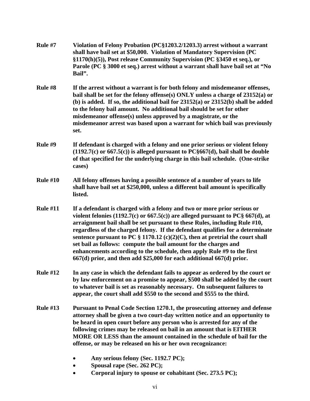| Rule #7         | Violation of Felony Probation (PC§1203.2/1203.3) arrest without a warrant<br>shall have bail set at \$50,000. Violation of Mandatory Supervision (PC<br>§1170(h)(5)), Post release Community Supervision (PC §3450 et seq.), or<br>Parole (PC § 3000 et seq.) arrest without a warrant shall have bail set at "No<br>Bail".                                                                                                                                                                                                                                                                                                                       |
|-----------------|---------------------------------------------------------------------------------------------------------------------------------------------------------------------------------------------------------------------------------------------------------------------------------------------------------------------------------------------------------------------------------------------------------------------------------------------------------------------------------------------------------------------------------------------------------------------------------------------------------------------------------------------------|
| Rule #8         | If the arrest without a warrant is for both felony and misdemeanor offenses,<br>bail shall be set for the felony offense(s) ONLY unless a charge of 23152(a) or<br>(b) is added. If so, the additional bail for $23152(a)$ or $23152(b)$ shall be added<br>to the felony bail amount. No additional bail should be set for other<br>misdemeanor offense(s) unless approved by a magistrate, or the<br>misdemeanor arrest was based upon a warrant for which bail was previously<br>set.                                                                                                                                                           |
| Rule #9         | If defendant is charged with a felony and one prior serious or violent felony<br>$(1192.7(c)$ or 667.5(c)) is alleged pursuant to PC§667(d), bail shall be double<br>of that specified for the underlying charge in this bail schedule. (One-strike<br>cases)                                                                                                                                                                                                                                                                                                                                                                                     |
| <b>Rule #10</b> | All felony offenses having a possible sentence of a number of years to life<br>shall have bail set at \$250,000, unless a different bail amount is specifically<br>listed.                                                                                                                                                                                                                                                                                                                                                                                                                                                                        |
| <b>Rule #11</b> | If a defendant is charged with a felony and two or more prior serious or<br>violent felonies (1192.7(c) or $667.5(c)$ ) are alleged pursuant to PC§ $667(d)$ , at<br>arraignment bail shall be set pursuant to these Rules, including Rule #10,<br>regardless of the charged felony. If the defendant qualifies for a determinate<br>sentence pursuant to PC $\S 1170.12$ (c)(2)(C), then at pretrial the court shall<br>set bail as follows: compute the bail amount for the charges and<br>enhancements according to the schedule, then apply Rule #9 to the first<br>$667(d)$ prior, and then add \$25,000 for each additional $667(d)$ prior. |
| <b>Rule #12</b> | In any case in which the defendant fails to appear as ordered by the court or<br>by law enforcement on a promise to appear, \$500 shall be added by the court<br>to whatever bail is set as reasonably necessary. On subsequent failures to<br>appear, the court shall add \$550 to the second and \$555 to the third.                                                                                                                                                                                                                                                                                                                            |
| <b>Rule #13</b> | Pursuant to Penal Code Section 1270.1, the prosecuting attorney and defense<br>attorney shall be given a two court-day written notice and an opportunity to<br>be heard in open court before any person who is arrested for any of the<br>following crimes may be released on bail in an amount that is EITHER<br>MORE OR LESS than the amount contained in the schedule of bail for the<br>offense, or may be released on his or her own recognizance:                                                                                                                                                                                           |
|                 | Any serious felony (Sec. 1192.7 PC);                                                                                                                                                                                                                                                                                                                                                                                                                                                                                                                                                                                                              |
|                 | Spousal rape (Sec. 262 PC);                                                                                                                                                                                                                                                                                                                                                                                                                                                                                                                                                                                                                       |
|                 | Corporal injury to spouse or cohabitant (Sec. 273.5 PC);<br>$\bullet$                                                                                                                                                                                                                                                                                                                                                                                                                                                                                                                                                                             |

vi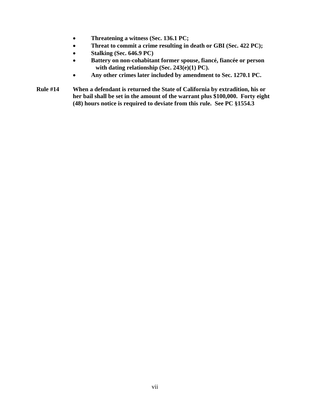- **Threatening a witness (Sec. 136.1 PC;**
- **Threat to commit a crime resulting in death or GBI (Sec. 422 PC);**
- **Stalking (Sec. 646.9 PC)**
- **Battery on non-cohabitant former spouse, fiancé, fiancée or person with dating relationship (Sec. 243(e)(1) PC).**
- **Any other crimes later included by amendment to Sec. 1270.1 PC.**
- **Rule #14 When a defendant is returned the State of California by extradition, his or her bail shall be set in the amount of the warrant plus \$100,000. Forty eight (48) hours notice is required to deviate from this rule. See PC §1554.3**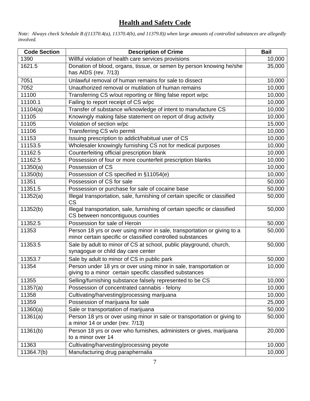#### **Health and Safety Code**

*Note: Always check Schedule B ((11370.4(a), 11370.4(b), and 11379.8)) when large amounts of controlled substances are allegedly involved.*

| <b>Code Section</b> | <b>Description of Crime</b>                                                                                                            | <b>Bail</b> |
|---------------------|----------------------------------------------------------------------------------------------------------------------------------------|-------------|
| 1390                | Willful violation of health care services provisions                                                                                   | 10,000      |
| 1621.5              | Donation of blood, organs, tissue, or semen by person knowing he/she<br>has AIDS (rev. 7/13)                                           | 35,000      |
| 7051                | Unlawful removal of human remains for sale to dissect                                                                                  | 10,000      |
| 7052                | Unauthorized removal or mutilation of human remains                                                                                    | 10,000      |
| 11100               | Transferring CS w/out reporting or filing false report w/pc                                                                            | 10,000      |
| 11100.1             | Failing to report receipt of CS w/pc                                                                                                   | 10,000      |
| 11104(a)            | Transfer of substance w/knowledge of intent to manufacture CS                                                                          | 10,000      |
| 11105               | Knowingly making false statement on report of drug activity                                                                            | 10,000      |
| 11105               | Violation of section w/pc                                                                                                              | 15,000      |
| 11106               | Transferring CS w/o permit                                                                                                             | 10,000      |
| 11153               | Issuing prescription to addict/habitual user of CS                                                                                     | 10,000      |
| 11153.5             | Wholesaler knowingly furnishing CS not for medical purposes                                                                            | 10,000      |
| 11162.5             | Counterfeiting official prescription blank                                                                                             | 10,000      |
| 11162.5             | Possession of four or more counterfeit prescription blanks                                                                             | 10,000      |
| 11350(a)            | Possession of CS                                                                                                                       | 10,000      |
| 11350(b)            | Possession of CS specified in §11054(e)                                                                                                | 10,000      |
| 11351               | Possession of CS for sale                                                                                                              | 50,000      |
| 11351.5             | Possession or purchase for sale of cocaine base                                                                                        | 50,000      |
| 11352(a)            | Illegal transportation, sale, furnishing of certain specific or classified<br><b>CS</b>                                                | 50,000      |
| 11352(b)            | Illegal transportation, sale, furnishing of certain specific or classified<br>CS between noncontiguous counties                        | 50,000      |
| 11352.5             | Possession for sale of Heroin                                                                                                          | 50,000      |
| 11353               | Person 18 yrs or over using minor in sale, transportation or giving to a<br>minor certain specific or classified controlled substances | 50,000      |
| 11353.5             | Sale by adult to minor of CS at school, public playground, church,<br>synagogue or child day care center                               | 50,000      |
| 11353.7             | Sale by adult to minor of CS in public park                                                                                            | 50,000      |
| 11354               | Person under 18 yrs or over using minor in sale, transportation or<br>giving to a minor certain specific classified substances         | 10,000      |
| 11355               | Selling/furnishing substance falsely represented to be CS                                                                              | 10,000      |
| 11357(a)            | Possession of concentrated cannabis - felony                                                                                           | 10,000      |
| 11358               | Cultivating/harvesting/processing marijuana                                                                                            | 10,000      |
| 11359               | Possession of marijuana for sale                                                                                                       | 25,000      |
| 11360(a)            | Sale or transportation of marijuana                                                                                                    | 50,000      |
| 11361(a)            | Person 18 yrs or over using minor in sale or transportation or giving to<br>a minor 14 or under (rev. 7/13)                            | 50,000      |
| 11361(b)            | Person 18 yrs or over who furnishes, administers or gives, marijuana<br>to a minor over 14                                             | 20,000      |
| 11363               | Cultivating/harvesting/processing peyote                                                                                               | 10,000      |
| 11364.7(b)          | Manufacturing drug paraphernalia                                                                                                       | 10,000      |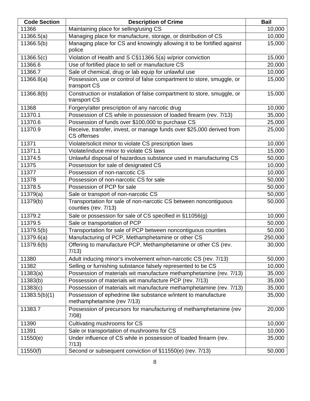| <b>Code Section</b> | <b>Description of Crime</b>                                                                  | <b>Bail</b> |
|---------------------|----------------------------------------------------------------------------------------------|-------------|
| 11366               | Maintaining place for selling/using CS                                                       | 10,000      |
| 11366.5(a)          | Managing place for manufacture, storage, or distribution of CS                               | 10,000      |
| 11366.5(b)          | Managing place for CS and knowingly allowing it to be fortified against<br>police            | 15,000      |
| 11366.5(c)          | Violation of Health and S C§11366.5(a) w/prior conviction                                    | 15,000      |
| 11366.6             | Use of fortified place to sell or manufacture CS                                             | 20,000      |
| 11366.7             | Sale of chemical, drug or lab equip for unlawful use                                         | 10,000      |
| 11366.8(a)          | Possession, use or control of false compartment to store, smuggle, or<br>transport CS        | 15,000      |
| 11366.8(b)          | Construction or installation of false compartment to store, smuggle, or<br>transport CS      | 15,000      |
| 11368               | Forgery/alter prescription of any narcotic drug                                              | 10,000      |
| 11370.1             | Possession of CS while in possession of loaded firearm (rev. 7/13)                           | 35,000      |
| 11370.6             | Possession of funds over \$100,000 to purchase CS                                            | 25,000      |
| 11370.9             | Receive, transfer, invest, or manage funds over \$25,000 derived from<br>CS offenses         | 25,000      |
| 11371               | Violate/solicit minor to violate CS prescription laws                                        | 10,000      |
| 11371.1             | Violate/induce minor to violate CS laws                                                      | 15,000      |
| 11374.5             | Unlawful disposal of hazardous substance used in manufacturing CS                            | 50,000      |
| 11375               | Possession for sale of designated CS                                                         | 10,000      |
| 11377               | Possession of non-narcotic CS                                                                | 10,000      |
| 11378               | Possession of non-narcotic CS for sale                                                       | 50,000      |
| 11378.5             | Possession of PCP for sale                                                                   | 50,000      |
| 11379(a)            | Sale or transport of non-narcotic CS                                                         | 50,000      |
| 11379(b)            | Transportation for sale of non-narcotic CS between noncontiguous<br>counties (rev. 7/13)     | 50,000      |
| 11379.2             | Sale or possession for sale of CS specified in §11056(g)                                     | 10,000      |
| 11379.5             | Sale or transportation of PCP                                                                | 50,000      |
| 11379.5(b)          | Transportation for sale of PCP between noncontiguous counties                                | 50,000      |
| 11379.6(a)          | Manufacturing of PCP, Methamphetamine or other CS                                            | 250,000     |
| 11379.6(b)          | Offering to manufacture PCP, Methamphetamine or other CS (rev.<br>7/13)                      | 30,000      |
| 11380               | Adult inducing minor's involvement w/non-narcotic CS (rev. 7/13)                             | 50,000      |
| 11382               | Selling or furnishing substance falsely represented to be CS                                 | 10,000      |
| 11383(a)            | Possession of materials wit manufacture methamphetamine (rev. 7/13)                          | 35,000      |
| 11383(b)            | Possession of materials wit manufacture PCP (rev. 7/13)                                      | 35,000      |
| 11383(c)            | Possession of materials wit manufacture methamphetamine (rev. 7/13)                          | 35,000      |
| 11383.5(b)(1)       | Possession of ephedrine like substance w/intent to manufacture<br>methamphetamine (rev 7/13) | 35,000      |
| 11383.7             | Possession of precursors for manufacturing of methamphetamine (rev<br>7/08                   | 20,000      |
| 11390               | Cultivating mushrooms for CS                                                                 | 10,000      |
| 11391               | Sale or transportation of mushrooms for CS                                                   | 10,000      |
| 11550(e)            | Under influence of CS while in possession of loaded firearm (rev.<br>7/13)                   | 35,000      |
| 11550(f)            | Second or subsequent conviction of §11550(e) (rev. 7/13)                                     | 50,000      |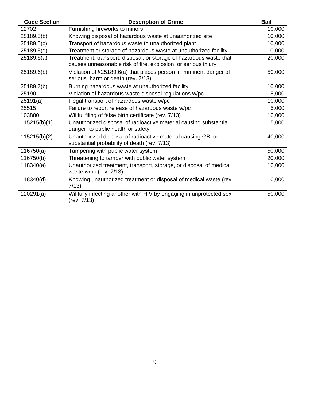| <b>Code Section</b> | <b>Description of Crime</b>                                                                                                          | <b>Bail</b> |
|---------------------|--------------------------------------------------------------------------------------------------------------------------------------|-------------|
| 12702               | Furnishing fireworks to minors                                                                                                       | 10,000      |
| 25189.5(b)          | Knowing disposal of hazardous waste at unauthorized site                                                                             | 10,000      |
| 25189.5(c)          | Transport of hazardous waste to unauthorized plant                                                                                   | 10,000      |
| 25189.5(d)          | Treatment or storage of hazardous waste at unauthorized facility                                                                     | 10,000      |
| 25189.6(a)          | Treatment, transport, disposal, or storage of hazardous waste that<br>causes unreasonable risk of fire, explosion, or serious injury | 20,000      |
| 25189.6(b)          | Violation of §25189.6(a) that places person in imminent danger of<br>serious harm or death (rev. 7/13)                               | 50,000      |
| 25189.7(b)          | Burning hazardous waste at unauthorized facility                                                                                     | 10,000      |
| 25190               | Violation of hazardous waste disposal regulations w/pc                                                                               | 5,000       |
| 25191(a)            | Illegal transport of hazardous waste w/pc                                                                                            | 10,000      |
| 25515               | Failure to report release of hazardous waste w/pc                                                                                    | 5,000       |
| 103800              | Willful filing of false birth certificate (rev. 7/13)                                                                                | 10,000      |
| 115215(b)(1)        | Unauthorized disposal of radioactive material causing substantial<br>danger to public health or safety                               | 15,000      |
| 115215(b)(2)        | Unauthorized disposal of radioactive material causing GBI or<br>substantial probability of death (rev. 7/13)                         | 40,000      |
| 116750(a)           | Tampering with public water system                                                                                                   | 50,000      |
| 116750(b)           | Threatening to tamper with public water system                                                                                       | 20,000      |
| 118340(a)           | Unauthorized treatment, transport, storage, or disposal of medical<br>waste w/pc (rev. 7/13)                                         | 10,000      |
| 118340(d)           | Knowing unauthorized treatment or disposal of medical waste (rev.<br>7/13)                                                           | 10,000      |
| 120291(a)           | Willfully infecting another with HIV by engaging in unprotected sex<br>(rev. 7/13)                                                   | 50,000      |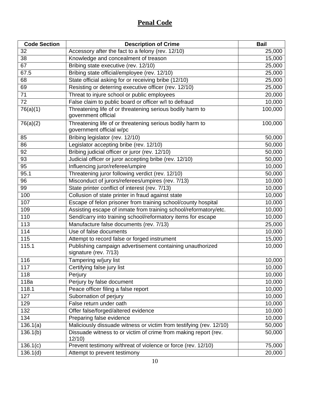#### **Penal Code**

| <b>Code Section</b> | <b>Description of Crime</b>                                                           | <b>Bail</b> |
|---------------------|---------------------------------------------------------------------------------------|-------------|
| 32                  | Accessory after the fact to a felony (rev. 12/10)                                     | 25,000      |
| 38                  | Knowledge and concealment of treason                                                  | 15,000      |
| 67                  | Bribing state executive (rev. 12/10)                                                  | 25,000      |
| 67.5                | Bribing state official/employee (rev. 12/10)                                          | 25,000      |
| 68                  | State official asking for or receiving bribe (12/10)                                  | 25,000      |
| 69                  | Resisting or deterring executive officer (rev. 12/10)                                 | 25,000      |
| 71                  | Threat to injure school or public employees                                           | 20,000      |
| $\overline{72}$     | False claim to public board or officer w/l to defraud                                 | 10,000      |
| 76(a)(1)            | Threatening life of or threatening serious bodily harm to<br>government official      | 100,000     |
| 76(a)(2)            | Threatening life of or threatening serious bodily harm to<br>government official w/pc | 100,000     |
| 85                  | Bribing legislator (rev. 12/10)                                                       | 50,000      |
| 86                  | Legislator accepting bribe (rev. 12/10)                                               | 50,000      |
| 92                  | Bribing judicial officer or juror (rev. 12/10)                                        | 50,000      |
| 93                  | Judicial officer or juror accepting bribe (rev. 12/10)                                | 50,000      |
| 95                  | Influencing juror/referee/umpire                                                      | 10,000      |
| 95.1                | Threatening juror following verdict (rev. 12/10)                                      | 50,000      |
| 96                  | Misconduct of jurors/referees/umpires (rev. 7/13)                                     | 10,000      |
| 99                  | State printer conflict of interest (rev. 7/13)                                        | 10,000      |
| 100                 | Collusion of state printer in fraud against state                                     | 10,000      |
| 107                 | Escape of felon prisoner from training school/county hospital                         | 10,000      |
| 109                 | Assisting escape of inmate from training school/reformatory/etc.                      | 10,000      |
| 110                 | Send/carry into training school/reformatory items for escape                          | 10,000      |
| 113                 | Manufacture false documents (rev. 7/13)                                               | 25,000      |
| 114                 | Use of false documents                                                                | 10,000      |
| 115                 | Attempt to record false or forged instrument                                          | 15,000      |
| 115.1               | Publishing campaign advertisement containing unauthorized<br>signature (rev. 7/13)    | 10,000      |
| 116                 | Tampering w/jury list                                                                 | 10,000      |
| $\overline{117}$    | Certifying false jury list                                                            | 10,000      |
| 118                 | Perjury                                                                               | 10,000      |
| 118a                | Perjury by false document                                                             | 10,000      |
| 118.1               | Peace officer filing a false report                                                   | 10,000      |
| 127                 | Subornation of perjury                                                                | 10,000      |
| 129                 | False return under oath                                                               | 10,000      |
| 132                 | Offer false/forged/altered evidence                                                   | 10,000      |
| 134                 | Preparing false evidence                                                              | 10,000      |
| 136.1(a)            | Maliciously dissuade witness or victim from testifying (rev. 12/10)                   | 50,000      |
| 136.1(b)            | Dissuade witness to or victim of crime from making report (rev.<br>12/10              | 50,000      |
| 136.1(c)            | Prevent testimony w/threat of violence or force (rev. 12/10)                          | 75,000      |
| 136.1(d)            | Attempt to prevent testimony                                                          | 20,000      |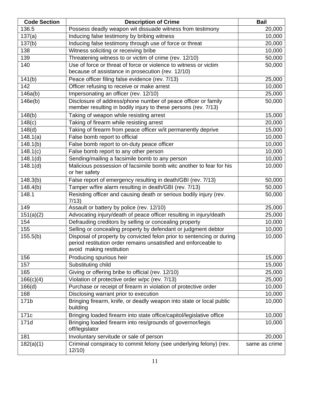| <b>Code Section</b>   | <b>Description of Crime</b>                                                                                                                                          | <b>Bail</b>   |
|-----------------------|----------------------------------------------------------------------------------------------------------------------------------------------------------------------|---------------|
| 136.5                 | Possess deadly weapon wit dissuade witness from testimony                                                                                                            | 20,000        |
| 137(a)                | Inducing false testimony by bribing witness                                                                                                                          | 10,000        |
| 137(b)                | Inducing false testimony through use of force or threat                                                                                                              | 20,000        |
| 138                   | Witness soliciting or receiving bribe                                                                                                                                | 10,000        |
| 139                   | Threatening witness to or victim of crime (rev. 12/10)                                                                                                               | 50,000        |
| 140                   | Use of force or threat of force or violence to witness or victim                                                                                                     | 50,000        |
|                       | because of assistance in prosecution (rev. 12/10)                                                                                                                    |               |
| 141(b)                | Peace officer filing false evidence (rev. 7/13)                                                                                                                      | 25,000        |
| 142                   | Officer refusing to receive or make arrest                                                                                                                           | 10,000        |
| 146a(b)               | Impersonating an officer (rev. 12/10)                                                                                                                                | 25,000        |
| 146e(b)               | Disclosure of address/phone number of peace officer or family<br>member resulting in bodily injury to these persons (rev. 7/13)                                      | 50,000        |
| 148(b)                | Taking of weapon while resisting arrest                                                                                                                              | 15,000        |
| 148(c)                | Taking of firearm while resisting arrest                                                                                                                             | 20,000        |
| 148(d)                | Taking of firearm from peace officer w/it permanently deprive                                                                                                        | 15,000        |
| 148.1(a)              | False bomb report to official                                                                                                                                        | 10,000        |
| 148.1(b)              | False bomb report to on-duty peace officer                                                                                                                           | 10,000        |
| 148.1(c)              | False bomb report to any other person                                                                                                                                | 10,000        |
| 148.1(d)              | Sending/mailing a facsimile bomb to any person                                                                                                                       | 10,000        |
| 148.1(d)              | Malicious possession of facsimile bomb witc another to fear for his<br>or her safety                                                                                 | 10,000        |
| 148.3(b)              | False report of emergency resulting in death/GBI (rev. 7/13)                                                                                                         | 50,000        |
| $\overline{148.4(b)}$ | Tamper w/fire alarm resulting in death/GBI (rev. 7/13)                                                                                                               | 50,000        |
| 148.1                 | Resisting officer and causing death or serious bodily injury (rev.<br>7/13                                                                                           | 50,000        |
| 149                   | Assault or battery by police (rev. 12/10)                                                                                                                            | 25,000        |
| 151(a)(2)             | Advocating injury/death of peace officer resulting in injury/death                                                                                                   | 25,000        |
| 154                   | Defrauding creditors by selling or concealing property                                                                                                               | 10,000        |
| 155                   | Selling or concealing property by defendant or judgment debtor                                                                                                       | 10,000        |
| 155.5(b)              | Disposal of property by convicted felon prior to sentencing or during<br>period restitution order remains unsatisfied and enforceable to<br>avoid making restitution | 10,000        |
| 156                   | Producing spurious heir                                                                                                                                              | 15,000        |
| 157                   | Substituting child                                                                                                                                                   | 15,000        |
| 165                   | Giving or offering bribe to official (rev. 12/10)                                                                                                                    | 25,000        |
| 166(c)(4)             | Violation of protective order w/pc (rev. 7/13)                                                                                                                       | 25,000        |
| $\overline{166}$ (d)  | Purchase or receipt of firearm in violation of protective order                                                                                                      | 10,000        |
| 168                   | Disclosing warrant prior to execution                                                                                                                                | 10,000        |
| 171b                  | Bringing firearm, knife, or deadly weapon into state or local public<br>building                                                                                     | 10,000        |
| 171c                  | Bringing loaded firearm into state office/capitol/legislative office                                                                                                 | 10,000        |
| 171d                  | Bringing loaded firearm into res/grounds of governor/legis<br>off/legislator                                                                                         | 10,000        |
| 181                   | Involuntary servitude or sale of person                                                                                                                              | 20,000        |
| 182(a)(1)             | Criminal conspiracy to commit felony (see underlying felony) (rev.<br>12/10                                                                                          | same as crime |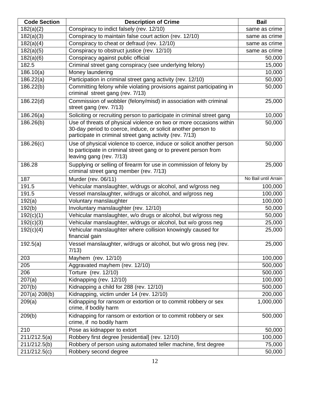| <b>Code Section</b> | <b>Description of Crime</b>                                                                                                                                                                      | <b>Bail</b>          |
|---------------------|--------------------------------------------------------------------------------------------------------------------------------------------------------------------------------------------------|----------------------|
| 182(a)(2)           | Conspiracy to indict falsely (rev. 12/10)                                                                                                                                                        | same as crime        |
| 182(a)(3)           | Conspiracy to maintain false court action (rev. 12/10)                                                                                                                                           | same as crime        |
| 182(a)(4)           | Conspiracy to cheat or defraud (rev. 12/10)                                                                                                                                                      | same as crime        |
| 182(a)(5)           | Conspiracy to obstruct justice (rev. 12/10)                                                                                                                                                      | same as crime        |
| 182(a)(6)           | Conspiracy against public official                                                                                                                                                               | 50,000               |
| 182.5               | Criminal street gang conspiracy (see underlying felony)                                                                                                                                          | 15,000               |
| 186.10(a)           | Money laundering                                                                                                                                                                                 | 10,000               |
| 186.22(a)           | Participation in criminal street gang activity (rev. 12/10)                                                                                                                                      | 50,000               |
| 186.22(b)           | Committing felony while violating provisions against participating in<br>criminal street gang (rev. 7/13)                                                                                        | 50,000               |
| 186.22(d)           | Commission of wobbler (felony/misd) in association with criminal<br>street gang (rev. 7/13)                                                                                                      | 25,000               |
| 186.26(a)           | Soliciting or recruiting person to participate in criminal street gang                                                                                                                           | 10,000               |
| 186.26(b)           | Use of threats of physical violence on two or more occasions within<br>30-day period to coerce, induce, or solicit another person to<br>participate in criminal street gang activity (rev. 7/13) | 50,000               |
| 186.26(c)           | Use of physical violence to coerce, induce or solicit another person<br>to participate in criminal street gang or to prevent person from<br>leaving gang (rev. 7/13)                             | 50,000               |
| 186.28              | Supplying or selling of firearm for use in commission of felony by<br>criminal street gang member (rev. 7/13)                                                                                    | 25,000               |
| 187                 | Murder (rev. 06/11)                                                                                                                                                                              | No Bail until Arrain |
| 191.5               | Vehicular manslaughter, w/drugs or alcohol, and w/gross neg                                                                                                                                      | 100,000              |
| 191.5               | Vessel manslaughter, w/drugs or alcohol, and w/gross neg                                                                                                                                         | 100,000              |
| 192(a)              | Voluntary manslaughter                                                                                                                                                                           | 100,000              |
| 192(b)              | Involuntary manslaughter (rev. 12/10)                                                                                                                                                            | 50,000               |
| 192(c)(1)           | Vehicular manslaughter, w/o drugs or alcohol, but w/gross neg                                                                                                                                    | 50,000               |
| 192(c)(3)           | Vehicular manslaughter, w/drugs or alcohol, but w/o gross neg                                                                                                                                    | 25,000               |
| 192(c)(4)           | Vehicular manslaughter where collision knowingly caused for<br>financial gain                                                                                                                    | 25,000               |
| 192.5(a)            | Vessel manslaughter, w/drugs or alcohol, but w/o gross neg (rev.<br>7/13)                                                                                                                        | 25,000               |
| 203                 | Mayhem (rev. 12/10)                                                                                                                                                                              | 100,000              |
| 205                 | Aggravated mayhem (rev. 12/10)                                                                                                                                                                   | 500,000              |
| 206                 | Torture (rev. 12/10)                                                                                                                                                                             | 500,000              |
| 207(a)              | Kidnapping (rev. 12/10)                                                                                                                                                                          | 100,000              |
| 207(b)              | Kidnapping a child for 288 (rev. 12/10)                                                                                                                                                          | 500,000              |
| 207(a) 208(b)       | Kidnapping, victim under 14 (rev. 12/10)                                                                                                                                                         | 200,000              |
| 209(a)              | Kidnapping for ransom or extortion or to commit robbery or sex<br>crime, if bodily harm                                                                                                          | 1,000,000            |
| 209(b)              | Kidnapping for ransom or extortion or to commit robbery or sex<br>crime, if no bodily harm                                                                                                       | 500,000              |
| 210                 | Pose as kidnapper to extort                                                                                                                                                                      | 50,000               |
| 211/212.5(a)        | Robbery first degree [residential] (rev. 12/10)                                                                                                                                                  | 100,000              |
| 211/212.5(b)        | Robbery of person using automated teller machine, first degree                                                                                                                                   | 75,000               |
| 211/212.5(c)        | Robbery second degree                                                                                                                                                                            | 50,000               |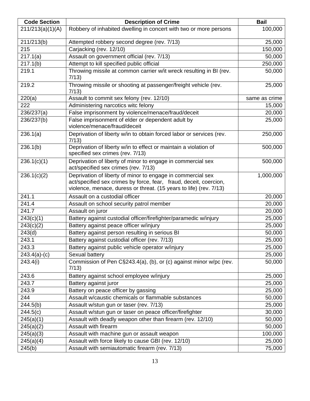| <b>Code Section</b> | <b>Description of Crime</b>                                                                                                                                                                            | <b>Bail</b>   |
|---------------------|--------------------------------------------------------------------------------------------------------------------------------------------------------------------------------------------------------|---------------|
| 211/213(a)(1)(A)    | Robbery of inhabited dwelling in concert with two or more persons                                                                                                                                      | 100,000       |
| 211/213(b)          | Attempted robbery second degree (rev. 7/13)                                                                                                                                                            | 25,000        |
| 215                 | Carjacking (rev. 12/10)                                                                                                                                                                                | 150,000       |
| 217.1(a)            | Assault on government official (rev. 7/13)                                                                                                                                                             | 50,000        |
| 217.1(b)            | Attempt to kill specified public official                                                                                                                                                              | 250,000       |
| 219.1               | Throwing missile at common carrier w/it wreck resulting in BI (rev.<br>7/13)                                                                                                                           | 50,000        |
| 219.2               | Throwing missile or shooting at passenger/freight vehicle (rev.<br>7/13                                                                                                                                | 25,000        |
| 220(a)              | Assault to commit sex felony (rev. 12/10)                                                                                                                                                              | same as crime |
| 222                 | Administering narcotics witc felony                                                                                                                                                                    | 15,000        |
| 236/237(a)          | False imprisonment by violence/menace/fraud/deceit                                                                                                                                                     | 20,000        |
| 236/237(b)          | False imprisonment of elder or dependent adult by<br>violence/menace/fraud/deceit                                                                                                                      | 25,000        |
| 236.1(a)            | Deprivation of liberty w/in to obtain forced labor or services (rev.<br>7/13                                                                                                                           | 250,000       |
| 236.1(b)            | Deprivation of liberty w/in to effect or maintain a violation of<br>specified sex crimes (rev. 7/13)                                                                                                   | 500,000       |
| 236.1(c)(1)         | Deprivation of liberty of minor to engage in commercial sex<br>act/specified sex crimes (rev. 7/13)                                                                                                    | 500,000       |
| 236.1(c)(2)         | Deprivation of liberty of minor to engage in commercial sex<br>act/specified sex crimes by force, fear, fraud, deceit, coercion,<br>violence, menace, duress or threat. (15 years to life) (rev. 7/13) | 1,000,000     |
| 241.1               | Assault on a custodial officer                                                                                                                                                                         | 20,000        |
| 241.4               | Assault on school security patrol member                                                                                                                                                               | 20,000        |
| 241.7               | Assault on juror                                                                                                                                                                                       | 20,000        |
| 243(c)(1)           | Battery against custodial officer/firefighter/paramedic w/injury                                                                                                                                       | 25,000        |
| 243(c)(2)           | Battery against peace officer w/injury                                                                                                                                                                 | 25,000        |
| 243(d)              | Battery against person resulting in serious BI                                                                                                                                                         | 50,000        |
| 243.1               | Battery against custodial officer (rev. 7/13)                                                                                                                                                          | 25,000        |
| 243.3               | Battery against public vehicle operator w/injury                                                                                                                                                       | 25,000        |
| $243.4(a)-(c)$      | Sexual battery                                                                                                                                                                                         | 25,000        |
| 243.4(i)            | Commission of Pen C§243.4(a), (b), or (c) against minor w/pc (rev.<br>7/13)                                                                                                                            | 50,000        |
| 243.6               | Battery against school employee w/injury                                                                                                                                                               | 25,000        |
| 243.7               | Battery against juror                                                                                                                                                                                  | 25,000        |
| 243.9               | Battery on peace officer by gassing                                                                                                                                                                    | 25,000        |
| 244                 | Assault w/caustic chemicals or flammable substances                                                                                                                                                    | 50,000        |
| 244.5(b)            | Assault w/stun gun or taser (rev. 7/13)                                                                                                                                                                | 25,000        |
| 244.5(c)            | Assault w/stun gun or taser on peace officer/firefighter                                                                                                                                               | 30,000        |
| 245(a)(1)           | Assault with deadly weapon other than firearm (rev. 12/10)                                                                                                                                             | 50,000        |
| 245(a)(2)           | Assault with firearm                                                                                                                                                                                   | 50,000        |
| 245(a)(3)           | Assault with machine gun or assault weapon                                                                                                                                                             | 100,000       |
| 245(a)(4)           | Assault with force likely to cause GBI (rev. 12/10)                                                                                                                                                    | 25,000        |
| 245(b)              | Assault with semiautomatic firearm (rev. 7/13)                                                                                                                                                         | 75,000        |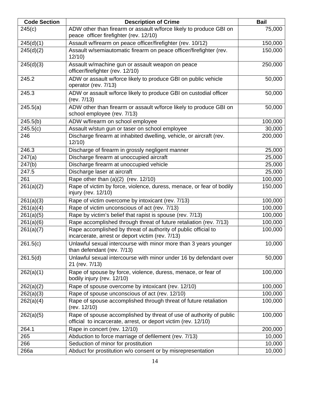| <b>Code Section</b> | <b>Description of Crime</b>                                                                                                           | <b>Bail</b> |
|---------------------|---------------------------------------------------------------------------------------------------------------------------------------|-------------|
| 245(c)              | ADW other than firearm or assault w/force likely to produce GBI on<br>peace officer firefighter (rev. 12/10)                          | 75,000      |
| 245(d)(1)           | Assault w/firearm on peace officer/firefighter (rev. 10/12)                                                                           | 150,000     |
| 245(d)(2)           | Assault w/semiautomatic firearm on peace officer/firefighter (rev.<br>12/10                                                           | 150,000     |
| 245(d)(3)           | Assault w/machine gun or assault weapon on peace<br>officer/firefighter (rev. 12/10)                                                  | 250,000     |
| 245.2               | ADW or assault w/force likely to produce GBI on public vehicle<br>operator (rev. 7/13)                                                | 50,000      |
| 245.3               | ADW or assault w/force likely to produce GBI on custodial officer<br>(rev. 7/13)                                                      | 50,000      |
| 245.5(a)            | ADW other than firearm or assault w/force likely to produce GBI on<br>school employee (rev. 7/13)                                     | 50,000      |
| 245.5(b)            | ADW w/firearm on school employee                                                                                                      | 100,000     |
| 245.5(c)            | Assault w/stun gun or taser on school employee                                                                                        | 30,000      |
| 246                 | Discharge firearm at inhabited dwelling, vehicle, or aircraft (rev.<br>12/10                                                          | 200,000     |
| 246.3               | Discharge of firearm in grossly negligent manner                                                                                      | 25,000      |
| 247(a)              | Discharge firearm at unoccupied aircraft                                                                                              | 25,000      |
| 247(b)              | Discharge firearm at unoccupied vehicle                                                                                               | 25,000      |
| 247.5               | Discharge laser at aircraft                                                                                                           | 25,000      |
| 261                 | Rape other than $(a)(2)$ (rev. 12/10)                                                                                                 | 100,000     |
| 261(a)(2)           | Rape of victim by force, violence, duress, menace, or fear of bodily<br>injury (rev. 12/10)                                           | 150,000     |
| 261(a)(3)           | Rape of victim overcome by intoxicant (rev. 7/13)                                                                                     | 100,000     |
| 261(a)(4)           | Rape of victim unconscious of act (rev. 7/13)                                                                                         | 100,000     |
| 261(a)(5)           | Rape by victim's belief that rapist is spouse (rev. 7/13)                                                                             | 100,000     |
| 261(a)(6)           | Rape accomplished through threat of future retaliation (rev. 7/13)                                                                    | 100,000     |
| 261(a)(7)           | Rape accomplished by threat of authority of public official to<br>incarcerate, arrest or deport victim (rev. 7/13)                    | 100,000     |
| 261.5(c)            | Unlawful sexual intercourse with minor more than 3 years younger<br>than defendant (rev. 7/13)                                        | 10,000      |
| 261.5(d)            | Unlawful sexual intercourse with minor under 16 by defendant over<br>21 (rev. 7/13)                                                   | 50,000      |
| 262(a)(1)           | Rape of spouse by force, violence, duress, menace, or fear of<br>bodily injury (rev. 12/10)                                           | 100,000     |
| 262(a)(2)           | Rape of spouse overcome by intoxicant (rev. 12/10)                                                                                    | 100,000     |
| 262(a)(3)           | Rape of spouse unconscious of act (rev. 12/10)                                                                                        | 100,000     |
| 262(a)(4)           | Rape of spouse accomplished through threat of future retaliation<br>(rev. 12/10)                                                      | 100,000     |
| 262(a)(5)           | Rape of spouse accomplished by threat of use of authority of public<br>official to incarcerate, arrest, or deport victim (rev. 12/10) | 100,000     |
| 264.1               | Rape in concert (rev. 12/10)                                                                                                          | 200,000     |
| 265                 | Abduction to force marriage of defilement (rev. 7/13)                                                                                 | 10,000      |
| 266                 | Seduction of minor for prostitution                                                                                                   | 10,000      |
| 266a                | Abduct for prostitution w/o consent or by misrepresentation                                                                           | 10,000      |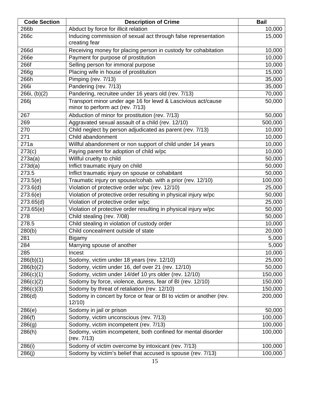| <b>Code Section</b>    | <b>Description of Crime</b>                                                                      | <b>Bail</b> |
|------------------------|--------------------------------------------------------------------------------------------------|-------------|
| 266b                   | Abduct by force for illicit relation                                                             | 10,000      |
| 266c                   | Inducing commission of sexual act through false representation<br>creating fear                  | 15,000      |
| 266d                   | Receiving money for placing person in custody for cohabitation                                   | 10,000      |
| 266e                   | Payment for purpose of prostitution                                                              | 10,000      |
| 266f                   | Selling person for immoral purpose                                                               | 10,000      |
| 266g                   | Placing wife in house of prostitution                                                            | 15,000      |
| 266h                   | Pimping (rev. 7/13)                                                                              | 35,000      |
| 266i                   | Pandering (rev. 7/13)                                                                            | 35,000      |
| 266i, (b)(2)           | Pandering, recruitee under 16 years old (rev. 7/13)                                              | 70,000      |
| 266j                   | Transport minor under age 16 for lewd & Lascivious act/cause<br>minor to perform act (rev. 7/13) | 50,000      |
| 267                    | Abduction of minor for prostitution (rev. 7/13)                                                  | 50,000      |
| 269                    | Aggravated sexual assault of a child (rev. 12/10)                                                | 500,000     |
| 270                    | Child neglect by person adjudicated as parent (rev. 7/13)                                        | 10,000      |
| 271                    | Child abandonment                                                                                | 10,000      |
| 271a                   | Willful abandonment or non support of child under 14 years                                       | 10,000      |
| $\overline{273}$ (c)   | Paying parent for adoption of child w/pc                                                         | 10,000      |
| 273a(a)                | Willful cruelty to child                                                                         | 50,000      |
| 273d(a)                | Inflict traumatic injury on child                                                                | 50,000      |
| 273.5                  | Inflict traumatic injury on spouse or cohabitant                                                 | 50,000      |
| 273.5(e)               | Traumatic injury on spouse/cohab. with a prior (rev. 12/10)                                      | 100,000     |
| 273.6(d)               | Violation of protective order w/pc (rev. 12/10)                                                  | 25,000      |
| $\overline{273.6}$ (e) | Violation of protective order resulting in physical injury w/pc                                  | 50,000      |
| 273.65(d)              | Violation of protective order w/pc                                                               | 25,000      |
| 273.65(e)              | Violation of protective order resulting in physical injury w/pc                                  | 50,000      |
| 278                    | Child stealing (rev. 7/08)                                                                       | 50,000      |
| 278.5                  | Child stealing in violation of custody order                                                     | 10,000      |
| 280(b)                 | Child concealment outside of state                                                               | 20,000      |
| 281                    | <b>Bigamy</b>                                                                                    | 5,000       |
| 284                    | Marrying spouse of another                                                                       | 5,000       |
| 285                    | Incest                                                                                           | 10,000      |
| 286(b)(1)              | Sodomy, victim under 18 years (rev. 12/10)                                                       | 25,000      |
| 286(b)(2)              | Sodomy, victim under 16, def over 21 (rev. 12/10)                                                | 50,000      |
| 286(c)(1)              | Sodomy, victim under 14/def 10 yrs older (rev. 12/10)                                            | 150,000     |
| 286(c)(2)              | Sodomy by force, violence, duress, fear of BI (rev. 12/10)                                       | 150,000     |
| 286(c)(3)              | Sodomy by threat of retaliation (rev. 12/10)                                                     | 150,000     |
| 286(d)                 | Sodomy in concert by force or fear or BI to victim or another (rev.<br>12/10                     | 200,000     |
| 286(e)                 | Sodomy in jail or prison                                                                         | 50,000      |
| 286(f)                 | Sodomy, victim unconscious (rev. 7/13)                                                           | 100,000     |
| 286(g)                 | Sodomy, victim incompetent (rev. 7/13)                                                           | 100,000     |
| 286(h)                 | Sodomy, victim incompetent, both confined for mental disorder<br>(rev. 7/13)                     | 100,000     |
| 286(i)                 | Sodomy of victim overcome by intoxicant (rev. 7/13)                                              | 100,000     |
| 286(j)                 | Sodomy by victim's belief that accused is spouse (rev. 7/13)                                     | 100,000     |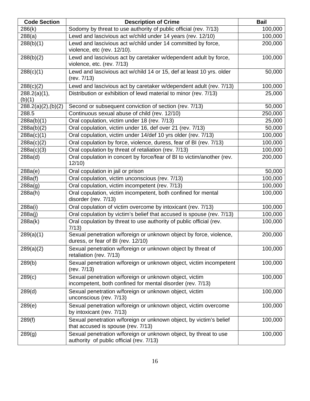| <b>Code Section</b>    | <b>Description of Crime</b>                                                                                          | <b>Bail</b> |
|------------------------|----------------------------------------------------------------------------------------------------------------------|-------------|
| 286(k)                 | Sodomy by threat to use authority of public official (rev. 7/13)                                                     | 100,000     |
| 288(a)                 | Lewd and lascivious act w/child under 14 years (rev. 12/10)                                                          | 100,000     |
| 288(b)(1)              | Lewd and lascivious act w/child under 14 committed by force,<br>violence, etc (rev. 12/10).                          | 200,000     |
| 288(b)(2)              | Lewd and lascivious act by caretaker w/dependent adult by force,<br>violence, etc. (rev. 7/13)                       | 100,000     |
| 288(c)(1)              | Lewd and lascivious act w/child 14 or 15, def at least 10 yrs. older<br>(rev. 7/13)                                  | 50,000      |
| 288(c)(2)              | Lewd and lascivious act by caretaker w/dependent adult (rev. 7/13)                                                   | 100,000     |
| 288.2(a)(1),<br>(b)(1) | Distribution or exhibition of lewd material to minor (rev. 7/13)                                                     | 25,000      |
| $288.2(a)(2)$ , (b)(2) | Second or subsequent conviction of section (rev. 7/13)                                                               | 50,000      |
| 288.5                  | Continuous sexual abuse of child (rev. 12/10)                                                                        | 250,000     |
| 288a(b)(1)             | Oral copulation, victim under 18 (rev. 7/13)                                                                         | 25,000      |
| 288a(b)(2)             | Oral copulation, victim under 16, def over 21 (rev. 7/13)                                                            | 50,000      |
| 288a(c)(1)             | Oral copulation, victim under 14/def 10 yrs older (rev. 7/13)                                                        | 100,000     |
| 288a(c)(2)             | Oral copulation by force, violence, duress, fear of BI (rev. 7/13)                                                   | 100,000     |
| 288a(c)(3)             | Oral copulation by threat of retaliation (rev. 7/13)                                                                 | 100,000     |
| 288a(d)                | Oral copulation in concert by force/fear of BI to victim/another (rev.<br>12/10                                      | 200,000     |
| 288a(e)                | Oral copulation in jail or prison                                                                                    | 50,000      |
| 288a(f)                | Oral copulation, victim unconscious (rev. 7/13)                                                                      | 100,000     |
| 288a(g)                | Oral copulation, victim incompetent (rev. 7/13)                                                                      | 100,000     |
| 288a(h)                | Oral copulation, victim incompetent, both confined for mental<br>disorder (rev. 7/13)                                | 100,000     |
| 288a(i)                | Oral copulation of victim overcome by intoxicant (rev. 7/13)                                                         | 100,000     |
| 288a(j)                | Oral copulation by victim's belief that accused is spouse (rev. 7/13)                                                | 100,000     |
| 288a(k)                | Oral copulation by threat to use authority of public official (rev.<br>7/13)                                         | 100,000     |
| 289(a)(1)              | Sexual penetration w/foreign or unknown object by force, violence,<br>duress, or fear of BI (rev. 12/10)             | 200,000     |
| 289(a)(2)              | Sexual penetration w/foreign or unknown object by threat of<br>retaliation (rev. 7/13)                               | 100,000     |
| 289(b)                 | Sexual penetration w/foreign or unknown object, victim incompetent<br>(rev. 7/13)                                    | 100,000     |
| 289(c)                 | Sexual penetration w/foreign or unknown object, victim<br>incompetent, both confined for mental disorder (rev. 7/13) | 100,000     |
| 289(d)                 | Sexual penetration w/foreign or unknown object, victim<br>unconscious (rev. 7/13)                                    | 100,000     |
| 289(e)                 | Sexual penetration w/foreign or unknown object, victim overcome<br>by intoxicant (rev. 7/13)                         | 100,000     |
| 289(f)                 | Sexual penetration w/foreign or unknown object, by victim's belief<br>that accused is spouse (rev. 7/13)             | 100,000     |
| 289(g)                 | Sexual penetration w/foreign or unknown object, by threat to use<br>authority of public official (rev. 7/13)         | 100,000     |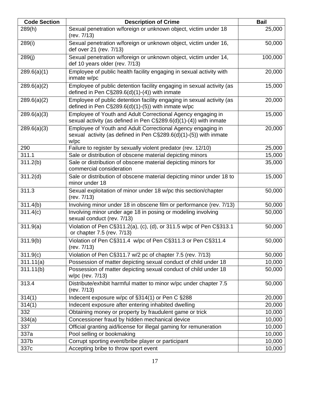| <b>Code Section</b>   | <b>Description of Crime</b>                                                                                                              | <b>Bail</b> |
|-----------------------|------------------------------------------------------------------------------------------------------------------------------------------|-------------|
| 289(h)                | Sexual penetration w/foreign or unknown object, victim under 18<br>(rev. 7/13)                                                           | 25,000      |
| 289(i)                | Sexual penetration w/foreign or unknown object, victim under 16,<br>def over 21 (rev. 7/13)                                              | 50,000      |
| 289(j)                | Sexual penetration w/foreign or unknown object, victim under 14,<br>def 10 years older (rev. 7/13)                                       | 100,000     |
| 289.6(a)(1)           | Employee of public health facility engaging in sexual activity with<br>inmate w/pc                                                       | 20,000      |
| 289.6(a)(2)           | Employee of public detention facility engaging in sexual activity (as<br>defined in Pen $C\S289.6(d)(1)-(4)$ ) with inmate               | 15,000      |
| 289.6(a)(2)           | Employee of public detention facility engaging in sexual activity (as<br>defined in Pen $C\S289.6(d)(1)-(5)$ ) with inmate w/pc          | 20,000      |
| 289.6(a)(3)           | Employee of Youth and Adult Correctional Agency engaging in<br>sexual activity (as defined in Pen C§289.6(d)(1)-(4)) with inmate         | 15,000      |
| 289.6(a)(3)           | Employee of Youth and Adult Correctional Agency engaging in<br>sexual activity (as defined in Pen C§289.6(d)(1)-(5)) with inmate<br>W/pc | 20,000      |
| 290                   | Failure to register by sexually violent predator (rev. 12/10)                                                                            | 25,000      |
| 311.1                 | Sale or distribution of obscene material depicting minors                                                                                | 15,000      |
| 311.2(b)              | Sale or distribution of obscene material depicting minors for<br>commercial consideration                                                | 35,000      |
| $\overline{3}11.2(d)$ | Sale or distribution of obscene material depicting minor under 18 to<br>minor under 18                                                   | 15,000      |
| 311.3                 | Sexual exploitation of minor under 18 w/pc this section/chapter<br>(rev. 7/13)                                                           | 50,000      |
| 311.4(b)              | Involving minor under 18 in obscene film or performance (rev. 7/13)                                                                      | 50,000      |
| 311.4(c)              | Involving minor under age 18 in posing or modeling involving<br>sexual conduct (rev. 7/13)                                               | 50,000      |
| 311.9(a)              | Violation of Pen C§311.2(a), (c), (d), or 311.5 w/pc of Pen C§313.1<br>or chapter 7.5 (rev. 7/13)                                        | 50,000      |
| 311.9(b)              | Violation of Pen C§311.4 w/pc of Pen C§311.3 or Pen C§311.4<br>(rev. 7/13)                                                               | 50,000      |
| 311.9(c)              | Violation of Pen C§311.7 w/2 pc of chapter 7.5 (rev. 7/13)                                                                               | 50,000      |
| 311.11(a)             | Possession of matter depicting sexual conduct of child under 18                                                                          | 10,000      |
| 311.11(b)             | Possession of matter depicting sexual conduct of child under 18<br>w/pc (rev. 7/13)                                                      | 50,000      |
| 313.4                 | Distribute/exhibit harmful matter to minor w/pc under chapter 7.5<br>(rev. 7/13)                                                         | 50,000      |
| 314(1)                | Indecent exposure w/pc of §314(1) or Pen C §288                                                                                          | 20,000      |
| 314(1)                | Indecent exposure after entering inhabited dwelling                                                                                      | 20,000      |
| 332                   | Obtaining money or property by fraudulent game or trick                                                                                  | 10,000      |
| 334(a)                | Concessioner fraud by hidden mechanical device                                                                                           | 10,000      |
| 337                   | Official granting aid/license for illegal gaming for remuneration                                                                        | 10,000      |
| 337a                  | Pool selling or bookmaking                                                                                                               | 10,000      |
| 337b                  | Corrupt sporting event/bribe player or participant                                                                                       | 10,000      |
| 337c                  | Accepting bribe to throw sport event                                                                                                     | 10,000      |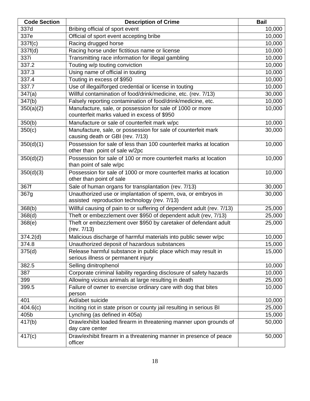| <b>Code Section</b> | <b>Description of Crime</b>                                                                                   | <b>Bail</b> |
|---------------------|---------------------------------------------------------------------------------------------------------------|-------------|
| 337d                | Bribing official of sport event                                                                               | 10,000      |
| 337e                | Official of sport event accepting bribe                                                                       | 10,000      |
| 337f(c)             | Racing drugged horse                                                                                          | 10,000      |
| 337f(d)             | Racing horse under fictitious name or license                                                                 | 10,000      |
| 337i                | Transmitting race information for illegal gambling                                                            | 10,000      |
| 337.2               | Touting w/p touting conviction                                                                                | 10,000      |
| 337.3               | Using name of official in touting                                                                             | 10,000      |
| 337.4               | Touting in excess of \$950                                                                                    | 10,000      |
| 337.7               | Use of illegal/forged credential or license in touting                                                        | 10,000      |
| 347(a)              | Willful contamination of food/drink/medicine, etc. (rev. 7/13)                                                | 30,000      |
| 347(b)              | Falsely reporting contamination of food/drink/medicine, etc.                                                  | 10,000      |
| 350(a)(2)           | Manufacture, sale, or possession for sale of 1000 or more<br>counterfeit marks valued in excess of \$950      | 10,000      |
| 350(b)              | Manufacture or sale of counterfeit mark w/pc                                                                  | 10,000      |
| 350(c)              | Manufacture, sale, or possession for sale of counterfeit mark<br>causing death or GBI (rev. 7/13)             | 30,000      |
| 350(d)(1)           | Possession for sale of less than 100 counterfeit marks at location<br>other than point of sale w/2pc          | 10,000      |
| 350(d)(2)           | Possession for sale of 100 or more counterfeit marks at location<br>than point of sale w/pc                   | 10,000      |
| 350(d)(3)           | Possession for sale of 1000 or more counterfeit marks at location<br>other than point of sale                 | 10,000      |
| 367f                | Sale of human organs for transplantation (rev. 7/13)                                                          | 30,000      |
| 367g                | Unauthorized use or implantation of sperm, ova, or embryos in<br>assisted reproduction technology (rev. 7/13) | 30,000      |
| 368(b)              | Willful causing of pain to or suffering of dependent adult (rev. 7/13)                                        | 25,000      |
| 368(d)              | Theft or embezzlement over \$950 of dependent adult (rev, 7/13)                                               | 25,000      |
| 368(e)              | Theft or embezzlement over \$950 by caretaker of defendant adult<br>(rev. 7/13)                               | 25,000      |
| 374.2(d)            | Malicious discharge of harmful materials into public sewer w/pc                                               | 10,000      |
| 374.8               | Unauthorized deposit of hazardous substances                                                                  | 15,000      |
| 375(d)              | Release harmful substance in public place which may result in<br>serious illness or permanent injury          | 15,000      |
| 382.5               | Selling dinitrophenol                                                                                         | 10,000      |
| 387                 | Corporate criminal liability regarding disclosure of safety hazards                                           | 10,000      |
| 399                 | Allowing vicious animals at large resulting in death                                                          | 25,000      |
| 399.5               | Failure of owner to exercise ordinary care with dog that bites<br>person                                      | 10,000      |
| 401                 | Aid/abet suicide                                                                                              | 10,000      |
| 404.6(c)            | Inciting riot in state prison or county jail resulting in serious BI                                          | 25,000      |
| 405b                | Lynching (as defined in 405a)                                                                                 | 15,000      |
| 417(b)              | Draw/exhibit loaded firearm in threatening manner upon grounds of<br>day care center                          | 50,000      |
| 417(c)              | Draw/exhibit firearm in a threatening manner in presence of peace<br>officer                                  | 50,000      |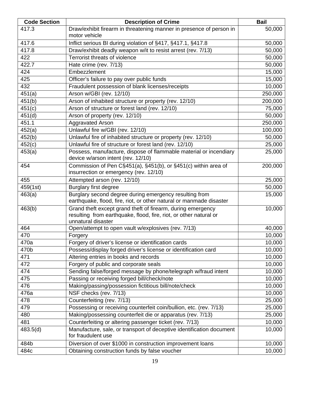| <b>Code Section</b> | <b>Description of Crime</b>                                                                                                                            | <b>Bail</b> |
|---------------------|--------------------------------------------------------------------------------------------------------------------------------------------------------|-------------|
| 417.3               | Draw/exhibit firearm in threatening manner in presence of person in<br>motor vehicle                                                                   | 50,000      |
| 417.6               | Inflict serious BI during violation of §417, §417.1, §417.8                                                                                            | 50,000      |
| 417.8               | Draw/exhibit deadly weapon w/it to resist arrest (rev. 7/13)                                                                                           | 50,000      |
| 422                 | Terrorist threats of violence                                                                                                                          | 50,000      |
| 422.7               | Hate crime (rev. 7/13)                                                                                                                                 | 50,000      |
| 424                 | Embezzlement                                                                                                                                           | 15,000      |
| 425                 | Officer's failure to pay over public funds                                                                                                             | 15,000      |
| 432                 | Fraudulent possession of blank licenses/receipts                                                                                                       | 10,000      |
| 451(a)              | Arson w/GBI (rev. 12/10)                                                                                                                               | 250,000     |
| 451(b)              | Arson of inhabited structure or property (rev. 12/10)                                                                                                  | 200,000     |
| 451(c)              | Arson of structure or forest land (rev. 12/10)                                                                                                         | 75,000      |
| 451(d)              | Arson of property (rev. 12/10)                                                                                                                         | 50,000      |
| 451.1               | <b>Aggravated Arson</b>                                                                                                                                | 250,000     |
| 452(a)              | Unlawful fire w/GBI (rev. 12/10)                                                                                                                       | 100,000     |
| 452(b)              | Unlawful fire of inhabited structure or property (rev. 12/10)                                                                                          | 50,000      |
| 452(c)              | Unlawful fire of structure or forest land (rev. 12/10)                                                                                                 | 25,000      |
| 453(a)              | Possess, manufacture, dispose of flammable material or incendiary<br>device w/arson intent (rev. 12/10)                                                | 25,000      |
| 454                 | Commission of Pen C§451(a), §451(b), or §451(c) within area of<br>insurrection or emergency (rev. 12/10)                                               | 200,000     |
| 455                 | Attempted arson (rev. 12/10)                                                                                                                           | 25,000      |
| 459(1st)            | <b>Burglary first degree</b>                                                                                                                           | 50,000      |
| 463(a)              | Burglary second degree during emergency resulting from<br>earthquake, flood, fire, riot, or other natural or manmade disaster                          | 15,000      |
| 463(b)              | Grand theft except grand theft of firearm, during emergency<br>resulting from earthquake, flood, fire, riot, or other natural or<br>unnatural disaster | 10,000      |
| 464                 | Open/attempt to open vault w/explosives (rev. 7/13)                                                                                                    | 40,000      |
| 470                 | Forgery                                                                                                                                                | 10,000      |
| 470a                | Forgery of driver's license or identification cards                                                                                                    | 10,000      |
| 470b                | Possess/display forged driver's license or identification card                                                                                         | 10,000      |
| 471                 | Altering entries in books and records                                                                                                                  | 10,000      |
| 472                 | Forgery of public and corporate seals                                                                                                                  | 10,000      |
| 474                 | Sending false/forged message by phone/telegraph w/fraud intent                                                                                         | 10,000      |
| 475                 | Passing or receiving forged bill/check/note                                                                                                            | 10,000      |
| 476                 | Making/passing/possession fictitious bill/note/check                                                                                                   | 10,000      |
| 476a                | NSF checks (rev. 7/13)                                                                                                                                 | 10,000      |
| 478                 | Counterfeiting (rev. 7/13)                                                                                                                             | 25,000      |
| 479                 | Possessing or receiving counterfeit coin/bullion, etc. (rev. 7/13)                                                                                     | 25,000      |
| 480                 | Making/possessing counterfeit die or apparatus (rev. 7/13)                                                                                             | 25,000      |
| 481                 | Counterfeiting or altering passenger ticket (rev. 7/13)                                                                                                | 10,000      |
| 483.5(d)            | Manufacture, sale, or transport of deceptive identification document<br>for fraudulent use                                                             | 10,000      |
| 484b                | Diversion of over \$1000 in construction improvement loans                                                                                             | 10,000      |
| 484c                | Obtaining construction funds by false voucher                                                                                                          | 10,000      |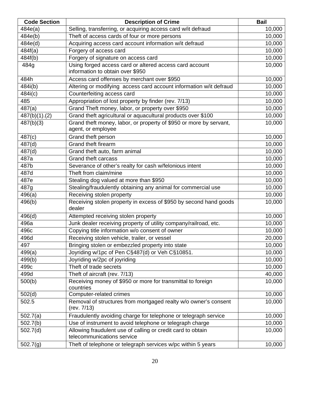| <b>Code Section</b> | <b>Description of Crime</b>                                                                 | <b>Bail</b> |
|---------------------|---------------------------------------------------------------------------------------------|-------------|
| 484e(a)             | Selling, transferring, or acquiring access card w/it defraud                                | 10,000      |
| 484e(b)             | Theft of access cards of four or more persons                                               | 10,000      |
| 484e(d)             | Acquiring access card account information w/it defraud                                      | 10,000      |
| 484f(a)             | Forgery of access card                                                                      | 10,000      |
| 484f(b)             | Forgery of signature on access card                                                         | 10,000      |
| 484g                | Using forged access card or altered access card account<br>information to obtain over \$950 | 10,000      |
| 484h                | Access card offenses by merchant over \$950                                                 | 10,000      |
| 484i(b)             | Altering or modifying access card account information w/it defraud                          | 10,000      |
| 484i(c)             | Counterfeiting access card                                                                  | 10,000      |
| 485                 | Appropriation of lost property by finder (rev. 7/13)                                        | 10,000      |
| 487(a)              | Grand Theft money, labor, or property over \$950                                            | 10,000      |
| $487(b)(1)$ .(2)    | Grand theft agricultural or aquacultural products over \$100                                | 10,000      |
| 487(b)(3)           | Grand theft money, labor, or property of \$950 or more by servant,<br>agent, or employee    | 10,000      |
| 487(c)              | Grand theft person                                                                          | 10,000      |
| 487(d)              | Grand theft firearm                                                                         | 10,000      |
| 487(d)              | Grand theft auto, farm animal                                                               | 10,000      |
| 487a                | <b>Grand theft carcass</b>                                                                  | 10,000      |
| 487b                | Severance of other's realty for cash w/felonious intent                                     | 10,000      |
| 487d                | Theft from claim/mine                                                                       | 10,000      |
| 487e                | Stealing dog valued at more than \$950                                                      | 10,000      |
| 487g                | Stealing/fraudulently obtaining any animal for commercial use                               | 10,000      |
| 496(a)              | Receiving stolen property                                                                   | 10,000      |
| 496(b)              | Receiving stolen property in excess of \$950 by second hand goods<br>dealer                 | 10,000      |
| 496(d)              | Attempted receiving stolen property                                                         | 10,000      |
| 496a                | Junk dealer receiving property of utility company/railroad, etc.                            | 10,000      |
| 496c                | Copying title information w/o consent of owner                                              | 10,000      |
| 496d                | Receiving stolen vehicle, trailer, or vessel                                                | 20,000      |
| 497                 | Bringing stolen or embezzled property into state                                            | 10,000      |
| 499(a)              | Joyriding w/1pc of Pen C§487(d) or Veh C§10851.                                             | 10,000      |
| 499(b)              | Joyriding w/2pc of joyriding                                                                | 10,000      |
| 499c                | Theft of trade secrets                                                                      | 10,000      |
| 499d                | Theft of aircraft (rev. 7/13)                                                               | 40,000      |
| 500(b)              | Receiving money of \$950 or more for transmittal to foreign<br>countries                    | 10,000      |
| 502(d)              | Computer-related crimes                                                                     | 10,000      |
| 502.5               | Removal of structures from mortgaged realty w/o owner's consent<br>(rev. 7/13)              | 10,000      |
| 502.7(a)            | Fraudulently avoiding charge for telephone or telegraph service                             | 10,000      |
| 502.7(b)            | Use of instrument to avoid telephone or telegraph charge                                    | 10,000      |
| 502.7(d)            | Allowing fraudulent use of calling or credit card to obtain<br>telecommunications service   | 10,000      |
| 502.7(g)            | Theft of telephone or telegraph services w/pc within 5 years                                | 10,000      |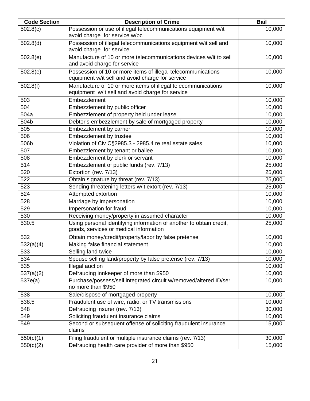| <b>Code Section</b>    | <b>Description of Crime</b>                                                                                       | <b>Bail</b> |
|------------------------|-------------------------------------------------------------------------------------------------------------------|-------------|
| 502.8(c)               | Possession or use of illegal telecommunications equipment w/it<br>avoid charge for service w/pc                   | 10,000      |
| 502.8(d)               | Possession of illegal telecommunications equipment w/it sell and<br>avoid charge for service                      | 10,000      |
| 502.8(e)               | Manufacture of 10 or more telecommunications devices w/it to sell<br>and avoid charge for service                 | 10,000      |
| 502.8(e)               | Possession of 10 or more items of illegal telecommunications<br>equipment w/it sell and avoid charge for service  | 10,000      |
| 502.8(f)               | Manufacture of 10 or more items of illegal telecommunications<br>equipment w/it sell and avoid charge for service | 10,000      |
| 503                    | Embezzlement                                                                                                      | 10,000      |
| 504                    | Embezzlement by public officer                                                                                    | 10,000      |
| 504a                   | Embezzlement of property held under lease                                                                         | 10,000      |
| 504b                   | Debtor's embezzlement by sale of mortgaged property                                                               | 10,000      |
| 505                    | Embezzlement by carrier                                                                                           | 10,000      |
| 506                    | Embezzlement by trustee                                                                                           | 10,000      |
| 506b                   | Violation of Civ C§2985.3 - 2985.4 re real estate sales                                                           | 10,000      |
| 507                    | Embezzlement by tenant or bailee                                                                                  | 10,000      |
| 508                    | Embezzlement by clerk or servant                                                                                  | 10,000      |
| 514                    | Embezzlement of public funds (rev. 7/13)                                                                          | 25,000      |
| 520                    | Extortion (rev. 7/13)                                                                                             | 25,000      |
| 522                    | Obtain signature by threat (rev. 7/13)                                                                            | 25,000      |
| 523                    | Sending threatening letters w/it extort (rev. 7/13)                                                               | 25,000      |
| 524                    | Attempted extortion                                                                                               | 10,000      |
| 528                    | Marriage by impersonation                                                                                         | 10,000      |
| 529                    | Impersonation for fraud                                                                                           | 10,000      |
| 530                    | Receiving money/property in assumed character                                                                     | 10,000      |
| 530.5                  | Using personal identifying information of another to obtain credit,<br>goods, services or medical information     | 25,000      |
| 532                    | Obtain money/credit/property/labor by false pretense                                                              | 10,000      |
| $\overline{532(a)(4)}$ | Making false financial statement                                                                                  | 10,000      |
| 533                    | Selling land twice                                                                                                | 10,000      |
| 534                    | Spouse selling land/property by false pretense (rev. 7/13)                                                        | 10,000      |
| 535                    | Illegal auction                                                                                                   | 10,000      |
| 537(a)(2)              | Defrauding innkeeper of more than \$950                                                                           | 10,000      |
| 537e(a)                | Purchase/possess/sell integrated circuit w/removed/altered ID/ser<br>no more than \$950                           | 10,000      |
| 538                    | Sale/dispose of mortgaged property                                                                                | 10,000      |
| 538.5                  | Fraudulent use of wire, radio, or TV transmissions                                                                | 10,000      |
| 548                    | Defrauding insurer (rev. 7/13)                                                                                    | 30,000      |
| 549                    | Soliciting fraudulent insurance claims                                                                            | 10,000      |
| 549                    | Second or subsequent offense of soliciting fraudulent insurance<br>claims                                         | 15,000      |
| 550(c)(1)              | Filing fraudulent or multiple insurance claims (rev. 7/13)                                                        | 30,000      |
| 550(c)(2)              | Defrauding health care provider of more than \$950                                                                | 15,000      |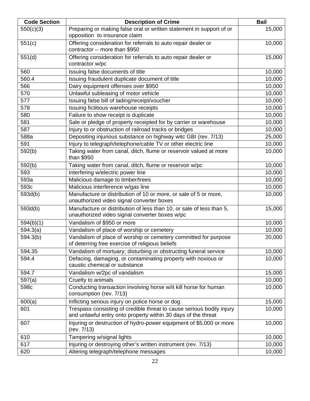| <b>Code Section</b> | <b>Description of Crime</b>                                                                                                            | <b>Bail</b> |
|---------------------|----------------------------------------------------------------------------------------------------------------------------------------|-------------|
| 550(c)(3)           | Preparing or making false oral or written statement in support of or<br>opposition to insurance claim                                  | 15,000      |
| 551(c)              | Offering consideration for referrals to auto repair dealer or<br>contractor -- more than \$950                                         | 10,000      |
| 551(d)              | Offering consideration for referrals to auto repair dealer or<br>contractor w/pc                                                       | 15,000      |
| 560                 | Issuing false documents of title                                                                                                       | 10,000      |
| 560.4               | Issuing fraudulent duplicate document of title                                                                                         | 10,000      |
| 566                 | Dairy equipment offenses over \$950                                                                                                    | 10,000      |
| 570                 | Unlawful subleasing of motor vehicle                                                                                                   | 10,000      |
| 577                 | Issuing false bill of lading/receipt/voucher                                                                                           | 10,000      |
| 578                 | Issuing fictitious warehouse receipts                                                                                                  | 10,000      |
| 580                 | Failure to show receipt is duplicate                                                                                                   | 10,000      |
| 581                 | Sale or pledge of property receipted for by carrier or warehouse                                                                       | 10,000      |
| 587                 | Injury to or obstruction of railroad tracks or bridges                                                                                 | 10,000      |
| 588a                | Depositing injurious substance on highway witc GBI (rev. 7/13)                                                                         | 25,000      |
| 591                 | Injury to telegraph/telephone/cable TV or other electric line                                                                          | 10,000      |
| 592(b)              | Taking water from canal, ditch, flume or reservoir valued at more<br>than \$950                                                        | 10,000      |
| 592(b)              | Taking water from canal, ditch, flume or reservoir w/pc                                                                                | 10,000      |
| 593                 | Interfering w/electric power line                                                                                                      | 10,000      |
| 593a                | Malicious damage to timber/trees                                                                                                       | 10,000      |
| 593c                | Malicious interference w/gas line                                                                                                      | 10,000      |
| 593d(b)             | Manufacture or distribution of 10 or more, or sale of 5 or more,<br>unauthorized video signal converter boxes                          | 10,000      |
| 593d(b)             | Manufacture or distribution of less than 10, or sale of less than 5,<br>unauthorized video signal converter boxes w/pc                 | 15,000      |
| 594(b)(1)           | Vandalism of \$950 or more                                                                                                             | 10,000      |
| 594.3(a)            | Vandalism of place of worship or cemetery                                                                                              | 10,000      |
| 594.3(b)            | Vandalism of place of worship or cemetery committed for purpose<br>of deterring free exercise of religious beliefs                     | 20,000      |
| 594.35              | Vandalism of mortuary; disturbing or obstructing funeral service                                                                       | 10,000      |
| 594.4               | Defacing, damaging, or contaminating property with noxious or<br>caustic chemical or substance                                         | 10,000      |
| 594.7               | Vandalism w/2pc of vandalism                                                                                                           | 15,000      |
| 597(a)              | Cruelty to animals                                                                                                                     | 10,000      |
| 598c                | Conducting transaction involving horse w/it kill horse for human<br>consumption (rev. 7/13)                                            | 10,000      |
| 600(a)              | Inflicting serious injury on police horse or dog                                                                                       | 15,000      |
| 601                 | Trespass consisting of credible threat to cause serious bodily injury<br>and unlawful entry onto property within 30 days of the threat | 10,000      |
| 607                 | Injuring or destruction of hydro-power equipment of \$5,000 or more<br>(rev. 7/13)                                                     | 10,000      |
| 610                 | Tampering w/signal lights                                                                                                              | 10,000      |
| 617                 | Injuring or destroying other's written instrument (rev. 7/13)                                                                          | 10,000      |
| 620                 | Altering telegraph/telephone messages                                                                                                  | 10,000      |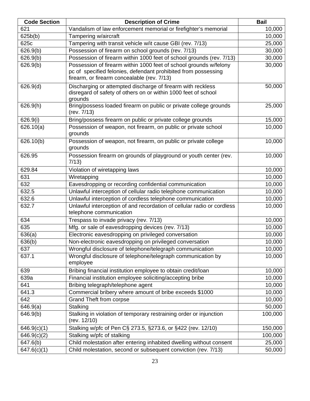| <b>Code Section</b> | <b>Description of Crime</b>                                                                                                                                                        | <b>Bail</b> |
|---------------------|------------------------------------------------------------------------------------------------------------------------------------------------------------------------------------|-------------|
| 621                 | Vandalism of law enforcement memorial or firefighter's memorial                                                                                                                    | 10,000      |
| 625b(b)             | Tampering w/aircraft                                                                                                                                                               | 10,000      |
| 625c                | Tampering with transit vehicle w/it cause GBI (rev. 7/13)                                                                                                                          | 25,000      |
| 626.9(b)            | Possession of firearm on school grounds (rev. 7/13)                                                                                                                                | 30,000      |
| 626.9(b)            | Possession of firearm within 1000 feet of school grounds (rev. 7/13)                                                                                                               | 30,000      |
| 626.9(b)            | Possession of firearm within 1000 feet of school grounds w/felony<br>pc of specified felonies, defendant prohibited from possessing<br>firearm, or firearm concealable (rev. 7/13) | 30,000      |
| 626.9(d)            | Discharging or attempted discharge of firearm with reckless<br>disregard of safety of others on or within 1000 feet of school<br>grounds                                           | 50,000      |
| 626.9(h)            | Bring/possess loaded firearm on public or private college grounds<br>(rev. 7/13)                                                                                                   | 25,000      |
| 626.9(i)            | Bring/possess firearm on public or private college grounds                                                                                                                         | 15,000      |
| 626.10(a)           | Possession of weapon, not firearm, on public or private school<br>grounds                                                                                                          | 10,000      |
| 626.10(b)           | Possession of weapon, not firearm, on public or private college<br>grounds                                                                                                         | 10,000      |
| 626.95              | Possession firearm on grounds of playground or youth center (rev.<br>7/13)                                                                                                         | 10,000      |
| 629.84              | Violation of wiretapping laws                                                                                                                                                      | 10,000      |
| 631                 | Wiretapping                                                                                                                                                                        | 10,000      |
| 632                 | Eavesdropping or recording confidential communication                                                                                                                              | 10,000      |
| 632.5               | Unlawful interception of cellular radio telephone communication                                                                                                                    | 10,000      |
| 632.6               | Unlawful interception of cordless telephone communication                                                                                                                          | 10,000      |
| 632.7               | Unlawful interception of and recordation of cellular radio or cordless<br>telephone communication                                                                                  | 10,000      |
| 634                 | Trespass to invade privacy (rev. 7/13)                                                                                                                                             | 10,000      |
| 635                 | Mfg. or sale of eavesdropping devices (rev. 7/13)                                                                                                                                  | 10,000      |
| 636(a)              | Electronic eavesdropping on privileged conversation                                                                                                                                | 10,000      |
| 636(b)              | Non-electronic eavesdropping on privileged conversation                                                                                                                            | 10,000      |
| 637                 | Wrongful disclosure of telephone/telegraph communication                                                                                                                           | 10,000      |
| 637.1               | Wrongful disclosure of telephone/telegraph communication by<br>employee                                                                                                            | 10,000      |
| 639                 | Bribing financial institution employee to obtain credit/loan                                                                                                                       | 10,000      |
| 639a                | Financial institution employee soliciting/accepting bribe                                                                                                                          | 10,000      |
| 641                 | Bribing telegraph/telephone agent                                                                                                                                                  | 10,000      |
| 641.3               | Commercial bribery where amount of bribe exceeds \$1000                                                                                                                            | 10,000      |
| 642                 | <b>Grand Theft from corpse</b>                                                                                                                                                     | 10,000      |
| 646.9(a)            | Stalking                                                                                                                                                                           | 50,000      |
| 646.9(b)            | Stalking in violation of temporary restraining order or injunction<br>(rev. 12/10)                                                                                                 | 100,000     |
| 646.9(c)(1)         | Stalking w/pfc of Pen C§ 273.5, §273.6, or §422 (rev. 12/10)                                                                                                                       | 150,000     |
| 646.9(c)(2)         | Stalking w/pfc of stalking                                                                                                                                                         | 100,000     |
| 647.6(b)            | Child molestation after entering inhabited dwelling without consent                                                                                                                | 25,000      |
| 647.6(c)(1)         | Child molestation, second or subsequent conviction (rev. 7/13)                                                                                                                     | 50,000      |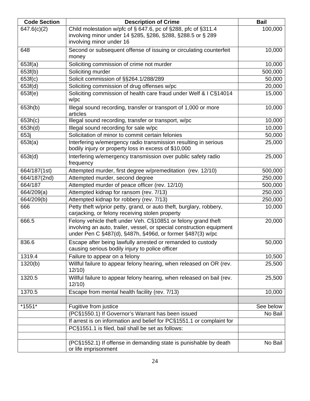| <b>Code Section</b> | <b>Description of Crime</b>                                                                                                                                                                         | <b>Bail</b> |
|---------------------|-----------------------------------------------------------------------------------------------------------------------------------------------------------------------------------------------------|-------------|
| 647.6(c)(2)         | Child molestation w/pfc of § 647.6, pc of §288, pfc of §311.4<br>involving minor under 14 §285, §286, §288, §288.5 or § 289<br>involving minor under 16                                             | 100,000     |
| 648                 | Second or subsequent offense of issuing or circulating counterfeit<br>money                                                                                                                         | 10,000      |
| 653f(a)             | Soliciting commission of crime not murder                                                                                                                                                           | 10,000      |
| 653f(b)             | Soliciting murder                                                                                                                                                                                   | 500,000     |
| 653f(c)             | Solicit commission of §§264.1/288/289                                                                                                                                                               | 50,000      |
| 653f(d)             | Soliciting commission of drug offenses w/pc                                                                                                                                                         | 20,000      |
| 653f(e)             | Soliciting commission of health care fraud under Welf & I C§14014<br>W/PC                                                                                                                           | 15,000      |
| 653h(b)             | Illegal sound recording, transfer or transport of 1,000 or more<br>articles                                                                                                                         | 10,000      |
| 653h(c)             | Illegal sound recording, transfer or transport, w/pc                                                                                                                                                | 10,000      |
| 653h(d)             | Illegal sound recording for sale w/pc                                                                                                                                                               | 10,000      |
| 653j                | Solicitation of minor to commit certain felonies                                                                                                                                                    | 50,000      |
| 653t(a)             | Interfering w/emergency radio transmission resulting in serious<br>bodily injury or property loss in excess of \$10,000                                                                             | 25,000      |
| 653t(d)             | Interfering w/emergency transmission over public safety radio<br>frequency                                                                                                                          | 25,000      |
| 664/187(1st)        | Attempted murder, first degree w/premeditation (rev. 12/10)                                                                                                                                         | 500,000     |
| 664/187(2nd)        | Attempted murder, second degree                                                                                                                                                                     | 250,000     |
| 664/187             | Attempted murder of peace officer (rev. 12/10)                                                                                                                                                      | 500,000     |
| 664/209(a)          | Attempted kidnap for ransom (rev. 7/13)                                                                                                                                                             | 250,000     |
| 664/209(b)          | Attempted kidnap for robbery (rev. 7/13)                                                                                                                                                            | 250,000     |
| 666                 | Petty theft w/prior petty, grand, or auto theft, burglary, robbery,<br>carjacking, or felony receiving stolen property                                                                              | 10,000      |
| 666.5               | Felony vehicle theft under Veh. C§10851 or felony grand theft<br>involving an auto, trailer, vessel, or special construction equipment<br>under Pen C §487(d), §487h, §496d, or former §487(3) w/pc | 20,000      |
| 836.6               | Escape after being lawfully arrested or remanded to custody<br>causing serious bodily injury to police officer                                                                                      | 50,000      |
| 1319.4              | Failure to appear on a felony                                                                                                                                                                       | 10,500      |
| 1320(b)             | Willful failure to appear felony hearing, when released on OR (rev.<br>12/10                                                                                                                        | 25,500      |
| 1320.5              | Willful failure to appear felony hearing, when released on bail (rev.<br>12/10                                                                                                                      | 25,500      |
| 1370.5              | Escape from mental health facility (rev. 7/13)                                                                                                                                                      | 10,000      |
|                     |                                                                                                                                                                                                     |             |
| *1551*              | Fugitive from justice                                                                                                                                                                               | See below   |
|                     | (PC§1550.1) If Governor's Warrant has been issued                                                                                                                                                   | No Bail     |
|                     | If arrest is on information and belief for PC§1551.1 or complaint for                                                                                                                               |             |
|                     | PC§1551.1 is filed, bail shall be set as follows:                                                                                                                                                   |             |
|                     |                                                                                                                                                                                                     |             |
|                     | (PC§1552.1) If offense in demanding state is punishable by death<br>or life imprisonment                                                                                                            | No Bail     |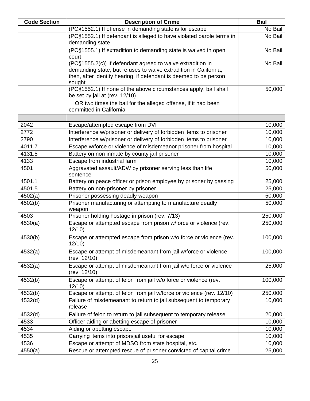| <b>Code Section</b> | <b>Description of Crime</b>                                                                                                                                                                                   | <b>Bail</b> |
|---------------------|---------------------------------------------------------------------------------------------------------------------------------------------------------------------------------------------------------------|-------------|
|                     | (PC§1552.1) If offense in demanding state is for escape                                                                                                                                                       | No Bail     |
|                     | (PC§1552.1) If defendant is alleged to have violated parole terms in<br>demanding state                                                                                                                       | No Bail     |
|                     | (PC§1555.1) If extradition to demanding state is waived in open<br>court                                                                                                                                      | No Bail     |
|                     | (PC§1555.2(c)) If defendant agreed to waive extradition in<br>demanding state, but refuses to waive extradition in California,<br>then, after identity hearing, if defendant is deemed to be person<br>sought | No Bail     |
|                     | (PC§1552.1) If none of the above circumstances apply, bail shall<br>be set by jail at (rev. 12/10)                                                                                                            | 50,000      |
|                     | OR two times the bail for the alleged offense, if it had been<br>committed in California                                                                                                                      |             |
| 2042                | Escape/attempted escape from DVI                                                                                                                                                                              | 10,000      |
| 2772                | Interference w/prisoner or delivery of forbidden items to prisoner                                                                                                                                            | 10,000      |
| 2790                | Interference w/prisoner or delivery of forbidden items to prisoner                                                                                                                                            | 10,000      |
| 4011.7              | Escape w/force or violence of misdemeanor prisoner from hospital                                                                                                                                              | 10,000      |
| 4131.5              | Battery on non inmate by county jail prisoner                                                                                                                                                                 | 10,000      |
| 4133                | Escape from industrial farm                                                                                                                                                                                   | 10,000      |
| 4501                | Aggravated assault/ADW by prisoner serving less than life<br>sentence                                                                                                                                         | 50,000      |
| 4501.1              | Battery on peace officer or prison employee by prisoner by gassing                                                                                                                                            | 25,000      |
| 4501.5              | Battery on non-prisoner by prisoner                                                                                                                                                                           | 25,000      |
| 4502(a)             | Prisoner possessing deadly weapon                                                                                                                                                                             | 50,000      |
| 4502(b)             | Prisoner manufacturing or attempting to manufacture deadly<br>weapon                                                                                                                                          | 50,000      |
| 4503                | Prisoner holding hostage in prison (rev. 7/13)                                                                                                                                                                | 250,000     |
| 4530(a)             | Escape or attempted escape from prison w/force or violence (rev.<br>12/10                                                                                                                                     | 250,000     |
| 4530(b)             | Escape or attempted escape from prison w/o force or violence (rev.<br>12/10                                                                                                                                   | 100,000     |
| 4532(a)             | Escape or attempt of misdemeanant from jail w/force or violence<br>(rev. 12/10)                                                                                                                               | 100,000     |
| 4532(a)             | Escape or attempt of misdemeanant from jail w/o force or violence<br>(rev. 12/10)                                                                                                                             | 25,000      |
| 4532(b)             | Escape or attempt of felon from jail w/o force or violence (rev.<br>12/10                                                                                                                                     | 100,000     |
| 4532(b)             | Escape or attempt of felon from jail w/force or violence (rev. 12/10)                                                                                                                                         | 250,000     |
| 4532(d)             | Failure of misdemeanant to return to jail subsequent to temporary<br>release                                                                                                                                  | 10,000      |
| 4532(d)             | Failure of felon to return to jail subsequent to temporary release                                                                                                                                            | 20,000      |
| 4533                | Officer aiding or abetting escape of prisoner                                                                                                                                                                 | 10,000      |
| 4534                | Aiding or abetting escape                                                                                                                                                                                     | 10,000      |
| 4535                | Carrying items into prison/jail useful for escape                                                                                                                                                             | 10,000      |
| 4536                | Escape or attempt of MDSO from state hospital, etc.                                                                                                                                                           | 10,000      |
| 4550(a)             | Rescue or attempted rescue of prisoner convicted of capital crime                                                                                                                                             | 25,000      |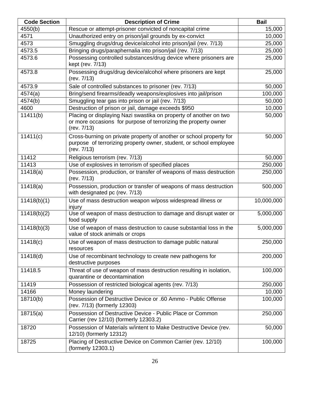| <b>Code Section</b> | <b>Description of Crime</b>                                                                                                                              | <b>Bail</b> |
|---------------------|----------------------------------------------------------------------------------------------------------------------------------------------------------|-------------|
| 4550(b)             | Rescue or attempt-prisoner convicted of noncapital crime                                                                                                 | 15,000      |
| 4571                | Unauthorized entry on prison/jail grounds by ex-convict                                                                                                  | 10,000      |
| 4573                | Smuggling drugs/drug device/alcohol into prison/jail (rev. 7/13)                                                                                         | 25,000      |
| 4573.5              | Bringing drugs/paraphernalia into prison/jail (rev. 7/13)                                                                                                | 25,000      |
| 4573.6              | Possessing controlled substances/drug device where prisoners are<br>kept (rev. 7/13)                                                                     | 25,000      |
| 4573.8              | Possessing drugs/drug device/alcohol where prisoners are kept<br>(rev. 7/13)                                                                             | 25,000      |
| 4573.9              | Sale of controlled substances to prisoner (rev. 7/13)                                                                                                    | 50,000      |
| 4574(a)             | Bring/send firearms/deadly weapons/explosives into jail/prison                                                                                           | 100,000     |
| 4574(b)             | Smuggling tear gas into prison or jail (rev. 7/13)                                                                                                       | 50,000      |
| 4600                | Destruction of prison or jail, damage exceeds \$950                                                                                                      | 10,000      |
| 11411(b)            | Placing or displaying Nazi swastika on property of another on two<br>or more occasions for purpose of terrorizing the property owner<br>(rev. 7/13)      | 50,000      |
| 11411(c)            | Cross-burning on private property of another or school property for<br>purpose of terrorizing property owner, student, or school employee<br>(rev. 7/13) | 50,000      |
| 11412               | Religious terrorism (rev. 7/13)                                                                                                                          | 50,000      |
| 11413               | Use of explosives in terrorism of specified places                                                                                                       | 250,000     |
| 11418(a)            | Possession, production, or transfer of weapons of mass destruction<br>(rev. 7/13)                                                                        | 250,000     |
| 11418(a)            | Possession, production or transfer of weapons of mass destruction<br>with designated pc (rev. 7/13)                                                      | 500,000     |
| 11418(b)(1)         | Use of mass destruction weapon w/poss widespread illness or<br>injury                                                                                    | 10,000,000  |
| 11418(b)(2)         | Use of weapon of mass destruction to damage and disrupt water or<br>food supply                                                                          | 5,000,000   |
| 11418(b)(3)         | Use of weapon of mass destruction to cause substantial loss in the<br>value of stock animals or crops                                                    | 5,000,000   |
| 11418(c)            | Use of weapon of mass destruction to damage public natural<br>resources                                                                                  | 250,000     |
| 11418(d)            | Use of recombinant technology to create new pathogens for<br>destructive purposes                                                                        | 200,000     |
| 11418.5             | Threat of use of weapon of mass destruction resulting in isolation,<br>quarantine or decontamination                                                     | 100,000     |
| 11419               | Possession of restricted biological agents (rev. 7/13)                                                                                                   | 250,000     |
| 14166               | Money laundering                                                                                                                                         | 10,000      |
| 18710(b)            | Possession of Destructive Device or .60 Ammo - Public Offense<br>(rev. 7/13) (formerly 12303)                                                            | 100,000     |
| 18715(a)            | Possession of Destructive Device - Public Place or Common<br>Carrier (rev 12/10) (formerly 12303.2)                                                      | 250,000     |
| 18720               | Possession of Materials w/intent to Make Destructive Device (rev.<br>12/10) (formerly 12312)                                                             | 50,000      |
| 18725               | Placing of Destructive Device on Common Carrier (rev. 12/10)<br>(formerly 12303.1)                                                                       | 100,000     |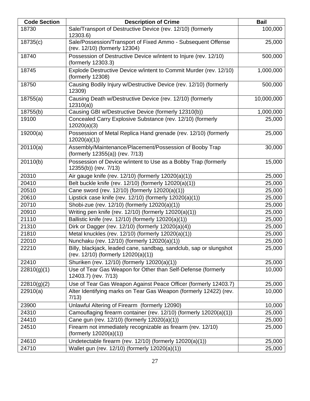| <b>Code Section</b> | <b>Description of Crime</b>                                                                               | <b>Bail</b> |
|---------------------|-----------------------------------------------------------------------------------------------------------|-------------|
| 18730               | Sale/Transport of Destructive Device (rev. 12/10) (formerly<br>12303.6)                                   | 100,000     |
| 18735(c)            | Sale/Possession/Transport of Fixed Ammo - Subsequent Offense<br>(rev. 12/10) (formerly 12304)             | 25,000      |
| 18740               | Possession of Destructive Device w/intent to Injure (rev. 12/10)<br>(formerly 12303.3)                    | 500,000     |
| 18745               | Explode Destructive Device w/intent to Commit Murder (rev. 12/10)<br>(formerly 12308)                     | 1,000,000   |
| 18750               | Causing Bodily Injury w/Destructive Device (rev. 12/10) (formerly<br>12309)                               | 500,000     |
| 18755(a)            | Causing Death w/Destructive Device (rev. 12/10) (formerly<br>12310(a)                                     | 10,000,000  |
| 18755(b)            | Causing GBI w/Destructive Device (formerly 12310(b))                                                      | 1,000,000   |
| 19100               | Concealed Carry Explosive Substance (rev. 12/10) (formerly<br>12020(a)(3)                                 | 25,000      |
| 19200(a)            | Possession of Metal Replica Hand grenade (rev. 12/10) (formerly<br>12020(a)(1)                            | 25,000      |
| 20110(a)            | Assembly/Maintenance/Placement/Possession of Booby Trap<br>(formerly 12355(a)) (rev. 7/13)                | 30,000      |
| 20110(b)            | Possession of Device w/intent to Use as a Bobby Trap (formerly<br>12355(b)) (rev. 7/13)                   | 15,000      |
| 20310               | Air gauge knife (rev. 12/10) (formerly 12020(a)(1))                                                       | 25,000      |
| 20410               | Belt buckle knife (rev. 12/10) (formerly 12020(a)(1))                                                     | 25,000      |
| 20510               | Cane sword (rev. 12/10) (formerly 12020(a)(1))                                                            | 25,000      |
| 20610               | Lipstick case knife (rev. 12/10) (formerly 12020(a)(1))                                                   | 25,000      |
| 20710               | Shobi-zue (rev. 12/10) (formerly 12020(a)(1))                                                             | 25,000      |
| 20910               | Writing pen knife (rev. 12/10) (formerly 12020(a)(1))                                                     | 25,000      |
| 21110               | Ballistic knife (rev. 12/10) (formerly 12020(a)(1))                                                       | 25,000      |
| 21310               | Dirk or Dagger (rev. 12/10) (formerly 12020(a)(4))                                                        | 25,000      |
| 21810               | Metal knuckles (rev. 12/10) (formerly 12020(a)(1))                                                        | 25,000      |
| 22010               | Nunchaku (rev. 12/10) (formerly 12020(a)(1))                                                              | 25,000      |
| 22210               | Billy, blackjack, leaded cane, sandbag, sandclub, sap or slungshot<br>(rev. 12/10) (formerly 12020(a)(1)) | 25,000      |
| 22410               | Shuriken (rev. 12/10) (formerly 12020(a)(1))                                                              | 25,000      |
| 22810(g)(1)         | Use of Tear Gas Weapon for Other than Self-Defense (formerly<br>12403.7) (rev. 7/13)                      | 10,000      |
| 22810(g)(2)         | Use of Tear Gas Weapon Against Peace Officer (formerly 12403.7)                                           | 25,000      |
| 22910(a)            | Alter Identifying marks on Tear Gas Weapon (formerly 12422) (rev.<br>7/13)                                | 10,000      |
| 23900               | Unlawful Altering of Firearm (formerly 12090)                                                             | 10,000      |
| 24310               | Camouflaging firearm container (rev. 12/10) (formerly 12020(a)(1))                                        | 25,000      |
| 24410               | Cane gun (rev. 12/10) (formerly 12020(a)(1))                                                              | 25,000      |
| 24510               | Firearm not immediately recognizable as firearm (rev. 12/10)<br>(formerly $12020(a)(1)$ )                 | 25,000      |
| 24610               | Undetectable firearm (rev. 12/10) (formerly 12020(a)(1))                                                  | 25,000      |
| 24710               | Wallet gun (rev. 12/10) (formerly 12020(a)(1))                                                            | 25,000      |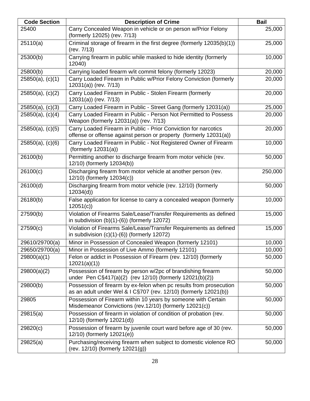| <b>Code Section</b>   | <b>Description of Crime</b>                                                                                                            | <b>Bail</b> |
|-----------------------|----------------------------------------------------------------------------------------------------------------------------------------|-------------|
| 25400                 | Carry Concealed Weapon in vehicle or on person w/Prior Felony<br>(formerly 12025) (rev. 7/13)                                          | 25,000      |
| 25110(a)              | Criminal storage of firearm in the first degree (formerly 12035(b)(1))<br>(rev. 7/13)                                                  | 25,000      |
| 25300(b)              | Carrying firearm in public while masked to hide identity (formerly<br>12040)                                                           | 10,000      |
| 25800(b)              | Carrying loaded firearm w/it commit felony (formerly 12023)                                                                            | 20,000      |
| 25850(a), (c)(1)      | Carry Loaded Firearm in Public w/Prior Felony Conviction (formerly<br>12031(a)) (rev. 7/13)                                            | 20,000      |
| 25850(a), (c)(2)      | Carry Loaded Firearm in Public - Stolen Firearm (formerly<br>12031(a)) (rev. 7/13)                                                     | 20,000      |
| 25850(a), (c)(3)      | Carry Loaded Firearm in Public - Street Gang (formerly 12031(a))                                                                       | 25,000      |
| $25850(a)$ , (c)(4)   | Carry Loaded Firearm in Public - Person Not Permitted to Possess<br>Weapon (formerly 12031(a)) (rev. 7/13)                             | 20,000      |
| 25850(a), (c)(5)      | Carry Loaded Firearm in Public - Prior Conviction for narcotics<br>offense or offense against person or property (formerly 12031(a))   | 20,000      |
| $25850(a)$ , $(c)(6)$ | Carry Loaded Firearm in Public - Not Registered Owner of Firearm<br>(formerly $12031(a)$ )                                             | 10,000      |
| 26100(b)              | Permitting another to discharge firearm from motor vehicle (rev.<br>12/10) (formerly 12034(b))                                         | 50,000      |
| 26100(c)              | Discharging firearm from motor vehicle at another person (rev.<br>12/10) (formerly 12034(c))                                           | 250,000     |
| 26100(d)              | Discharging firearm from motor vehicle (rev. 12/10) (formerly<br>12034(d)                                                              | 50,000      |
| 26180(b)              | False application for license to carry a concealed weapon (formerly<br>12051(c)                                                        | 10,000      |
| 27590(b)              | Violation of Firearms Sale/Lease/Transfer Requirements as defined<br>in subdivision $(b)(1)-(6)$ ) (formerly 12072)                    | 15,000      |
| 27590(c)              | Violation of Firearms Sale/Lease/Transfer Requirements as defined<br>in subdivision $(c)(1)-(6)$ ) (formerly 12072)                    | 15,000      |
| 29610/29700(a)        | Minor in Possession of Concealed Weapon (formerly 12101)                                                                               | 10,000      |
| 29650/29700(a)        | Minor in Possession of Live Ammo (formerly 12101)                                                                                      | 10,000      |
| 29800(a)(1)           | Felon or addict in Possession of Firearm (rev. 12/10) (formerly<br>12021(a)(1)                                                         | 50,000      |
| 29800(a)(2)           | Possession of firearm by person w/2pc of brandishing firearm<br>under Pen C§417(a)(2) (rev 12/10) (formerly 12021(b)(2))               | 50,000      |
| 29800(b)              | Possession of firearm by ex-felon when pc results from prosecution<br>as an adult under Wel & I C§707 (rev. 12/10) (formerly 12021(b)) | 50,000      |
| 29805                 | Possession of Firearm within 10 years by someone with Certain<br>Misdemeanor Convictions (rev.12/10) (formerly 12021(c))               | 50,000      |
| 29815(a)              | Possession of firearm in violation of condition of probation (rev.<br>12/10) (formerly 12021(d))                                       | 50,000      |
| 29820(c)              | Possession of firearm by juvenile court ward before age of 30 (rev.<br>12/10) (formerly 12021(e))                                      | 50,000      |
| 29825(a)              | Purchasing/receiving firearm when subject to domestic violence RO<br>(rev. 12/10) (formerly 12021(g))                                  | 50,000      |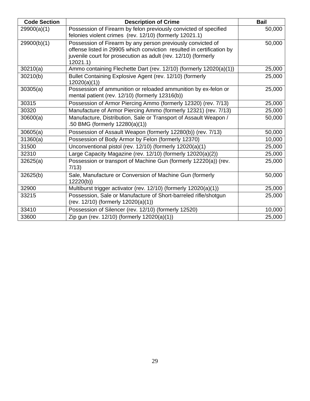| <b>Code Section</b> | <b>Description of Crime</b>                                                                                                                                                                                       | <b>Bail</b> |
|---------------------|-------------------------------------------------------------------------------------------------------------------------------------------------------------------------------------------------------------------|-------------|
| 29900(a)(1)         | Possession of Firearm by felon previously convicted of specified<br>felonies violent crimes (rev. 12/10) (formerly 12021.1)                                                                                       | 50,000      |
| 29900(b)(1)         | Possession of Firearm by any person previously convicted of<br>offense listed in 29905 which conviction resulted in certification by<br>juvenile court for prosecution as adult (rev. 12/10) (formerly<br>12021.1 | 50,000      |
| 30210(a)            | Ammo containing Flechette Dart (rev. 12/10) (formerly 12020(a)(1))                                                                                                                                                | 25,000      |
| 30210(b)            | Bullet Containing Explosive Agent (rev. 12/10) (formerly<br>12020(a)(1)                                                                                                                                           | 25,000      |
| 30305(a)            | Possession of ammunition or reloaded ammunition by ex-felon or<br>mental patient (rev. 12/10) (formerly 12316(b))                                                                                                 | 25,000      |
| 30315               | Possession of Armor Piercing Ammo (formerly 12320) (rev. 7/13)                                                                                                                                                    | 25,000      |
| 30320               | Manufacture of Armor Piercing Ammo (formerly 12321) (rev. 7/13)                                                                                                                                                   | 25,000      |
| 30600(a)            | Manufacture, Distribution, Sale or Transport of Assault Weapon /<br>.50 BMG (formerly 12280(a)(1))                                                                                                                | 50,000      |
| 30605(a)            | Possession of Assault Weapon (formerly 12280(b)) (rev. 7/13)                                                                                                                                                      | 50,000      |
| 31360(a)            | Possession of Body Armor by Felon (formerly 12370)                                                                                                                                                                | 10,000      |
| 31500               | Unconventional pistol (rev. 12/10) (formerly 12020(a)(1)                                                                                                                                                          | 25,000      |
| 32310               | Large Capacity Magazine (rev. 12/10) (formerly 12020(a)(2))                                                                                                                                                       | 25,000      |
| 32625(a)            | Possession or transport of Machine Gun (formerly 12220(a)) (rev.<br>7/13)                                                                                                                                         | 25,000      |
| 32625(b)            | Sale, Manufacture or Conversion of Machine Gun (formerly<br>12220(b)                                                                                                                                              | 50,000      |
| 32900               | Multiburst trigger activator (rev. 12/10) (formerly 12020(a)(1))                                                                                                                                                  | 25,000      |
| 33215               | Possession, Sale or Manufacture of Short-barreled rifle/shotgun<br>$(rev. 12/10)$ (formerly $12020(a)(1)$ )                                                                                                       | 25,000      |
| 33410               | Possession of Silencer (rev. 12/10) (formerly 12520)                                                                                                                                                              | 10,000      |
| 33600               | Zip gun (rev. 12/10) (formerly 12020(a)(1))                                                                                                                                                                       | 25,000      |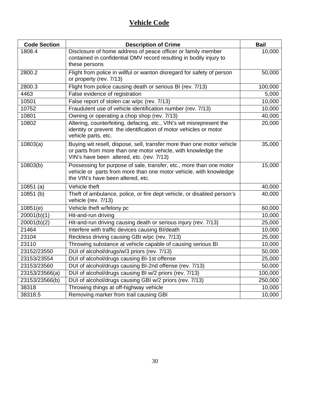| <b>Code Section</b> | <b>Description of Crime</b>                                                                                                                                                          | <b>Bail</b> |
|---------------------|--------------------------------------------------------------------------------------------------------------------------------------------------------------------------------------|-------------|
| 1808.4              | Disclosure of home address of peace officer or family member<br>contained in confidential DMV record resulting in bodily injury to<br>these persons                                  | 10,000      |
| 2800.2              | Flight from police in willful or wanton disregard for safety of person<br>or property (rev. 7/13)                                                                                    | 50,000      |
| 2800.3              | Flight from police causing death or serious BI (rev. 7/13)                                                                                                                           | 100,000     |
| 4463                | False evidence of registration                                                                                                                                                       | 5,000       |
| 10501               | False report of stolen car w/pc (rev. 7/13)                                                                                                                                          | 10,000      |
| 10752               | Fraudulent use of vehicle identification number (rev. 7/13)                                                                                                                          | 10,000      |
| 10801               | Owning or operating a chop shop (rev. 7/13)                                                                                                                                          | 40,000      |
| 10802               | Altering, counterfeiting, defacing, etc., VIN's wit misrepresent the<br>identity or prevent the identification of motor vehicles or motor<br>vehicle parts, etc.                     | 20,000      |
| 10803(a)            | Buying wit resell, dispose, sell, transfer more than one motor vehicle<br>or parts from more than one motor vehicle, with knowledge the<br>VIN's have been altered, etc. (rev. 7/13) | 35,000      |
| 10803(b)            | Possessing for purpose of sale, transfer, etc., more than one motor<br>vehicle or parts from more than one motor vehicle, with knowledge<br>the VIN's have been altered, etc.        | 15,000      |
| 10851(a)            | Vehicle theft                                                                                                                                                                        | 40,000      |
| 10851 (b)           | Theft of ambulance, police, or fire dept vehicle, or disabled person's<br>vehicle (rev. 7/13)                                                                                        | 40,000      |
| 10851(e)            | Vehicle theft w/felony pc                                                                                                                                                            | 60,000      |
| 20001(b)(1)         | Hit-and-run driving                                                                                                                                                                  | 10,000      |
| 20001(b)(2)         | Hit-and-run driving causing death or serious injury (rev. 7/13)                                                                                                                      | 25,000      |
| 21464               | Interfere with traffic devices causing BI/death                                                                                                                                      | 10,000      |
| 23104               | Reckless driving causing GBI w/pc (rev. 7/13)                                                                                                                                        | 25,000      |
| 23110               | Throwing substance at vehicle capable of causing serious BI                                                                                                                          | 10,000      |
| 23152/23550         | DUI of alcohol/drugs/w/3 priors (rev. 7/13)                                                                                                                                          | 50,000      |
| 23153/23554         | DUI of alcohol/drugs causing BI-1st offense                                                                                                                                          | 25,000      |
| 23153/23560         | DUI of alcohol/drugs causing BI-2nd offense (rev. 7/13)                                                                                                                              | 50,000      |
| 23153/23566(a)      | DUI of alcohol/drugs causing BI w/2 priors (rev. 7/13)                                                                                                                               | 100,000     |
| 23153/23566(b)      | DUI of alcohol/drugs causing GBI w/2 priors (rev. 7/13)                                                                                                                              | 250,000     |
| 38318               | Throwing things at off-highway vehicle                                                                                                                                               | 10,000      |
| 38318.5             | Removing marker from trail causing GBI                                                                                                                                               | 10,000      |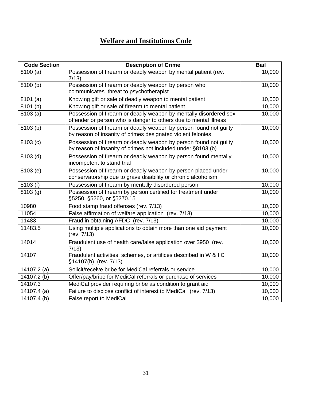#### **Welfare and Institutions Code**

| <b>Code Section</b>   | <b>Description of Crime</b>                                                                                                           | <b>Bail</b> |
|-----------------------|---------------------------------------------------------------------------------------------------------------------------------------|-------------|
| 8100(a)               | Possession of firearm or deadly weapon by mental patient (rev.<br>7/13)                                                               | 10,000      |
| 8100 (b)              | Possession of firearm or deadly weapon by person who<br>communicates threat to psychotherapist                                        | 10,000      |
| 8101(a)               | Knowing gift or sale of deadly weapon to mental patient                                                                               | 10,000      |
| 8101 (b)              | Knowing gift or sale of firearm to mental patient                                                                                     | 10,000      |
| 8103(a)               | Possession of firearm or deadly weapon by mentally disordered sex<br>offender or person who is danger to others due to mental illness | 10,000      |
| 8103 (b)              | Possession of firearm or deadly weapon by person found not guilty<br>by reason of insanity of crimes designated violent felonies      | 10,000      |
| 8103 (c)              | Possession of firearm or deadly weapon by person found not guilty<br>by reason of insanity of crimes not included under §8103 (b)     | 10,000      |
| 8103 (d)              | Possession of firearm or deadly weapon by person found mentally<br>incompetent to stand trial                                         | 10,000      |
| 8103 (e)              | Possession of firearm or deadly weapon by person placed under<br>conservatorship due to grave disability or chronic alcoholism        | 10,000      |
| 8103 (f)              | Possession of firearm by mentally disordered person                                                                                   | 10,000      |
| $\overline{8}103$ (g) | Possession of firearm by person certified for treatment under<br>§5250, §5260, or §5270.15                                            | 10,000      |
| 10980                 | Food stamp fraud offenses (rev. 7/13)                                                                                                 | 10,000      |
| 11054                 | False affirmation of welfare application (rev. 7/13)                                                                                  | 10,000      |
| 11483                 | Fraud in obtaining AFDC (rev. 7/13)                                                                                                   | 10,000      |
| 11483.5               | Using multiple applications to obtain more than one aid payment<br>(rev. 7/13)                                                        | 10,000      |
| 14014                 | Fraudulent use of health care/false application over \$950 (rev.<br>7/13)                                                             | 10,000      |
| 14107                 | Fraudulent activities, schemes, or artifices described in W & I C<br>§14107(b) (rev. 7/13)                                            | 10,000      |
| 14107.2 (a)           | Solicit/receive bribe for MediCal referrals or service                                                                                | 10,000      |
| 14107.2 (b)           | Offer/pay/bribe for MediCal referrals or purchase of services                                                                         | 10,000      |
| 14107.3               | MediCal provider requiring bribe as condition to grant aid                                                                            | 10,000      |
| 14107.4 (a)           | Failure to disclose conflict of interest to MediCal (rev. 7/13)                                                                       | 10,000      |
| 14107.4 (b)           | False report to MediCal                                                                                                               | 10,000      |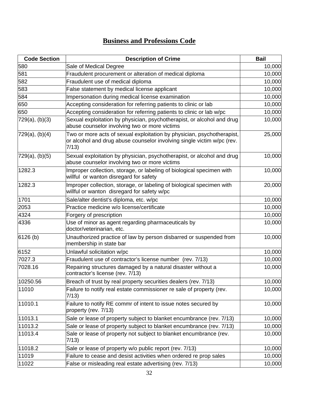| <b>Code Section</b> | <b>Description of Crime</b>                                                                                                                               | <b>Bail</b> |
|---------------------|-----------------------------------------------------------------------------------------------------------------------------------------------------------|-------------|
| 580                 | Sale of Medical Degree                                                                                                                                    | 10,000      |
| 581                 | Fraudulent procurement or alteration of medical diploma                                                                                                   | 10,000      |
| 582                 | Fraudulent use of medical diploma                                                                                                                         | 10,000      |
| 583                 | False statement by medical license applicant                                                                                                              | 10,000      |
| 584                 | Impersonation during medical license examination                                                                                                          | 10,000      |
| 650                 | Accepting consideration for referring patients to clinic or lab                                                                                           | 10,000      |
| 650                 | Accepting consideration for referring patients to clinic or lab w/pc                                                                                      | 10,000      |
| 729(a), (b)(3)      | Sexual exploitation by physician, psychotherapist, or alcohol and drug<br>abuse counselor involving two or more victims                                   | 10,000      |
| 729(a), (b)(4)      | Two or more acts of sexual exploitation by physician, psychotherapist,<br>or alcohol and drug abuse counselor involving single victim w/pc (rev.<br>7/13) | 25,000      |
| 729(a), (b)(5)      | Sexual exploitation by physician, psychotherapist, or alcohol and drug<br>abuse counselor involving two or more victims                                   | 10,000      |
| 1282.3              | Improper collection, storage, or labeling of biological specimen with<br>willful or wanton disregard for safety                                           | 10,000      |
| 1282.3              | Improper collection, storage, or labeling of biological specimen with<br>willful or wanton disregard for safety w/pc                                      | 20,000      |
| 1701                | Sale/alter dentist's diploma, etc. w/pc                                                                                                                   | 10,000      |
| 2053                | Practice medicine w/o license/certificate                                                                                                                 | 10,000      |
| 4324                | Forgery of prescription                                                                                                                                   | 10,000      |
| 4336                | Use of minor as agent regarding pharmaceuticals by<br>doctor/veterinarian, etc.                                                                           | 10,000      |
| 6126(b)             | Unauthorized practice of law by person disbarred or suspended from<br>membership in state bar                                                             | 10,000      |
| 6152                | Unlawful solicitation w/pc                                                                                                                                | 10,000      |
| 7027.3              | Fraudulent use of contractor's license number (rev. 7/13)                                                                                                 | 10,000      |
| 7028.16             | Repairing structures damaged by a natural disaster without a<br>contractor's license (rev. 7/13)                                                          | 10,000      |
| 10250.56            | Breach of trust by real property securities dealers (rev. 7/13)                                                                                           | 10,000      |
| 11010               | Failure to notify real estate commissioner re sale of property (rev.<br>7/13)                                                                             | 10,000      |
| 11010.1             | Failure to notify RE commr of intent to issue notes secured by<br>property (rev. 7/13)                                                                    | 10,000      |
| 11013.1             | Sale or lease of property subject to blanket encumbrance (rev. 7/13)                                                                                      | 10,000      |
| 11013.2             | Sale or lease of property subject to blanket encumbrance (rev. 7/13)                                                                                      | 10,000      |
| 11013.4             | Sale or lease of property not subject to blanket encumbrance (rev.<br>7/13)                                                                               | 10,000      |
| 11018.2             | Sale or lease of property w/o public report (rev. 7/13)                                                                                                   | 10,000      |
| 11019               | Failure to cease and desist activities when ordered re prop sales                                                                                         | 10,000      |
| 11022               | False or misleading real estate advertising (rev. 7/13)                                                                                                   | 10,000      |

#### **Business and Professions Code**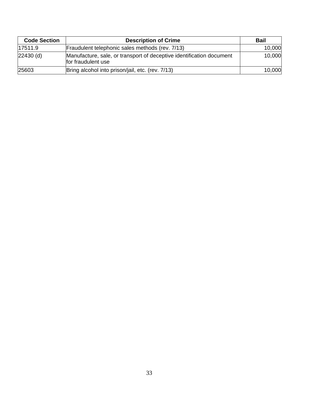| <b>Code Section</b> | <b>Description of Crime</b>                                                                | <b>Bail</b> |
|---------------------|--------------------------------------------------------------------------------------------|-------------|
| 17511.9             | Fraudulent telephonic sales methods (rev. 7/13)                                            | 10,000      |
| 22430 (d)           | Manufacture, sale, or transport of deceptive identification document<br>for fraudulent use | 10,000      |
| 25603               | Bring alcohol into prison/jail, etc. (rev. 7/13)                                           | 10,000      |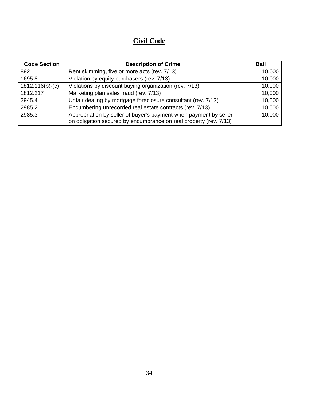#### **Civil Code**

| <b>Code Section</b> | <b>Description of Crime</b>                                                                                                            | <b>Bail</b> |
|---------------------|----------------------------------------------------------------------------------------------------------------------------------------|-------------|
| 892                 | Rent skimming, five or more acts (rev. 7/13)                                                                                           | 10,000      |
| 1695.8              | Violation by equity purchasers (rev. 7/13)                                                                                             | 10,000      |
| $1812.116(b)-(c)$   | Violations by discount buying organization (rev. 7/13)                                                                                 | 10,000      |
| 1812.217            | Marketing plan sales fraud (rev. 7/13)                                                                                                 | 10,000      |
| 2945.4              | Unfair dealing by mortgage foreclosure consultant (rev. 7/13)                                                                          | 10,000      |
| 2985.2              | Encumbering unrecorded real estate contracts (rev. 7/13)                                                                               | 10,000      |
| 2985.3              | Appropriation by seller of buyer's payment when payment by seller<br>on obligation secured by encumbrance on real property (rev. 7/13) | 10,000      |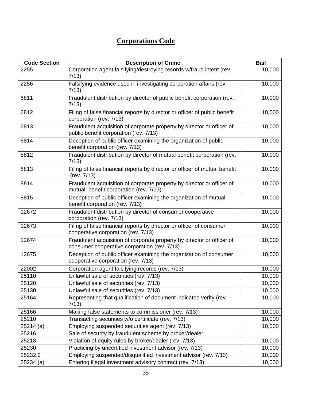#### **Corporations Code**

| <b>Code Section</b> | <b>Description of Crime</b>                                                                                            | <b>Bail</b> |
|---------------------|------------------------------------------------------------------------------------------------------------------------|-------------|
| 2255                | Corporation agent falsifying/destroying records w/fraud intent (rev.<br>7/13)                                          | 10,000      |
| 2256                | Falsifying evidence used in investigating corporation affairs (rev.<br>7/13)                                           | 10,000      |
| 6811                | Fraudulent distribution by director of public benefit corporation (rev.<br>7/13)                                       | 10,000      |
| 6812                | Filing of false financial reports by director or officer of public benefit<br>corporation (rev. 7/13)                  | 10,000      |
| 6813                | Fraudulent acquisition of corporate property by director or officer of<br>public benefit corporation (rev. 7/13)       | 10,000      |
| 6814                | Deception of public officer examining the organization of public<br>benefit corporation (rev. 7/13)                    | 10,000      |
| 8812                | Fraudulent distribution by director of mutual benefit corporation (rev.<br>7/13)                                       | 10,000      |
| 8813                | Filing of false financial reports by director or officer of mutual benefit<br>(rev. 7/13)                              | 10,000      |
| 8814                | Fraudulent acquisition of corporate property by director or officer of<br>mutual benefit corporation (rev. 7/13)       | 10,000      |
| 8815                | Deception of public officer examining the organization of mutual<br>benefit corporation (rev. 7/13)                    | 10,000      |
| 12672               | Fraudulent distribution by director of consumer cooperative<br>corporation (rev. 7/13)                                 | 10,000      |
| 12673               | Filing of false financial reports by director or officer of consumer<br>cooperative corporation (rev. 7/13)            | 10,000      |
| 12674               | Fraudulent acquisition of corporate property by director or officer of<br>consumer cooperative corporation (rev. 7/13) | 10,000      |
| 12675               | Deception of public officer examining the organization of consumer<br>cooperative corporation (rev. 7/13)              | 10,000      |
| 22002               | Corporation agent falsifying records (rev. 7/13)                                                                       | 10,000      |
| 25110               | Unlawful sale of securities (rev. 7/13)                                                                                | 10,000      |
| 25120               | Unlawful sale of securities (rev. 7/13)                                                                                | 10,000      |
| 25130               | Unlawful sale of securities (rev. 7/13)                                                                                | 10,000      |
| 25164               | Representing that qualification of document indicated verity (rev.<br>7/13)                                            | 10,000      |
| 25166               | Making false statements to commissioner (rev. 7/13)                                                                    | 10,000      |
| 25210               | Transacting securities w/o certificate (rev. 7/13)                                                                     | 10,000      |
| 25214(a)            | Employing suspended securities agent (rev. 7/13)                                                                       | 10,000      |
| 25216               | Sale of security by fraudulent scheme by broker/dealer                                                                 |             |
| 25218               | Violation of equity rules by broker/dealer (rev. 7/13)                                                                 | 10,000      |
| 25230               | Practicing by uncertified investment advisor (rev. 7/13)                                                               | 10,000      |
| 25232.2             | Employing suspended/disqualified investment advisor (rev. 7/13)                                                        | 10,000      |
| 25234 (a)           | Entering illegal investment advisory contract (rev. 7/13)                                                              | 10,000      |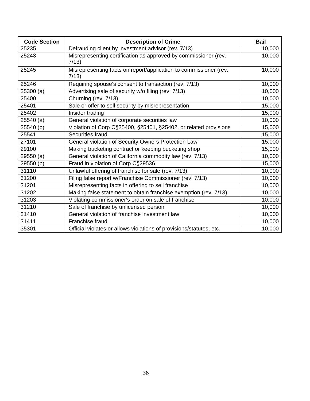| <b>Code Section</b> | <b>Description of Crime</b>                                                | <b>Bail</b> |
|---------------------|----------------------------------------------------------------------------|-------------|
| 25235               | Defrauding client by investment advisor (rev. 7/13)                        | 10,000      |
| 25243               | Misrepresenting certification as approved by commissioner (rev.<br>7/13)   | 10,000      |
| 25245               | Misrepresenting facts on report/application to commissioner (rev.<br>7/13) | 10,000      |
| 25246               | Requiring spouse's consent to transaction (rev. 7/13)                      | 10,000      |
| 25300 (a)           | Advertising sale of security w/o filing (rev. 7/13)                        | 10,000      |
| 25400               | Churning (rev. 7/13)                                                       | 10,000      |
| 25401               | Sale or offer to sell security by misrepresentation                        | 15,000      |
| 25402               | Insider trading                                                            | 15,000      |
| 25540 (a)           | General violation of corporate securities law                              | 10,000      |
| 25540 (b)           | Violation of Corp C§25400, §25401, §25402, or related provisions           | 15,000      |
| 25541               | Securities fraud                                                           | 15,000      |
| 27101               | General violation of Security Owners Protection Law                        | 15,000      |
| 29100               | Making bucketing contract or keeping bucketing shop                        | 15,000      |
| 29550 (a)           | General violation of California commodity law (rev. 7/13)                  | 10,000      |
| 29550 (b)           | Fraud in violation of Corp C§29536                                         | 15,000      |
| 31110               | Unlawful offering of franchise for sale (rev. 7/13)                        | 10,000      |
| 31200               | Filing false report w/Franchise Commissioner (rev. 7/13)                   | 10,000      |
| 31201               | Misrepresenting facts in offering to sell franchise                        | 10,000      |
| 31202               | Making false statement to obtain franchise exemption (rev. 7/13)           | 10,000      |
| 31203               | Violating commissioner's order on sale of franchise                        | 10,000      |
| 31210               | Sale of franchise by unlicensed person                                     | 10,000      |
| 31410               | General violation of franchise investment law                              | 10,000      |
| 31411               | Franchise fraud                                                            | 10,000      |
| 35301               | Official violates or allows violations of provisions/statutes, etc.        | 10,000      |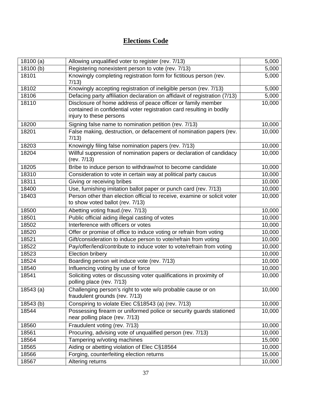# **Elections Code**

| 18100(a)  | Allowing unqualified voter to register (rev. 7/13)                                                                                                               | 5,000  |
|-----------|------------------------------------------------------------------------------------------------------------------------------------------------------------------|--------|
| 18100 (b) | Registering nonexistent person to vote (rev. 7/13)                                                                                                               | 5,000  |
| 18101     | Knowingly completing registration form for fictitious person (rev.<br>7/13)                                                                                      | 5,000  |
| 18102     | Knowingly accepting registration of ineligible person (rev. 7/13)                                                                                                | 5,000  |
| 18106     | Defacing party affiliation declaration on affidavit of registration (7/13)                                                                                       | 5,000  |
| 18110     | Disclosure of home address of peace officer or family member<br>contained in confidential voter registration card resulting in bodily<br>injury to these persons | 10,000 |
| 18200     | Signing false name to nomination petition (rev. 7/13)                                                                                                            | 10,000 |
| 18201     | False making, destruction, or defacement of nomination papers (rev.<br>7/13)                                                                                     | 10,000 |
| 18203     | Knowingly filing false nomination papers (rev. 7/13)                                                                                                             | 10,000 |
| 18204     | Willful suppression of nomination papers or declaration of candidacy<br>(rev. 7/13)                                                                              | 10,000 |
| 18205     | Bribe to induce person to withdraw/not to become candidate                                                                                                       | 10,000 |
| 18310     | Consideration to vote in certain way at political party caucus                                                                                                   | 10,000 |
| 18311     | Giving or receiving bribes                                                                                                                                       | 10,000 |
| 18400     | Use, furnishing imitation ballot paper or punch card (rev. 7/13)                                                                                                 | 10,000 |
| 18403     | Person other than election official to receive, examine or solicit voter<br>to show voted ballot (rev. 7/13)                                                     | 10,000 |
| 18500     | Abetting voting fraud.(rev. 7/13)                                                                                                                                | 10,000 |
| 18501     | Public official aiding illegal casting of votes                                                                                                                  | 10,000 |
| 18502     | Interference with officers or votes                                                                                                                              | 10,000 |
| 18520     | Offer or promise of office to induce voting or refrain from voting                                                                                               | 10,000 |
| 18521     | Gift/consideration to induce person to vote/refrain from voting                                                                                                  | 10,000 |
| 18522     | Pay/offer/lend/contribute to induce voter to vote/refrain from voting                                                                                            | 10,000 |
| 18523     | <b>Election bribery</b>                                                                                                                                          | 10,000 |
| 18524     | Boarding person wit induce vote (rev. 7/13)                                                                                                                      | 10,000 |
| 18540     | Influencing voting by use of force                                                                                                                               | 10,000 |
| 18541     | Soliciting votes or discussing voter qualifications in proximity of<br>polling place (rev. 7/13)                                                                 | 10,000 |
| 18543(a)  | Challenging person's right to vote w/o probable cause or on<br>fraudulent grounds (rev. 7/13)                                                                    | 10,000 |
| 18543 (b) | Conspiring to violate Elec C§18543 (a) (rev. 7/13)                                                                                                               | 10,000 |
| 18544     | Possessing firearm or uniformed police or security guards stationed<br>near polling place (rev. 7/13)                                                            | 10,000 |
| 18560     | Fraudulent voting (rev. 7/13)                                                                                                                                    | 10,000 |
| 18561     | Procuring, advising vote of unqualified person (rev. 7/13)                                                                                                       | 10,000 |
| 18564     | Tampering w/voting machines                                                                                                                                      | 15,000 |
| 18565     | Aiding or abetting violation of Elec C§18564                                                                                                                     | 10,000 |
| 18566     | Forging, counterfeiting election returns                                                                                                                         | 15,000 |
| 18567     | Altering returns                                                                                                                                                 | 10,000 |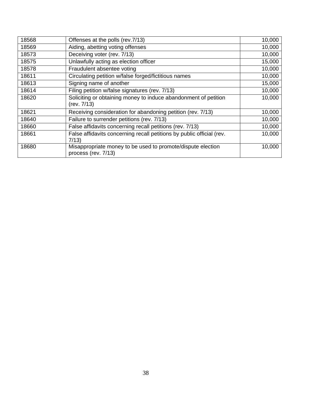| 18568 | Offenses at the polls (rev.7/13)                                                   | 10,000 |
|-------|------------------------------------------------------------------------------------|--------|
| 18569 | Aiding, abetting voting offenses                                                   | 10,000 |
| 18573 | Deceiving voter (rev. 7/13)                                                        | 10,000 |
| 18575 | Unlawfully acting as election officer                                              | 15,000 |
| 18578 | Fraudulent absentee voting                                                         | 10,000 |
| 18611 | Circulating petition w/false forged/fictitious names                               | 10,000 |
| 18613 | Signing name of another                                                            | 15,000 |
| 18614 | Filing petition w/false signatures (rev. 7/13)                                     | 10,000 |
| 18620 | Soliciting or obtaining money to induce abandonment of petition<br>(rev. 7/13)     | 10,000 |
| 18621 | Receiving consideration for abandoning petition (rev. 7/13)                        | 10,000 |
| 18640 | Failure to surrender petitions (rev. 7/13)                                         | 10,000 |
| 18660 | False affidavits concerning recall petitions (rev. 7/13)                           | 10,000 |
| 18661 | False affidavits concerning recall petitions by public official (rev.<br>7/13      | 10,000 |
| 18680 | Misappropriate money to be used to promote/dispute election<br>process (rev. 7/13) | 10,000 |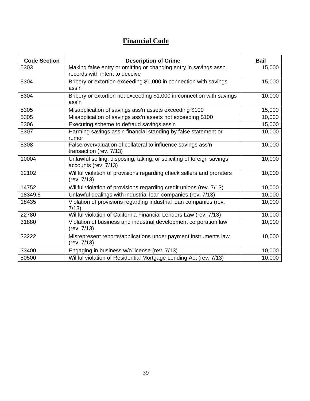# **Financial Code**

| <b>Code Section</b> | <b>Description of Crime</b>                                                                         | <b>Bail</b> |
|---------------------|-----------------------------------------------------------------------------------------------------|-------------|
| 5303                | Making false entry or omitting or changing entry in savings assn.<br>records with intent to deceive | 15,000      |
| 5304                | Bribery or extortion exceeding \$1,000 in connection with savings<br>ass'n                          | 15,000      |
| 5304                | Bribery or extortion not exceeding \$1,000 in connection with savings<br>ass'n                      | 10,000      |
| 5305                | Misapplication of savings ass'n assets exceeding \$100                                              | 15,000      |
| 5305                | Misapplication of savings ass'n assets not exceeding \$100                                          | 10,000      |
| 5306                | Executing scheme to defraud savings ass'n                                                           | 15,000      |
| 5307                | Harming savings ass'n financial standing by false statement or<br>rumor                             | 10,000      |
| 5308                | False overvaluation of collateral to influence savings ass'n<br>transaction (rev. 7/13)             | 10,000      |
| 10004               | Unlawful selling, disposing, taking, or soliciting of foreign savings<br>accounts (rev. 7/13)       | 10,000      |
| 12102               | Willful violation of provisions regarding check sellers and proraters<br>(rev. 7/13)                | 10,000      |
| 14752               | Willful violation of provisions regarding credit unions (rev. 7/13)                                 | 10,000      |
| 18349.5             | Unlawful dealings with industrial loan companies (rev. 7/13)                                        | 10,000      |
| 18435               | Violation of provisions regarding industrial loan companies (rev.<br>7/13                           | 10,000      |
| 22780               | Willful violation of California Financial Lenders Law (rev. 7/13)                                   | 10,000      |
| 31880               | Violation of business and industrial development corporation law<br>(rev. 7/13)                     | 10,000      |
| 33222               | Misrepresent reports/applications under payment instruments law<br>(rev. 7/13)                      | 10,000      |
| 33400               | Engaging in business w/o license (rev. 7/13)                                                        | 10,000      |
| 50500               | Willful violation of Residential Mortgage Lending Act (rev. 7/13)                                   | 10,000      |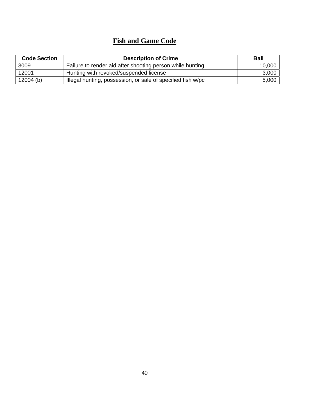## **Fish and Game Code**

| <b>Code Section</b> | <b>Description of Crime</b>                                 | <b>Bail</b> |
|---------------------|-------------------------------------------------------------|-------------|
| 3009                | Failure to render aid after shooting person while hunting   | 10,000      |
| 12001               | Hunting with revoked/suspended license                      | 3,000       |
| $12004$ (b)         | Illegal hunting, possession, or sale of specified fish w/pc | 5,000       |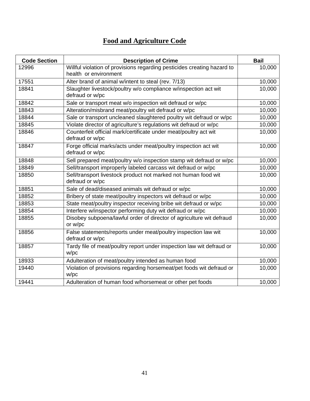# **Food and Agriculture Code**

| <b>Code Section</b> | <b>Description of Crime</b>                                             | <b>Bail</b> |
|---------------------|-------------------------------------------------------------------------|-------------|
| 12996               | Willful violation of provisions regarding pesticides creating hazard to | 10,000      |
|                     | health or environment                                                   |             |
| 17551               | Alter brand of animal w/intent to steal (rev. 7/13)                     | 10,000      |
| 18841               | Slaughter livestock/poultry w/o compliance w/inspection act wit         | 10,000      |
|                     | defraud or w/pc                                                         |             |
| 18842               | Sale or transport meat w/o inspection wit defraud or w/pc               | 10,000      |
| 18843               | Alteration/misbrand meat/poultry wit defraud or w/pc                    | 10,000      |
| 18844               | Sale or transport uncleaned slaughtered poultry wit defraud or w/pc     | 10,000      |
| 18845               | Violate director of agriculture's regulations wit defraud or w/pc       | 10,000      |
| 18846               | Counterfeit official mark/certificate under meat/poultry act wit        | 10,000      |
|                     | defraud or w/pc                                                         |             |
| 18847               | Forge official marks/acts under meat/poultry inspection act wit         | 10,000      |
|                     | defraud or w/pc                                                         |             |
| 18848               | Sell prepared meat/poultry w/o inspection stamp wit defraud or w/pc     | 10,000      |
| 18849               | Sell/transport improperly labeled carcass wit defraud or w/pc           | 10,000      |
| 18850               | Sell/transport livestock product not marked not human food wit          | 10,000      |
|                     | defraud or w/pc                                                         |             |
| 18851               | Sale of dead/diseased animals wit defraud or w/pc                       | 10,000      |
| 18852               | Bribery of state meat/poultry inspectors wit defraud or w/pc            | 10,000      |
| 18853               | State meat/poultry inspector receiving bribe wit defraud or w/pc        | 10,000      |
| 18854               | Interfere w/inspector performing duty wit defraud or w/pc               | 10,000      |
| 18855               | Disobey subpoena/lawful order of director of agriculture wit defraud    | 10,000      |
|                     | or w/pc                                                                 |             |
| 18856               | False statements/reports under meat/poultry inspection law wit          | 10,000      |
|                     | defraud or w/pc                                                         |             |
| 18857               | Tardy file of meat/poultry report under inspection law wit defraud or   | 10,000      |
|                     | W/pc                                                                    |             |
| 18933               | Adulteration of meat/poultry intended as human food                     | 10,000      |
| 19440               | Violation of provisions regarding horsemeat/pet foods wit defraud or    | 10,000      |
|                     | w/pc                                                                    |             |
| 19441               | Adulteration of human food w/horsemeat or other pet foods               | 10,000      |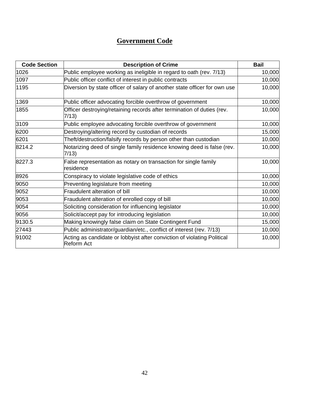# **Government Code**

| <b>Code Section</b> | <b>Description of Crime</b>                                                                  | <b>Bail</b> |
|---------------------|----------------------------------------------------------------------------------------------|-------------|
| 1026                | Public employee working as ineligible in regard to oath (rev. 7/13)                          | 10,000      |
| 1097                | Public officer conflict of interest in public contracts                                      | 10,000      |
| 1195                | Diversion by state officer of salary of another state officer for own use                    | 10,000      |
| 1369                | Public officer advocating forcible overthrow of government                                   | 10,000      |
| 1855                | Officer destroying/retaining records after termination of duties (rev.<br>7/13)              | 10,000      |
| 3109                | Public employee advocating forcible overthrow of government                                  | 10,000      |
| 6200                | Destroying/altering record by custodian of records                                           | 15,000      |
| 6201                | Theft/destruction/falsify records by person other than custodian                             | 10,000      |
| 8214.2              | Notarizing deed of single family residence knowing deed is false (rev.<br>7/13)              | 10,000      |
| 8227.3              | False representation as notary on transaction for single family<br>residence                 | 10,000      |
| 8926                | Conspiracy to violate legislative code of ethics                                             | 10,000      |
| 9050                | Preventing legislature from meeting                                                          | 10,000      |
| 9052                | Fraudulent alteration of bill                                                                | 10,000      |
| 9053                | Fraudulent alteration of enrolled copy of bill                                               | 10,000      |
| 9054                | Soliciting consideration for influencing legislator                                          | 10,000      |
| 9056                | Solicit/accept pay for introducing legislation                                               | 10,000      |
| 9130.5              | Making knowingly false claim on State Contingent Fund                                        | 15,000      |
| 27443               | Public administrator/guardian/etc., conflict of interest (rev. 7/13)                         | 10,000      |
| 91002               | Acting as candidate or lobbyist after conviction of violating Political<br><b>Reform Act</b> | 10,000      |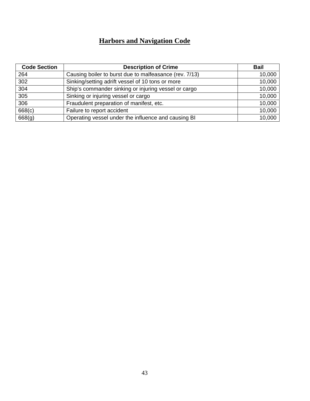# **Harbors and Navigation Code**

| <b>Code Section</b> | <b>Description of Crime</b>                            | <b>Bail</b> |
|---------------------|--------------------------------------------------------|-------------|
| 264                 | Causing boiler to burst due to malfeasance (rev. 7/13) | 10,000      |
| 302                 | Sinking/setting adrift vessel of 10 tons or more       | 10,000      |
| 304                 | Ship's commander sinking or injuring vessel or cargo   | 10,000      |
| 305                 | Sinking or injuring vessel or cargo                    | 10,000      |
| 306                 | Fraudulent preparation of manifest, etc.               | 10,000      |
| 668(c)              | Failure to report accident                             | 10,000      |
| 668(g)              | Operating vessel under the influence and causing BI    | 10,000      |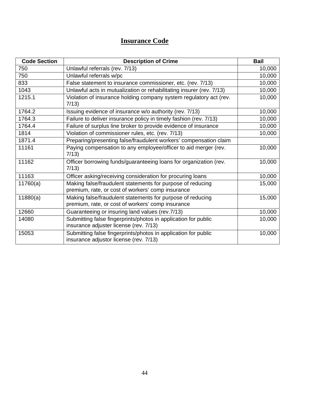# **Insurance Code**

| <b>Code Section</b> | <b>Description of Crime</b>                                                                                     | <b>Bail</b> |
|---------------------|-----------------------------------------------------------------------------------------------------------------|-------------|
| 750                 | Unlawful referrals (rev. 7/13)                                                                                  | 10,000      |
| 750                 | Unlawful referrals w/pc                                                                                         | 10,000      |
| 833                 | False statement to insurance commissioner, etc. (rev. 7/13)                                                     | 10,000      |
| 1043                | Unlawful acts in mutualization or rehabilitating insurer (rev. 7/13)                                            | 10,000      |
| 1215.1              | Violation of insurance holding company system regulatory act (rev.<br>7/13)                                     | 10,000      |
| 1764.2              | Issuing evidence of insurance w/o authority (rev. 7/13)                                                         | 10,000      |
| 1764.3              | Failure to deliver insurance policy in timely fashion (rev. 7/13)                                               | 10,000      |
| 1764.4              | Failure of surplus line broker to provide evidence of insurance                                                 | 10,000      |
| 1814                | Violation of commissioner rules, etc. (rev. 7/13)                                                               | 10,000      |
| 1871.4              | Preparing/presenting false/fraudulent workers' compensation claim                                               |             |
| 11161               | Paying compensation to any employee/officer to aid merger (rev.<br>7/13)                                        | 10,000      |
| 11162               | Officer borrowing funds/guaranteeing loans for organization (rev.<br>7/13)                                      | 10,000      |
| 11163               | Officer asking/receiving consideration for procuring loans                                                      | 10,000      |
| 11760(a)            | Making false/fraudulent statements for purpose of reducing<br>premium, rate, or cost of workers' comp insurance | 15,000      |
| 11880(a)            | Making false/fraudulent statements for purpose of reducing<br>premium, rate, or cost of workers' comp insurance | 15,000      |
| 12660               | Guaranteeing or insuring land values (rev. 7/13)                                                                | 10,000      |
| 14080               | Submitting false fingerprints/photos in application for public<br>insurance adjuster license (rev. 7/13)        | 10,000      |
| 15053               | Submitting false fingerprints/photos in application for public<br>insurance adjustor license (rev. 7/13)        | 10,000      |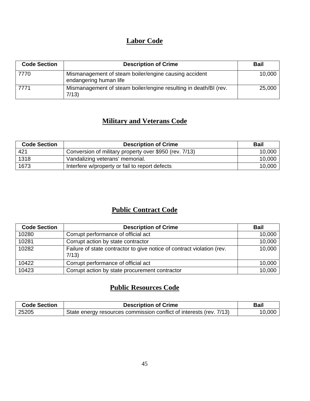## **Labor Code**

| <b>Code Section</b> | <b>Description of Crime</b>                                                     | <b>Bail</b> |
|---------------------|---------------------------------------------------------------------------------|-------------|
| 7770                | Mismanagement of steam boiler/engine causing accident<br>endangering human life | 10,000      |
| 7771                | Mismanagement of steam boiler/engine resulting in death/BI (rev.<br>7/13        | 25,000      |

# **Military and Veterans Code**

| <b>Code Section</b> | <b>Description of Crime</b>                            | <b>Bail</b> |
|---------------------|--------------------------------------------------------|-------------|
| 421                 | Conversion of military property over \$950 (rev. 7/13) | 10,000      |
| 1318                | Vandalizing veterans' memorial.                        | 10,000      |
| 1673                | Interfere w/property or fail to report defects         | 10,000      |

## **Public Contract Code**

| <b>Code Section</b> | <b>Description of Crime</b>                                                    | <b>Bail</b> |
|---------------------|--------------------------------------------------------------------------------|-------------|
| 10280               | Corrupt performance of official act                                            | 10,000      |
| 10281               | Corrupt action by state contractor                                             | 10,000      |
| 10282               | Failure of state contractor to give notice of contract violation (rev.<br>7/13 | 10,000      |
| 10422               | Corrupt performance of official act                                            | 10,000      |
| 10423               | Corrupt action by state procurement contractor                                 | 10,000      |

## **Public Resources Code**

| <b>Code Section</b> | <b>Description of Crime</b>                                           | Bail   |
|---------------------|-----------------------------------------------------------------------|--------|
| 25205               | I State energy resources commission conflict of interests (rev. 7/13) | 10,000 |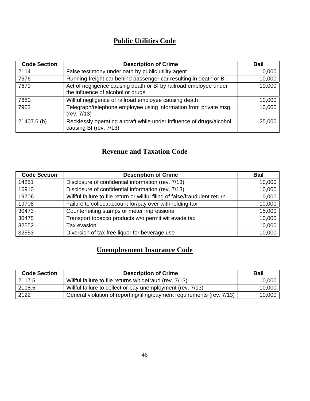# **Public Utilities Code**

| <b>Code Section</b> | <b>Description of Crime</b>                                                                           | <b>Bail</b> |
|---------------------|-------------------------------------------------------------------------------------------------------|-------------|
| 2114                | False testimony under oath by public utility agent                                                    | 10,000      |
| 7676                | Running freight car behind passenger car resulting in death or BI                                     | 10,000      |
| 7679                | Act of negligence causing death or BI by railroad employee under<br>the influence of alcohol or drugs | 10,000      |
| 7680                | Willful negligence of railroad employee causing death                                                 | 10,000      |
| 7903                | Telegraph/telephone employee using information from private msg.<br>(rev. 7/13)                       | 10,000      |
| 21407.6 (b)         | Recklessly operating aircraft while under influence of drugs/alcohol<br>causing BI (rev. 7/13)        | 25,000      |

# **Revenue and Taxation Code**

| <b>Code Section</b> | <b>Description of Crime</b>                                                 | <b>Bail</b> |
|---------------------|-----------------------------------------------------------------------------|-------------|
| 14251               | Disclosure of confidential information (rev. 7/13)                          | 10,000      |
| 16910               | Disclosure of confidential information (rev. 7/13)                          | 10,000      |
| 19706               | Willful failure to file return or willful filing of false/fraudulent return | 10,000      |
| 19708               | Failure to collect/account for/pay over withholding tax                     | 10,000      |
| 30473               | Counterfeiting stamps or meter impressions                                  | 15,000      |
| 30475               | Transport tobacco products w/o permit wit evade tax                         | 10,000      |
| 32552               | Tax evasion                                                                 | 10,000      |
| 32553               | Diversion of tax-free liquor for beverage use                               | 10,000      |

# **Unemployment Insurance Code**

| <b>Code Section</b> | <b>Description of Crime</b>                                            | <b>Bail</b> |
|---------------------|------------------------------------------------------------------------|-------------|
| 2117.5              | Willful failure to file returns wit defraud (rev. 7/13)                | 10,000      |
| 2118.5              | Willful failure to collect or pay unemployment (rev. 7/13)             | 10,000      |
| 2122                | General violation of reporting/filing/payment requirements (rev. 7/13) | 10,000      |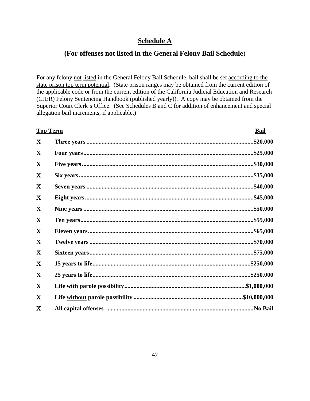## **Schedule A**

## **(For offenses not listed in the General Felony Bail Schedule**)

For any felony not listed in the General Felony Bail Schedule, bail shall be set according to the state prison top term potential. (State prison ranges may be obtained from the current edition of the applicable code or from the current edition of the California Judicial Education and Research (CJER) Felony Sentencing Handbook (published yearly)). A copy may be obtained from the Superior Court Clerk's Office. (See Schedules B and C for addition of enhancement and special allegation bail increments, if applicable.)

| <b>Top Term</b> |  | <b>Bail</b> |
|-----------------|--|-------------|
| X               |  | \$20,000    |
| X               |  | \$25,000    |
| X               |  | .\$30,000   |
| X               |  | .\$35,000   |
| X               |  | \$40,000    |
| X               |  | \$45,000    |
| X               |  | \$50,000    |
| X               |  | \$55,000    |
| X               |  | \$65,000    |
| $\mathbf X$     |  | \$70,000    |
| X               |  | .\$75,000   |
| X               |  |             |
| X               |  |             |
| X               |  |             |
| X               |  |             |
| X               |  |             |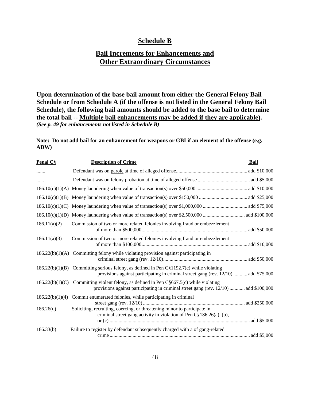## **Schedule B**

## **Bail Increments for Enhancements and Other Extraordinary Circumstances**

**Upon determination of the base bail amount from either the General Felony Bail Schedule or from Schedule A (if the offense is not listed in the General Felony Bail Schedule), the following bail amounts should be added to the base bail to determine the total bail -- Multiple bail enhancements may be added if they are applicable).**  *(See p. 49 for enhancements not listed in Schedule B)*

**Note: Do not add bail for an enhancement for weapons or GBI if an element of the offense (e.g. ADW)**

| Penal C§        | <b>Description of Crime</b>                                                                                                                                                       | Bail |
|-----------------|-----------------------------------------------------------------------------------------------------------------------------------------------------------------------------------|------|
| .               |                                                                                                                                                                                   |      |
| .               |                                                                                                                                                                                   |      |
|                 |                                                                                                                                                                                   |      |
|                 |                                                                                                                                                                                   |      |
| 186.10(c)(1)(C) |                                                                                                                                                                                   |      |
|                 |                                                                                                                                                                                   |      |
| 186.11(a)(2)    | Commission of two or more related felonies involving fraud or embezzlement                                                                                                        |      |
| 186.11(a)(3)    | Commission of two or more related felonies involving fraud or embezzlement                                                                                                        |      |
|                 | $186.22(b)(1)(A)$ Committing felony while violating provision against participating in                                                                                            |      |
|                 | $186.22(b)(1)(B)$ Committing serious felony, as defined in Pen C§1192.7(c) while violating<br>provisions against participating in criminal street gang (rev. 12/10)  add \$75,000 |      |
|                 | $186.22(b)(1)(C)$ Committing violent felony, as defined in Pen C§667.5(c) while violating<br>provisions against participating in criminal street gang (rev. 12/10)  add \$100,000 |      |
|                 | $186.22(b)(1)(4)$ Commit enumerated felonies, while participating in criminal                                                                                                     |      |
| 186.26(d)       | Soliciting, recruiting, coercing, or threatening minor to participate in<br>criminal street gang activity in violation of Pen C§186.26(a), (b),                                   |      |
| 186.33(b)       | Failure to register by defendant subsequently charged with a of gang-related                                                                                                      |      |
|                 |                                                                                                                                                                                   |      |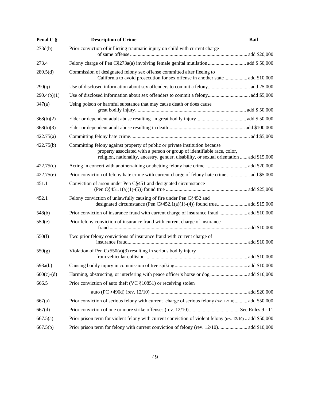| <b>Penal C <math>\S</math></b> | <b>Description of Crime</b>                                                                                                                                                                                                                        | Bail |
|--------------------------------|----------------------------------------------------------------------------------------------------------------------------------------------------------------------------------------------------------------------------------------------------|------|
| 273d(b)                        | Prior conviction of inflicting traumatic injury on child with current charge                                                                                                                                                                       |      |
| 273.4                          |                                                                                                                                                                                                                                                    |      |
| 289.5(d)                       | Commission of designated felony sex offense committed after fleeing to<br>California to avoid prosecution for sex offense in another state  add \$10,000                                                                                           |      |
| 290(q)                         |                                                                                                                                                                                                                                                    |      |
| 290.4(b)(1)                    |                                                                                                                                                                                                                                                    |      |
| 347(a)                         | Using poison or harmful substance that may cause death or does cause                                                                                                                                                                               |      |
| 368(b)(2)                      |                                                                                                                                                                                                                                                    |      |
| 368(b)(3)                      |                                                                                                                                                                                                                                                    |      |
| 422.75(a)                      |                                                                                                                                                                                                                                                    |      |
| 422.75(b)                      | Committing felony against property of public or private institution because<br>property associated with a person or group of identifiable race, color,<br>religion, nationality, ancestry, gender, disability, or sexual orientation  add \$15,000 |      |
| 422.75(c)                      |                                                                                                                                                                                                                                                    |      |
| 422.75(e)                      | Prior conviction of felony hate crime with current charge of felony hate crime add \$5,000                                                                                                                                                         |      |
| 451.1                          | Conviction of arson under Pen C§451 and designated circumstance                                                                                                                                                                                    |      |
| 452.1                          | Felony conviction of unlawfully causing of fire under Pen C§452 and                                                                                                                                                                                |      |
| 548(b)                         | Prior conviction of insurance fraud with current charge of insurance fraud  add \$10,000                                                                                                                                                           |      |
| 550(e)                         | Prior felony conviction of insurance fraud with current charge of insurance                                                                                                                                                                        |      |
| 550(f)                         | Two prior felony convictions of insurance fraud with current charge of                                                                                                                                                                             |      |
| 550(g)                         | Violation of Pen $C\S 550(a)(3)$ resulting in serious bodily injury                                                                                                                                                                                |      |
| 593a(b)                        |                                                                                                                                                                                                                                                    |      |
| $600(c)-(d)$                   |                                                                                                                                                                                                                                                    |      |
| 666.5                          | Prior conviction of auto theft (VC $\S 10851$ ) or receiving stolen                                                                                                                                                                                |      |
|                                |                                                                                                                                                                                                                                                    |      |
| 667(a)                         | Prior conviction of serious felony with current charge of serious felony (rev. 12/10) add \$50,000                                                                                                                                                 |      |
| 667(d)                         |                                                                                                                                                                                                                                                    |      |
| 667.5(a)                       | Prior prison term for violent felony with current conviction of violent felony (rev. 12/10) add \$50,000                                                                                                                                           |      |
| 667.5(b)                       |                                                                                                                                                                                                                                                    |      |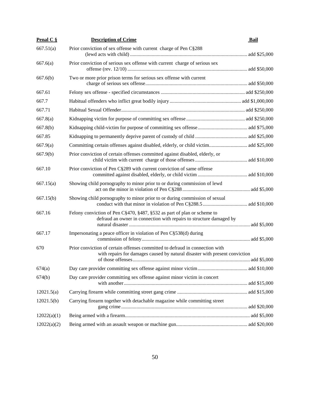| Penal $C \S$ | <b>Description of Crime</b>                                                                                                                                 | Bail |
|--------------|-------------------------------------------------------------------------------------------------------------------------------------------------------------|------|
| 667.51(a)    | Prior conviction of sex offense with current charge of Pen C§288                                                                                            |      |
| 667.6(a)     | Prior conviction of serious sex offense with current charge of serious sex                                                                                  |      |
| 667.6(b)     | Two or more prior prison terms for serious sex offense with current                                                                                         |      |
| 667.61       |                                                                                                                                                             |      |
| 667.7        |                                                                                                                                                             |      |
| 667.71       |                                                                                                                                                             |      |
| 667.8(a)     |                                                                                                                                                             |      |
| 667.8(b)     |                                                                                                                                                             |      |
| 667.85       |                                                                                                                                                             |      |
| 667.9(a)     |                                                                                                                                                             |      |
| 667.9(b)     | Prior conviction of certain offenses committed against disabled, elderly, or                                                                                |      |
| 667.10       | Prior conviction of Pen C§289 with current conviction of same offense                                                                                       |      |
| 667.15(a)    | Showing child pornography to minor prior to or during commission of lewd                                                                                    |      |
| 667.15(b)    | Showing child pornography to minor prior to or during commission of sexual                                                                                  |      |
| 667.16       | Felony conviction of Pen C§470, §487, §532 as part of plan or scheme to<br>defraud an owner in connection with repairs to structure damaged by              |      |
| 667.17       | Impersonating a peace officer in violation of Pen $C\S 538(d)$ during                                                                                       |      |
| 670          | Prior conviction of certain offenses committed to defraud in connection with<br>with repairs for damages caused by natural disaster with present conviction |      |
| 674(a)       |                                                                                                                                                             |      |
| 674(b)       | Day care provider committing sex offense against minor victim in concert                                                                                    |      |
| 12021.5(a)   |                                                                                                                                                             |      |
| 12021.5(b)   | Carrying firearm together with detachable magazine while committing street                                                                                  |      |
| 12022(a)(1)  |                                                                                                                                                             |      |
| 12022(a)(2)  |                                                                                                                                                             |      |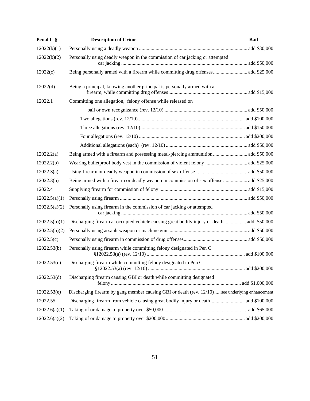| Penal $C \S$  | <b>Description of Crime</b>                                                                     | Bail |
|---------------|-------------------------------------------------------------------------------------------------|------|
| 12022(b)(1)   |                                                                                                 |      |
| 12022(b)(2)   | Personally using deadly weapon in the commission of car jacking or attempted                    |      |
| 12022(c)      | Being personally armed with a firearm while committing drug offenses add \$25,000               |      |
| 12022(d)      | Being a principal, knowing another principal is personally armed with a                         |      |
| 12022.1       | Committing one allegation, felony offense while released on                                     |      |
|               |                                                                                                 |      |
|               |                                                                                                 |      |
|               |                                                                                                 |      |
|               |                                                                                                 |      |
|               |                                                                                                 |      |
| 12022.2(a)    | Being armed with a firearm and possessing metal-piercing ammunition add \$50,000                |      |
| 12022.2(b)    |                                                                                                 |      |
| 12022.3(a)    |                                                                                                 |      |
| 12022.3(b)    | Being armed with a firearm or deadly weapon in commission of sex offense  add \$25,000          |      |
| 12022.4       |                                                                                                 |      |
| 12022.5(a)(1) |                                                                                                 |      |
| 12022.5(a)(2) | Personally using firearm in the commission of car jacking or attempted                          |      |
| 12022.5(b)(1) | Discharging firearm at occupied vehicle causing great bodily injury or death  add \$50,000      |      |
| 12022.5(b)(2) |                                                                                                 |      |
| 12022.5(c)    |                                                                                                 |      |
| 12022.53(b)   | Personally using firearm while committing felony designated in Pen C                            |      |
| 12022.53(c)   | Discharging firearm while committing felony designated in Pen C                                 |      |
| 12022.53(d)   | Discharging firearm causing GBI or death while committing designated                            |      |
| 12022.53(e)   | Discharging firearm by gang member causing GBI or death (rev. 12/10) see underlying enhancement |      |
| 12022.55      |                                                                                                 |      |
| 12022.6(a)(1) |                                                                                                 |      |
| 12022.6(a)(2) |                                                                                                 |      |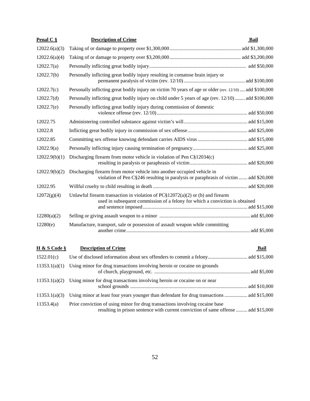| Penal $C$ $\S$ | <b>Description of Crime</b>                                                                                                                                      | Bail |
|----------------|------------------------------------------------------------------------------------------------------------------------------------------------------------------|------|
| 12022.6(a)(3)  |                                                                                                                                                                  |      |
| 12022.6(a)(4)  |                                                                                                                                                                  |      |
| 12022.7(a)     |                                                                                                                                                                  |      |
| 12022.7(b)     | Personally inflicting great bodily injury resulting in comatose brain injury or                                                                                  |      |
| 12022.7(c)     | Personally inflicting great bodily injury on victim 70 years of age or older (rev. 12/10)  add \$100,000                                                         |      |
| 12022.7(d)     | Personally inflicting great bodily injury on child under 5 years of age (rev. 12/10) add \$100,000                                                               |      |
| 12022.7(e)     | Personally inflicting great bodily injury during commission of domestic                                                                                          |      |
| 12022.75       |                                                                                                                                                                  |      |
| 12022.8        |                                                                                                                                                                  |      |
| 12022.85       |                                                                                                                                                                  |      |
| 12022.9(a)     |                                                                                                                                                                  |      |
| 12022.9(b)(1)  | Discharging firearm from motor vehicle in violation of Pen $C_{12034(c)}$                                                                                        |      |
| 12022.9(b)(2)  | Discharging firearm from motor vehicle into another occupied vehicle in<br>violation of Pen C§246 resulting in paralysis or paraphrasis of victim  add \$20,000  |      |
| 12022.95       |                                                                                                                                                                  |      |
| 12072(g)(4)    | Unlawful firearm transaction in violation of $PC$12072(a)(2)$ or (b) and firearm<br>used in subsequent commission of a felony for which a conviction is obtained |      |
| 12280(a)(2)    |                                                                                                                                                                  |      |
| 12280(e)       | Manufacture, transport, sale or possession of assault weapon while committing                                                                                    |      |
| H & S Code §   | <b>Description of Crime</b>                                                                                                                                      | Bail |

| 1522.01(c)    |                                                                                                                                                                    |
|---------------|--------------------------------------------------------------------------------------------------------------------------------------------------------------------|
| 11353.1(a)(1) | Using minor for drug transactions involving heroin or cocaine on grounds                                                                                           |
| 11353.1(a)(2) | Using minor for drug transactions involving heroin or cocaine on or near                                                                                           |
| 11353.1(a)(3) | Using minor at least four years younger than defendant for drug transactions  add \$15,000                                                                         |
| 11353.4(a)    | Prior conviction of using minor for drug transactions involving cocaine base<br>resulting in prison sentence with current conviction of same offense  add \$15,000 |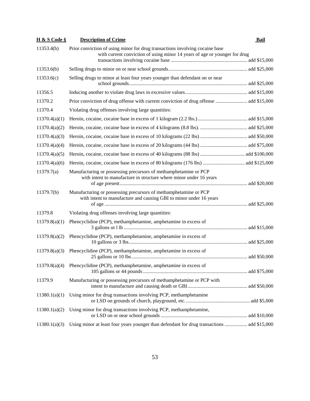| <b>H &amp; S Code §</b> | <b>Description of Crime</b>                                                                                                                                | Bail |
|-------------------------|------------------------------------------------------------------------------------------------------------------------------------------------------------|------|
| 11353.4(b)              | Prior conviction of using minor for drug transactions involving cocaine base<br>with current conviction of using minor 14 years of age or younger for drug |      |
| 11353.6(b)              |                                                                                                                                                            |      |
| 11353.6(c)              | Selling drugs to minor at least four years younger than defendant on or near                                                                               |      |
| 11356.5                 |                                                                                                                                                            |      |
| 11370.2                 | Prior conviction of drug offense with current conviction of drug offense  add \$15,000                                                                     |      |
| 11370.4                 | Violating drug offenses involving large quantities:                                                                                                        |      |
| 11370.4(a)(1)           |                                                                                                                                                            |      |
| 11370.4(a)(2)           |                                                                                                                                                            |      |
| 11370.4(a)(3)           |                                                                                                                                                            |      |
| 11370.4(a)(4)           |                                                                                                                                                            |      |
| 11370.4(a)(5)           |                                                                                                                                                            |      |
| 11370.4(a)(6)           |                                                                                                                                                            |      |
| 11379.7(a)              | Manufacturing or possessing precursors of methamphetamine or PCP<br>with intent to manufacture in structure where minor under 16 years                     |      |
| 11379.7(b)              | Manufacturing or possessing precursors of methamphetamine or PCP<br>with intent to manufacture and causing GBI to minor under 16 years                     |      |
| 11379.8                 | Violating drug offenses involving large quantities:                                                                                                        |      |
| 11379.8(a)(1)           | Phencyclidine (PCP), methamphetamine, amphetamine in excess of                                                                                             |      |
| 11379.8(a)(2)           | Phencyclidine (PCP), methamphetamine, amphetamine in excess of                                                                                             |      |
| 11379.8(a)(3)           | Phencyclidine (PCP), methamphetamine, amphetamine in excess of                                                                                             |      |
|                         | $11379.8(a)(4)$ Phencyclidine (PCP), methamphetamine, amphetamine in excess of                                                                             |      |
| 11379.9                 | Manufacturing or possessing precursors of methamphetamine or PCP with                                                                                      |      |
| 11380.1(a)(1)           | Using minor for drug transactions involving PCP, methamphetamine                                                                                           |      |
| 11380.1(a)(2)           | Using minor for drug transactions involving PCP, methamphetamine,                                                                                          |      |
| 11380.1(a)(3)           | Using minor at least four years younger than defendant for drug transactions  add \$15,000                                                                 |      |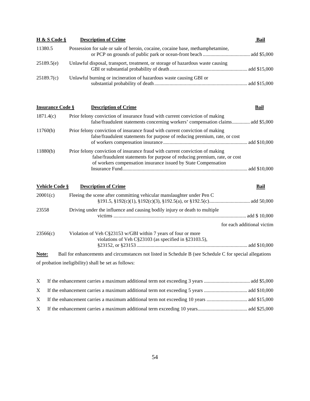| H & S Code $\S$ | <b>Description of Crime</b>                                                    | Bail |
|-----------------|--------------------------------------------------------------------------------|------|
| 11380.5         | Possession for sale or sale of heroin, cocaine, cocaine base, methamphetamine, |      |
| 25189.5(e)      | Unlawful disposal, transport, treatment, or storage of hazardous waste causing |      |
| 25189.7(c)      | Unlawful burning or incineration of hazardous waste causing GBI or             |      |

| <b>Insurance Code §</b> | <b>Description of Crime</b>                                                                                                                                                                                                  | Bail         |
|-------------------------|------------------------------------------------------------------------------------------------------------------------------------------------------------------------------------------------------------------------------|--------------|
| 1871.4(c)               | Prior felony conviction of insurance fraud with current conviction of making<br>false/fraudulent statements concerning workers' compensation claims add \$5,000                                                              |              |
| 11760(b)                | Prior felony conviction of insurance fraud with current conviction of making<br>false/fraudulent statements for purpose of reducing premium, rate, or cost                                                                   |              |
| 11880(b)                | Prior felony conviction of insurance fraud with current conviction of making<br>false/fraudulent statements for purpose of reducing premium, rate, or cost<br>of workers compensation insurance issued by State Compensation |              |
|                         |                                                                                                                                                                                                                              | add \$10,000 |

| Vehicle Code § | <b>Description of Crime</b>                                                                                               | Bail                       |
|----------------|---------------------------------------------------------------------------------------------------------------------------|----------------------------|
| 20001(c)       | Fleeing the scene after committing vehicular manslaughter under Pen C                                                     |                            |
| 23558          | Driving under the influence and causing bodily injury or death to multiple<br>victims                                     |                            |
|                |                                                                                                                           | for each additional victim |
| 23566(c)       | Violation of Veh $C\S23153$ w/GBI within 7 years of four or more<br>violations of Veh C§23103 (as specified in §23103.5), |                            |
| Note:          | Bail for enhancements and circumstances not listed in Schedule B (see Schedule C for special allegations                  |                            |

of probation ineligibility) shall be set as follows: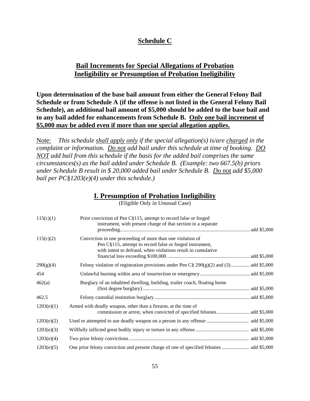## **Schedule C**

## **Bail Increments for Special Allegations of Probation Ineligibility or Presumption of Probation Ineligibility**

**Upon determination of the base bail amount from either the General Felony Bail Schedule or from Schedule A (if the offense is not listed in the General Felony Bail Schedule), an additional bail amount of \$5,000 should be added to the base bail and to any bail added for enhancements from Schedule B. Only one bail increment of \$5,000 may be added even if more than one special allegation applies.**

Note: *This schedule shall apply only if the special allegation(s) is/are charged in the complaint or information. Do not add bail under this schedule at time of booking. DO NOT add bail from this schedule if the basis for the added bail comprises the same circumstances(s) as the bail added under Schedule B. (Example: two 667.5(b) priors under Schedule B result in \$ 20,000 added bail under Schedule B. Do not add \$5,000 bail per PC§1203(e)(4) under this schedule.)*

#### **I. Presumption of Probation Ineligibility**

| 115(c)(1)  | Prior conviction of Pen C§115, attempt to record false or forged<br>instrument, with present charge of that section in a separate                                                      |  |
|------------|----------------------------------------------------------------------------------------------------------------------------------------------------------------------------------------|--|
| 115(c)(2)  | Conviction in one proceeding of more than one violation of<br>Pen C§115, attempt to record false or forged instrument,<br>with intent to defraud, when violations result in cumulative |  |
| 290(g)(4)  | Felony violation of registration provisions under Pen $C\S 290(g)(2)$ and (3) add \$5,000                                                                                              |  |
| 454        |                                                                                                                                                                                        |  |
| 462(a)     | Burglary of an inhabited dwelling, building, trailer coach, floating home                                                                                                              |  |
| 462.5      |                                                                                                                                                                                        |  |
| 1203(e)(1) | Armed with deadly weapon, other than a firearm, at the time of                                                                                                                         |  |
| 1203(e)(2) |                                                                                                                                                                                        |  |
| 1203(e)(3) |                                                                                                                                                                                        |  |
| 1203(e)(4) |                                                                                                                                                                                        |  |
| 1203(e)(5) |                                                                                                                                                                                        |  |

(Eligible Only in Unusual Case)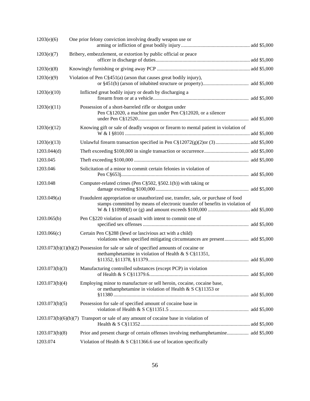| 1203(e)(6)     | One prior felony conviction involving deadly weapon use or                                                                                                        |  |
|----------------|-------------------------------------------------------------------------------------------------------------------------------------------------------------------|--|
| 1203(e)(7)     | Bribery, embezzlement, or extortion by public official or peace                                                                                                   |  |
| 1203(e)(8)     |                                                                                                                                                                   |  |
| 1203(e)(9)     | Violation of Pen C§451(a) (arson that causes great bodily injury),                                                                                                |  |
| 1203(e)(10)    | Inflicted great bodily injury or death by discharging a                                                                                                           |  |
| 1203(e)(11)    | Possession of a short-barreled rifle or shotgun under<br>Pen C§12020, a machine gun under Pen C§12020, or a silencer                                              |  |
| 1203(e)(12)    | Knowing gift or sale of deadly weapon or firearm to mental patient in violation of                                                                                |  |
| 1203(e)(13)    |                                                                                                                                                                   |  |
| 1203.044(d)    |                                                                                                                                                                   |  |
| 1203.045       |                                                                                                                                                                   |  |
| 1203.046       | Solicitation of a minor to commit certain felonies in violation of                                                                                                |  |
| 1203.048       | Computer-related crimes (Pen C§502, §502.1(b)) with taking or                                                                                                     |  |
| 1203.049(a)    | Fraudulent appropriation or unauthorized use, transfer, sale, or purchase of food<br>stamps committed by means of electronic transfer of benefits in violation of |  |
| 1203.065(b)    | Pen C§220 violation of assault with intent to commit one of                                                                                                       |  |
| 1203.066(c)    | Certain Pen C§288 (lewd or lascivious act with a child)<br>violations when specified mitigating circumstances are present add \$5,000                             |  |
|                | $1203.073(b)(1)(b)(2)$ Possession for sale or sale of specified amounts of cocaine or<br>methamphetamine in violation of Health & S C§11351,                      |  |
| 1203.073(b)(3) | Manufacturing controlled substances (except PCP) in violation                                                                                                     |  |
| 1203.073(b)(4) | Employing minor to manufacture or sell heroin, cocaine, cocaine base,<br>or methamphetamine in violation of Health & S C§11353 or                                 |  |
| 1203.073(b)(5) | Possession for sale of specified amount of cocaine base in                                                                                                        |  |
|                | $1203.073(b)(6)(b)(7)$ Transport or sale of any amount of cocaine base in violation of                                                                            |  |
| 1203.073(b)(8) |                                                                                                                                                                   |  |
| 1203.074       | Violation of Health & S C§11366.6 use of location specifically                                                                                                    |  |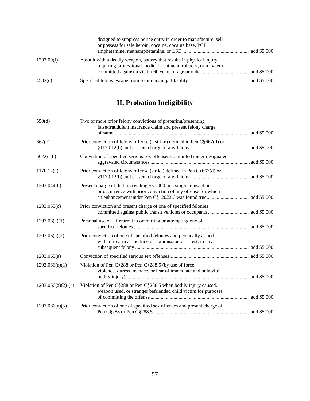|            | designed to suppress police entry in order to manufacture, sell<br>or possess for sale heroin, cocaine, cocaine base, PCP,            |  |
|------------|---------------------------------------------------------------------------------------------------------------------------------------|--|
| 1203.09(f) | Assault with a deadly weapon, battery that results in physical injury<br>requiring professional medical treatment, robbery, or mayhem |  |
| 4532(c)    |                                                                                                                                       |  |

# **II. Probation Ineligibility**

| 550(d)               | Two or more prior felony convictions of preparing/presenting<br>false/fraudulent insurance claim and present felony charge         |  |
|----------------------|------------------------------------------------------------------------------------------------------------------------------------|--|
|                      |                                                                                                                                    |  |
| 667(c)               | Prior conviction of felony offense (a strike) defined in Pen C§667(d) or                                                           |  |
| 667.61(h)            | Conviction of specified serious sex offenses committed under designated                                                            |  |
| 1170.12(a)           | Prior conviction of felony offense (strike) defined in Pen C§667(d) or                                                             |  |
| 1203.044(b)          | Present charge of theft exceeding \$50,000 in a single transaction<br>or occurrence with prior conviction of any offense for which |  |
| 1203.055(c)          | Prior conviction and present charge of one of specified felonies                                                                   |  |
| 1203.06(a)(1)        | Personal use of a firearm in committing or attempting one of                                                                       |  |
| 1203.06(a)(2)        | Prior conviction of one of specified felonies and personally armed<br>with a firearm at the time of commission or arrest, in any   |  |
| 1203.065(a)          |                                                                                                                                    |  |
| 1203.066(a)(1)       | Violation of Pen C§288 or Pen C§288.5 (by use of force,<br>violence, duress, menace, or fear of immediate and unlawful             |  |
| $1203.066(a)(2)-(4)$ | Violation of Pen C§288 or Pen C§288.5 when bodily injury caused,<br>weapon used, or stranger befriended child victim for purposes  |  |
| 1203.066(a)(5)       | Prior conviction of one of specified sex offenses and present charge of                                                            |  |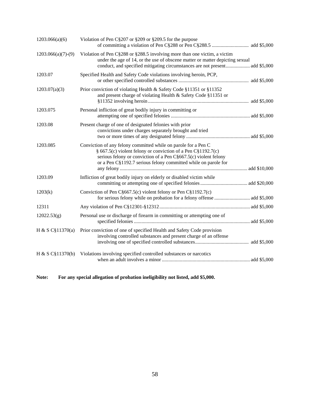| 1203.066(a)(6)       | Violation of Pen C§207 or §209 or §209.5 for the purpose                                                                                                                                                                                                               |  |
|----------------------|------------------------------------------------------------------------------------------------------------------------------------------------------------------------------------------------------------------------------------------------------------------------|--|
| $1203.066(a)(7)-(9)$ | Violation of Pen C§288 or §288.5 involving more than one victim, a victim<br>under the age of 14, or the use of obscene matter or matter depicting sexual<br>conduct, and specified mitigating circumstances are not present add \$5,000                               |  |
| 1203.07              | Specified Health and Safety Code violations involving heroin, PCP,                                                                                                                                                                                                     |  |
| 1203.07(a)(3)        | Prior conviction of violating Health & Safety Code §11351 or §11352<br>and present charge of violating Health & Safety Code §11351 or                                                                                                                                  |  |
| 1203.075             | Personal infliction of great bodily injury in committing or                                                                                                                                                                                                            |  |
| 1203.08              | Present charge of one of designated felonies with prior<br>convictions under charges separately brought and tried                                                                                                                                                      |  |
| 1203.085             | Conviction of any felony committed while on parole for a Pen C<br>§ 667.5(c) violent felony or conviction of a Pen C§1192.7(c)<br>serious felony or conviction of a Pen $C\S667.5(c)$ violent felony<br>or a Pen C§1192.7 serious felony committed while on parole for |  |
| 1203.09              | Infliction of great bodily injury on elderly or disabled victim while                                                                                                                                                                                                  |  |
| 1203(k)              | Conviction of Pen C§667.5(c) violent felony or Pen C§1192.7(c)                                                                                                                                                                                                         |  |
| 12311                |                                                                                                                                                                                                                                                                        |  |
| 12022.53(g)          | Personal use or discharge of firearm in committing or attempting one of                                                                                                                                                                                                |  |
| H & S C§11370(a)     | Prior conviction of one of specified Health and Safety Code provision<br>involving controlled substances and present charge of an offense                                                                                                                              |  |
| H & S C\$11370(b)    | Violations involving specified controlled substances or narcotics                                                                                                                                                                                                      |  |

**Note: For any special allegation of probation ineligibility not listed, add \$5,000.**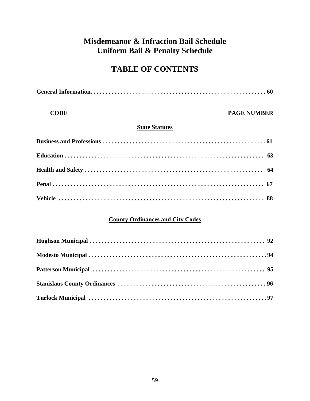# **Misdemeanor & Infraction Bail Schedule Uniform Bail & Penalty Schedule**

# **TABLE OF CONTENTS**

## **CODE** PAGE NUMBER

## **State Statutes**

## **County Ordinances and City Codes**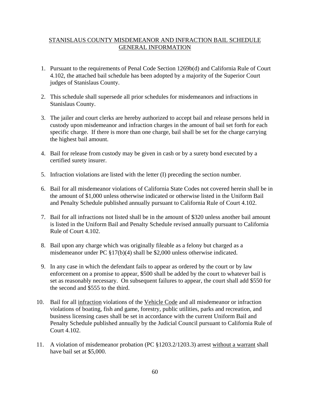#### STANISLAUS COUNTY MISDEMEANOR AND INFRACTION BAIL SCHEDULE GENERAL INFORMATION

- 1. Pursuant to the requirements of Penal Code Section 1269b(d) and California Rule of Court 4.102, the attached bail schedule has been adopted by a majority of the Superior Court judges of Stanislaus County.
- 2. This schedule shall supersede all prior schedules for misdemeanors and infractions in Stanislaus County.
- 3. The jailer and court clerks are hereby authorized to accept bail and release persons held in custody upon misdemeanor and infraction charges in the amount of bail set forth for each specific charge. If there is more than one charge, bail shall be set for the charge carrying the highest bail amount.
- 4. Bail for release from custody may be given in cash or by a surety bond executed by a certified surety insurer.
- 5. Infraction violations are listed with the letter (I) preceding the section number.
- 6. Bail for all misdemeanor violations of California State Codes not covered herein shall be in the amount of \$1,000 unless otherwise indicated or otherwise listed in the Uniform Bail and Penalty Schedule published annually pursuant to California Rule of Court 4.102.
- 7. Bail for all infractions not listed shall be in the amount of \$320 unless another bail amount is listed in the Uniform Bail and Penalty Schedule revised annually pursuant to California Rule of Court 4.102.
- 8. Bail upon any charge which was originally fileable as a felony but charged as a misdemeanor under PC §17(b)(4) shall be \$2,000 unless otherwise indicated.
- 9. In any case in which the defendant fails to appear as ordered by the court or by law enforcement on a promise to appear, \$500 shall be added by the court to whatever bail is set as reasonably necessary. On subsequent failures to appear, the court shall add \$550 for the second and \$555 to the third.
- 10. Bail for all infraction violations of the Vehicle Code and all misdemeanor or infraction violations of boating, fish and game, forestry, public utilities, parks and recreation, and business licensing cases shall be set in accordance with the current Uniform Bail and Penalty Schedule published annually by the Judicial Council pursuant to California Rule of Court 4.102.
- 11. A violation of misdemeanor probation (PC §1203.2/1203.3) arrest without a warrant shall have bail set at \$5,000.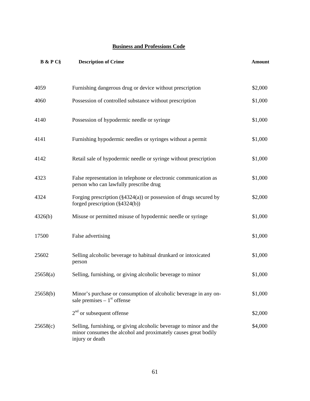#### **Business and Professions Code**

| <b>B</b> & P C§ | <b>Description of Crime</b>                                                                                                                             | <b>Amount</b> |
|-----------------|---------------------------------------------------------------------------------------------------------------------------------------------------------|---------------|
|                 |                                                                                                                                                         |               |
| 4059            | Furnishing dangerous drug or device without prescription                                                                                                | \$2,000       |
| 4060            | Possession of controlled substance without prescription                                                                                                 | \$1,000       |
| 4140            | Possession of hypodermic needle or syringe                                                                                                              | \$1,000       |
| 4141            | Furnishing hypodermic needles or syringes without a permit                                                                                              | \$1,000       |
| 4142            | Retail sale of hypodermic needle or syringe without prescription                                                                                        | \$1,000       |
| 4323            | False representation in telephone or electronic communication as<br>person who can lawfully prescribe drug                                              | \$1,000       |
| 4324            | Forging prescription $(\frac{24324(a)}{a})$ or possession of drugs secured by<br>forged prescription $(\frac{24324(b)}{b})$                             | \$2,000       |
| 4326(b)         | Misuse or permitted misuse of hypodermic needle or syringe                                                                                              | \$1,000       |
| 17500           | False advertising                                                                                                                                       | \$1,000       |
| 25602           | Selling alcoholic beverage to habitual drunkard or intoxicated<br>person                                                                                | \$1,000       |
| 25658(a)        | Selling, furnishing, or giving alcoholic beverage to minor                                                                                              | \$1,000       |
| 25658(b)        | Minor's purchase or consumption of alcoholic beverage in any on-<br>sale premises $-1st$ offense                                                        | \$1,000       |
|                 | $2nd$ or subsequent offense                                                                                                                             | \$2,000       |
| 25658(c)        | Selling, furnishing, or giving alcoholic beverage to minor and the<br>minor consumes the alcohol and proximately causes great bodily<br>injury or death | \$4,000       |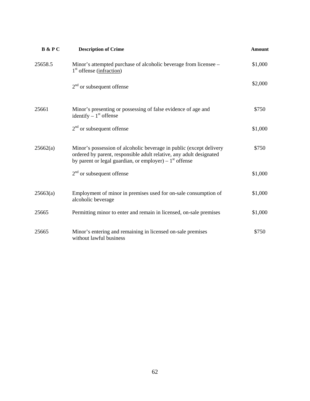| <b>B</b> & PC | <b>Description of Crime</b>                                                                                                                                                                             | <b>Amount</b> |
|---------------|---------------------------------------------------------------------------------------------------------------------------------------------------------------------------------------------------------|---------------|
| 25658.5       | Minor's attempted purchase of alcoholic beverage from licensee –<br>$1st$ offense (infraction)                                                                                                          | \$1,000       |
|               | $2nd$ or subsequent offense                                                                                                                                                                             | \$2,000       |
| 25661         | Minor's presenting or possessing of false evidence of age and<br>identify $-1st$ offense                                                                                                                | \$750         |
|               | $2nd$ or subsequent offense                                                                                                                                                                             | \$1,000       |
| 25662(a)      | Minor's possession of alcoholic beverage in public (except delivery<br>ordered by parent, responsible adult relative, any adult designated<br>by parent or legal guardian, or employer) – $1st$ offense | \$750         |
|               | $2nd$ or subsequent offense                                                                                                                                                                             | \$1,000       |
| 25663(a)      | Employment of minor in premises used for on-sale consumption of<br>alcoholic beverage                                                                                                                   | \$1,000       |
| 25665         | Permitting minor to enter and remain in licensed, on-sale premises                                                                                                                                      | \$1,000       |
| 25665         | Minor's entering and remaining in licensed on-sale premises<br>without lawful business                                                                                                                  | \$750         |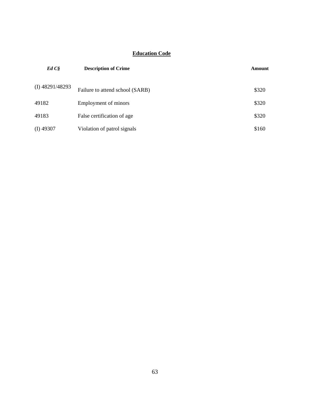## **Education Code**

| EdCS              | <b>Description of Crime</b>     | Amount |
|-------------------|---------------------------------|--------|
| $(I)$ 48291/48293 | Failure to attend school (SARB) | \$320  |
| 49182             | Employment of minors            | \$320  |
| 49183             | False certification of age      | \$320  |
| $(I)$ 49307       | Violation of patrol signals     | \$160  |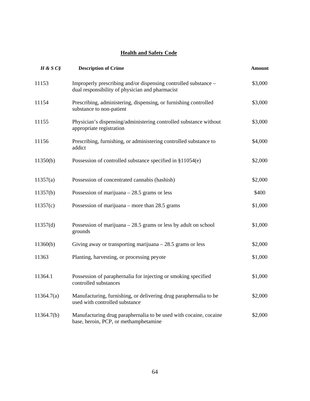#### **Health and Safety Code**

| $H \& S C$ $S$ | <b>Description of Crime</b>                                                                                        | <b>Amount</b> |
|----------------|--------------------------------------------------------------------------------------------------------------------|---------------|
| 11153          | Improperly prescribing and/or dispensing controlled substance -<br>dual responsibility of physician and pharmacist | \$3,000       |
| 11154          | Prescribing, administering, dispensing, or furnishing controlled<br>substance to non-patient                       | \$3,000       |
| 11155          | Physician's dispensing/administering controlled substance without<br>appropriate registration                      | \$3,000       |
| 11156          | Prescribing, furnishing, or administering controlled substance to<br>addict                                        | \$4,000       |
| 11350(b)       | Possession of controlled substance specified in $$11054(e)$                                                        | \$2,000       |
| 11357(a)       | Possession of concentrated cannabis (hashish)                                                                      | \$2,000       |
| 11357(b)       | Possession of marijuana $-28.5$ grams or less                                                                      | \$400         |
| 11357(c)       | Possession of marijuana – more than $28.5$ grams                                                                   | \$1,000       |
| 11357(d)       | Possession of marijuana $-28.5$ grams or less by adult on school<br>grounds                                        | \$1,000       |
| 11360(b)       | Giving away or transporting marijuana $-28.5$ grams or less                                                        | \$2,000       |
| 11363          | Planting, harvesting, or processing peyote                                                                         | \$1,000       |
| 11364.1        | Possession of paraphernalia for injecting or smoking specified<br>controlled substances                            | \$1,000       |
| 11364.7(a)     | Manufacturing, furnishing, or delivering drug paraphernalia to be<br>used with controlled substance                | \$2,000       |
| 11364.7(b)     | Manufacturing drug paraphernalia to be used with cocaine, cocaine<br>base, heroin, PCP, or methamphetamine         | \$2,000       |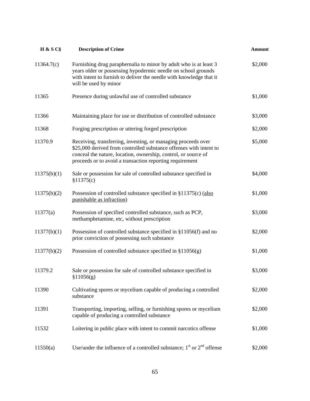| H & S C§    | <b>Description of Crime</b>                                                                                                                                                                                                                                       | <b>Amount</b> |
|-------------|-------------------------------------------------------------------------------------------------------------------------------------------------------------------------------------------------------------------------------------------------------------------|---------------|
| 11364.7(c)  | Furnishing drug paraphernalia to minor by adult who is at least 3<br>years older or possessing hypodermic needle on school grounds<br>with intent to furnish to deliver the needle with knowledge that it<br>will be used by minor                                | \$2,000       |
| 11365       | Presence during unlawful use of controlled substance                                                                                                                                                                                                              | \$1,000       |
| 11366       | Maintaining place for use or distribution of controlled substance                                                                                                                                                                                                 | \$3,000       |
| 11368       | Forging prescription or uttering forged prescription                                                                                                                                                                                                              | \$2,000       |
| 11370.9     | Receiving, transferring, investing, or managing proceeds over<br>\$25,000 derived from controlled substance offenses with intent to<br>conceal the nature, location, ownership, control, or source of<br>proceeds or to avoid a transaction reporting requirement | \$5,000       |
| 11375(b)(1) | Sale or possession for sale of controlled substance specified in<br>\$11375(c)                                                                                                                                                                                    | \$4,000       |
| 11375(b)(2) | Possession of controlled substance specified in $$11375(c)$ (also<br>punishable as infraction)                                                                                                                                                                    | \$1,000       |
| 11377(a)    | Possession of specified controlled substance, such as PCP,<br>methamphetamine, etc, without prescription                                                                                                                                                          | \$3,000       |
| 11377(b)(1) | Possession of controlled substance specified in §11056(f) and no<br>prior conviction of possessing such substance                                                                                                                                                 | \$2,000       |
| 11377(b)(2) | Possession of controlled substance specified in $\S 11056(g)$                                                                                                                                                                                                     | \$1,000       |
| 11379.2     | Sale or possession for sale of controlled substance specified in<br>\$11056(g)                                                                                                                                                                                    | \$3,000       |
| 11390       | Cultivating spores or mycelium capable of producing a controlled<br>substance                                                                                                                                                                                     | \$2,000       |
| 11391       | Transporting, importing, selling, or furnishing spores or mycelium<br>capable of producing a controlled substance                                                                                                                                                 | \$2,000       |
| 11532       | Loitering in public place with intent to commit narcotics offense                                                                                                                                                                                                 | \$1,000       |
| 11550(a)    | Use/under the influence of a controlled substance; $1st$ or $2nd$ offense                                                                                                                                                                                         | \$2,000       |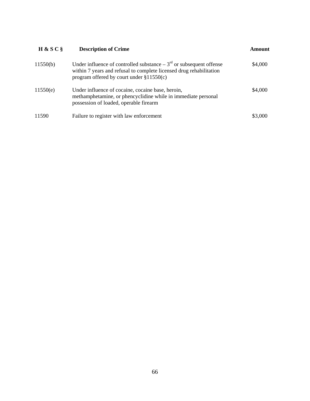| H & S C  | <b>Description of Crime</b>                                                                                                                                                                  | Amount  |
|----------|----------------------------------------------------------------------------------------------------------------------------------------------------------------------------------------------|---------|
| 11550(b) | Under influence of controlled substance $-3^{rd}$ or subsequent offense<br>within 7 years and refusal to complete licensed drug rehabilitation<br>program offered by court under $$11550(c)$ | \$4,000 |
| 11550(e) | Under influence of cocaine, cocaine base, heroin,<br>methamphetamine, or phencyclidine while in immediate personal<br>possession of loaded, operable firearm                                 | \$4,000 |
| 11590    | Failure to register with law enforcement                                                                                                                                                     | \$3,000 |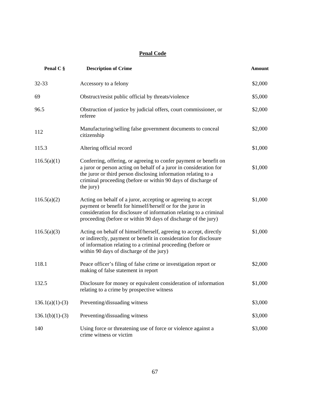### **Penal Code**

| Penal C §         | <b>Description of Crime</b>                                                                                                                                                                                                                                                             | <b>Amount</b> |
|-------------------|-----------------------------------------------------------------------------------------------------------------------------------------------------------------------------------------------------------------------------------------------------------------------------------------|---------------|
| 32-33             | Accessory to a felony                                                                                                                                                                                                                                                                   | \$2,000       |
| 69                | Obstruct/resist public official by threats/violence                                                                                                                                                                                                                                     | \$5,000       |
| 96.5              | Obstruction of justice by judicial offers, court commissioner, or<br>referee                                                                                                                                                                                                            | \$2,000       |
| 112               | Manufacturing/selling false government documents to conceal<br>citizenship                                                                                                                                                                                                              | \$2,000       |
| 115.3             | Altering official record                                                                                                                                                                                                                                                                | \$1,000       |
| 116.5(a)(1)       | Conferring, offering, or agreeing to confer payment or benefit on<br>a juror or person acting on behalf of a juror in consideration for<br>the juror or third person disclosing information relating to a<br>criminal proceeding (before or within 90 days of discharge of<br>the jury) | \$1,000       |
| 116.5(a)(2)       | Acting on behalf of a juror, accepting or agreeing to accept<br>payment or benefit for himself/herself or for the juror in<br>consideration for disclosure of information relating to a criminal<br>proceeding (before or within 90 days of discharge of the jury)                      | \$1,000       |
| 116.5(a)(3)       | Acting on behalf of himself/herself, agreeing to accept, directly<br>or indirectly, payment or benefit in consideration for disclosure<br>of information relating to a criminal proceeding (before or<br>within 90 days of discharge of the jury)                                       | \$1,000       |
| 118.1             | Peace officer's filing of false crime or investigation report or<br>making of false statement in report                                                                                                                                                                                 | \$2,000       |
| 132.5             | Disclosure for money or equivalent consideration of information<br>relating to a crime by prospective witness                                                                                                                                                                           | \$1,000       |
| $136.1(a)(1)-(3)$ | Preventing/dissuading witness                                                                                                                                                                                                                                                           | \$3,000       |
| $136.1(b)(1)-(3)$ | Preventing/dissuading witness                                                                                                                                                                                                                                                           | \$3,000       |
| 140               | Using force or threatening use of force or violence against a<br>crime witness or victim                                                                                                                                                                                                | \$3,000       |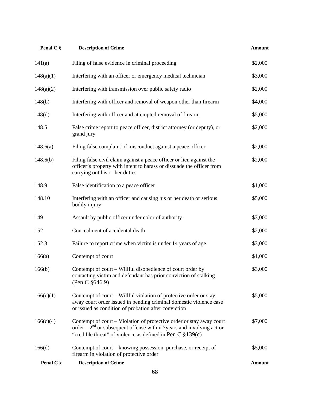| Penal C § | <b>Description of Crime</b>                                                                                                                                                                                      | <b>Amount</b> |
|-----------|------------------------------------------------------------------------------------------------------------------------------------------------------------------------------------------------------------------|---------------|
| 141(a)    | Filing of false evidence in criminal proceeding                                                                                                                                                                  | \$2,000       |
| 148(a)(1) | Interfering with an officer or emergency medical technician                                                                                                                                                      | \$3,000       |
| 148(a)(2) | Interfering with transmission over public safety radio                                                                                                                                                           | \$2,000       |
| 148(b)    | Interfering with officer and removal of weapon other than firearm                                                                                                                                                | \$4,000       |
| 148(d)    | Interfering with officer and attempted removal of firearm                                                                                                                                                        | \$5,000       |
| 148.5     | False crime report to peace officer, district attorney (or deputy), or<br>grand jury                                                                                                                             | \$2,000       |
| 148.6(a)  | Filing false complaint of misconduct against a peace officer                                                                                                                                                     | \$2,000       |
| 148.6(b)  | Filing false civil claim against a peace officer or lien against the<br>officer's property with intent to harass or dissuade the officer from<br>carrying out his or her duties                                  | \$2,000       |
| 148.9     | False identification to a peace officer                                                                                                                                                                          | \$1,000       |
| 148.10    | Interfering with an officer and causing his or her death or serious<br>bodily injury                                                                                                                             | \$5,000       |
| 149       | Assault by public officer under color of authority                                                                                                                                                               | \$3,000       |
| 152       | Concealment of accidental death                                                                                                                                                                                  | \$2,000       |
| 152.3     | Failure to report crime when victim is under 14 years of age                                                                                                                                                     | \$3,000       |
| 166(a)    | Contempt of court                                                                                                                                                                                                | \$1,000       |
| 166(b)    | Contempt of court – Willful disobedience of court order by<br>contacting victim and defendant has prior conviction of stalking<br>(Pen C $§646.9$ )                                                              | \$3,000       |
| 166(c)(1) | Contempt of court – Willful violation of protective order or stay<br>away court order issued in pending criminal domestic violence case<br>or issued as condition of probation after conviction                  | \$5,000       |
| 166(c)(4) | Contempt of court – Violation of protective order or stay away court<br>order – $2nd$ or subsequent offense within 7 years and involving act or<br>"credible threat" of violence as defined in Pen C $\S 139(c)$ | \$7,000       |
| 166(d)    | Contempt of court – knowing possession, purchase, or receipt of<br>firearm in violation of protective order                                                                                                      | \$5,000       |
| Penal C § | <b>Description of Crime</b>                                                                                                                                                                                      | <b>Amount</b> |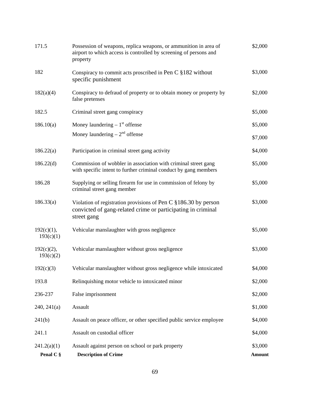| 171.5                      | Possession of weapons, replica weapons, or ammunition in area of<br>airport to which access is controlled by screening of persons and<br>property | \$2,000           |
|----------------------------|---------------------------------------------------------------------------------------------------------------------------------------------------|-------------------|
| 182                        | Conspiracy to commit acts proscribed in Pen C §182 without<br>specific punishment                                                                 | \$3,000           |
| 182(a)(4)                  | Conspiracy to defraud of property or to obtain money or property by<br>false pretenses                                                            | \$2,000           |
| 182.5                      | Criminal street gang conspiracy                                                                                                                   | \$5,000           |
| 186.10(a)                  | Money laundering $-1st$ offense                                                                                                                   | \$5,000           |
|                            | Money laundering $-2nd$ offense                                                                                                                   | \$7,000           |
| 186.22(a)                  | Participation in criminal street gang activity                                                                                                    | \$4,000           |
| 186.22(d)                  | Commission of wobbler in association with criminal street gang<br>with specific intent to further criminal conduct by gang members                | \$5,000           |
| 186.28                     | Supplying or selling firearm for use in commission of felony by<br>criminal street gang member                                                    | \$5,000           |
| 186.33(a)                  | Violation of registration provisions of Pen C §186.30 by person<br>convicted of gang-related crime or participating in criminal<br>street gang    | \$3,000           |
| $192(c)(1)$ ,<br>193(c)(1) | Vehicular manslaughter with gross negligence                                                                                                      | \$5,000           |
| $192(c)(2)$ ,<br>193(c)(2) | Vehicular manslaughter without gross negligence                                                                                                   | \$3,000           |
| 192(c)(3)                  | Vehicular manslaughter without gross negligence while intoxicated                                                                                 | \$4,000           |
| 193.8                      | Relinquishing motor vehicle to intoxicated minor                                                                                                  | \$2,000           |
| 236-237                    | False imprisonment                                                                                                                                | \$2,000           |
| 240, 241(a)                | Assault                                                                                                                                           | \$1,000           |
| 241(b)                     | Assault on peace officer, or other specified public service employee                                                                              | \$4,000           |
| 241.1                      | Assault on custodial officer                                                                                                                      | \$4,000           |
| 241.2(a)(1)<br>Penal C §   | Assault against person on school or park property<br><b>Description of Crime</b>                                                                  | \$3,000<br>Amount |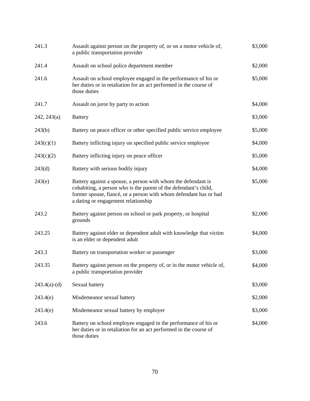| 241.3          | Assault against person on the property of, or on a motor vehicle of,<br>a public transportation provider                                                                                                                                      | \$3,000 |
|----------------|-----------------------------------------------------------------------------------------------------------------------------------------------------------------------------------------------------------------------------------------------|---------|
| 241.4          | Assault on school police department member                                                                                                                                                                                                    | \$2,000 |
| 241.6          | Assault on school employee engaged in the performance of his or<br>her duties or in retaliation for an act performed in the course of<br>those duties                                                                                         | \$5,000 |
| 241.7          | Assault on juror by party to action                                                                                                                                                                                                           | \$4,000 |
| 242, 243(a)    | <b>Battery</b>                                                                                                                                                                                                                                | \$3,000 |
| 243(b)         | Battery on peace officer or other specified public service employee                                                                                                                                                                           | \$5,000 |
| 243(c)(1)      | Battery inflicting injury on specified public service employee                                                                                                                                                                                | \$4,000 |
| 243(c)(2)      | Battery inflicting injury on peace officer                                                                                                                                                                                                    | \$5,000 |
| 243(d)         | Battery with serious bodily injury                                                                                                                                                                                                            | \$4,000 |
| 243(e)         | Battery against a spouse, a person with whom the defendant is<br>cohabiting, a person who is the parent of the defendant's child,<br>former spouse, fiancé, or a person with whom defendant has or had<br>a dating or engagement relationship | \$5,000 |
| 243.2          | Battery against person on school or park property, or hospital<br>grounds                                                                                                                                                                     | \$2,000 |
| 243.25         | Battery against elder or dependent adult with knowledge that victim<br>is an elder or dependent adult                                                                                                                                         | \$4,000 |
| 243.3          | Battery on transportation worker or passenger                                                                                                                                                                                                 | \$3,000 |
| 243.35         | Battery against person on the property of, or in the motor vehicle of,<br>a public transportation provider                                                                                                                                    | \$4,000 |
| $243.4(a)-(d)$ | Sexual battery                                                                                                                                                                                                                                | \$3,000 |
| 243.4(e)       | Misdemeanor sexual battery                                                                                                                                                                                                                    | \$2,000 |
| 243.4(e)       | Misdemeanor sexual battery by employer                                                                                                                                                                                                        | \$3,000 |
| 243.6          | Battery on school employee engaged in the performance of his or<br>her duties or in retaliation for an act performed in the course of<br>those duties                                                                                         | \$4,000 |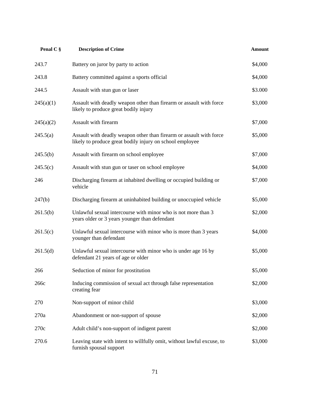| Penal C § | <b>Description of Crime</b>                                                                                                     | <b>Amount</b> |
|-----------|---------------------------------------------------------------------------------------------------------------------------------|---------------|
| 243.7     | Battery on juror by party to action                                                                                             | \$4,000       |
| 243.8     | Battery committed against a sports official                                                                                     | \$4,000       |
| 244.5     | Assault with stun gun or laser                                                                                                  | \$3.000       |
| 245(a)(1) | Assault with deadly weapon other than firearm or assault with force<br>likely to produce great bodily injury                    | \$3,000       |
| 245(a)(2) | Assault with firearm                                                                                                            | \$7,000       |
| 245.5(a)  | Assault with deadly weapon other than firearm or assault with force<br>likely to produce great bodily injury on school employee | \$5,000       |
| 245.5(b)  | Assault with firearm on school employee                                                                                         | \$7,000       |
| 245.5(c)  | Assault with stun gun or taser on school employee                                                                               | \$4,000       |
| 246       | Discharging firearm at inhabited dwelling or occupied building or<br>vehicle                                                    | \$7,000       |
| 247(b)    | Discharging firearm at uninhabited building or unoccupied vehicle                                                               | \$5,000       |
| 261.5(b)  | Unlawful sexual intercourse with minor who is not more than 3<br>years older or 3 years younger than defendant                  | \$2,000       |
| 261.5(c)  | Unlawful sexual intercourse with minor who is more than 3 years<br>younger than defendant                                       | \$4,000       |
| 261.5(d)  | Unlawful sexual intercourse with minor who is under age 16 by<br>defendant 21 years of age or older                             | \$5,000       |
| 266       | Seduction of minor for prostitution                                                                                             | \$5,000       |
| 266с      | Inducing commission of sexual act through false representation<br>creating fear                                                 | \$2,000       |
| 270       | Non-support of minor child                                                                                                      | \$3,000       |
| 270a      | Abandonment or non-support of spouse                                                                                            | \$2,000       |
| 270c      | Adult child's non-support of indigent parent                                                                                    | \$2,000       |
| 270.6     | Leaving state with intent to willfully omit, without lawful excuse, to<br>furnish spousal support                               | \$3,000       |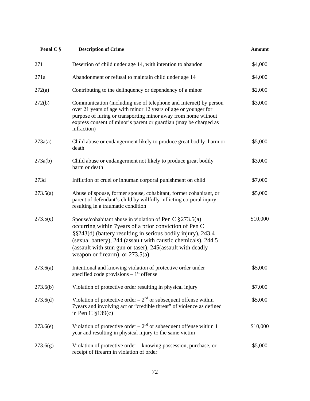| Penal C § | <b>Description of Crime</b>                                                                                                                                                                                                                                                                                                                               | <b>Amount</b> |
|-----------|-----------------------------------------------------------------------------------------------------------------------------------------------------------------------------------------------------------------------------------------------------------------------------------------------------------------------------------------------------------|---------------|
| 271       | Desertion of child under age 14, with intention to abandon                                                                                                                                                                                                                                                                                                | \$4,000       |
| 271a      | Abandonment or refusal to maintain child under age 14                                                                                                                                                                                                                                                                                                     | \$4,000       |
| 272(a)    | Contributing to the delinquency or dependency of a minor                                                                                                                                                                                                                                                                                                  | \$2,000       |
| 272(b)    | Communication (including use of telephone and Internet) by person<br>over 21 years of age with minor 12 years of age or younger for<br>purpose of luring or transporting minor away from home without<br>express consent of minor's parent or guardian (may be charged as<br>infraction)                                                                  | \$3,000       |
| 273a(a)   | Child abuse or endangerment likely to produce great bodily harm or<br>death                                                                                                                                                                                                                                                                               | \$5,000       |
| 273a(b)   | Child abuse or endangerment not likely to produce great bodily<br>harm or death                                                                                                                                                                                                                                                                           | \$3,000       |
| 273d      | Infliction of cruel or inhuman corporal punishment on child                                                                                                                                                                                                                                                                                               | \$7,000       |
| 273.5(a)  | Abuse of spouse, former spouse, cohabitant, former cohabitant, or<br>parent of defendant's child by willfully inflicting corporal injury<br>resulting in a traumatic condition                                                                                                                                                                            | \$5,000       |
| 273.5(e)  | Spouse/cohabitant abuse in violation of Pen C $\S 273.5(a)$<br>occurring within 7 years of a prior conviction of Pen C<br>§§243(d) (battery resulting in serious bodily injury), 243.4<br>(sexual battery), 244 (assault with caustic chemicals), 244.5<br>(assault with stun gun or taser), 245(assault with deadly<br>weapon or firearm), or $273.5(a)$ | \$10,000      |
| 273.6(a)  | Intentional and knowing violation of protective order under<br>specified code provisions $-1st$ offense                                                                                                                                                                                                                                                   | \$5,000       |
| 273.6(b)  | Violation of protective order resulting in physical injury                                                                                                                                                                                                                                                                                                | \$7,000       |
| 273.6(d)  | Violation of protective order – $2nd$ or subsequent offense within<br>7years and involving act or "credible threat" of violence as defined<br>in Pen C $\S$ 139(c)                                                                                                                                                                                        | \$5,000       |
| 273.6(e)  | Violation of protective order – $2nd$ or subsequent offense within 1<br>year and resulting in physical injury to the same victim                                                                                                                                                                                                                          | \$10,000      |
| 273.6(g)  | Violation of protective order – knowing possession, purchase, or<br>receipt of firearm in violation of order                                                                                                                                                                                                                                              | \$5,000       |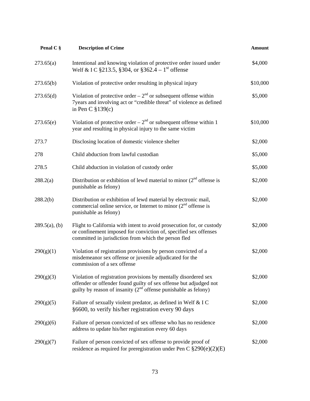| Penal C §        | <b>Description of Crime</b>                                                                                                                                                                                  | <b>Amount</b> |
|------------------|--------------------------------------------------------------------------------------------------------------------------------------------------------------------------------------------------------------|---------------|
| 273.65(a)        | Intentional and knowing violation of protective order issued under<br>Welf & I C §213.5, §304, or §362.4 – 1 <sup>st</sup> offense                                                                           | \$4,000       |
| 273.65(b)        | Violation of protective order resulting in physical injury                                                                                                                                                   | \$10,000      |
| 273.65(d)        | Violation of protective order – $2nd$ or subsequent offense within<br>7years and involving act or "credible threat" of violence as defined<br>in Pen C $\S$ 139(c)                                           | \$5,000       |
| 273.65(e)        | Violation of protective order $-2nd$ or subsequent offense within 1<br>year and resulting in physical injury to the same victim                                                                              | \$10,000      |
| 273.7            | Disclosing location of domestic violence shelter                                                                                                                                                             | \$2,000       |
| 278              | Child abduction from lawful custodian                                                                                                                                                                        | \$5,000       |
| 278.5            | Child abduction in violation of custody order                                                                                                                                                                | \$5,000       |
| 288.2(a)         | Distribution or exhibition of lewd material to minor $(2nd$ offense is<br>punishable as felony)                                                                                                              | \$2,000       |
| 288.2(b)         | Distribution or exhibition of lewd material by electronic mail,<br>commercial online service, or Internet to minor $(2nd$ offense is<br>punishable as felony)                                                | \$2,000       |
| $289.5(a)$ , (b) | Flight to California with intent to avoid prosecution for, or custody<br>or confinement imposed for conviction of, specified sex offenses<br>committed in jurisdiction from which the person fled            | \$2,000       |
| 290(g)(1)        | Violation of registration provisions by person convicted of a<br>misdemeanor sex offense or juvenile adjudicated for the<br>commission of a sex offense                                                      | \$2,000       |
| 290(g)(3)        | Violation of registration provisions by mentally disordered sex<br>offender or offender found guilty of sex offense but adjudged not<br>guilty by reason of insanity $(2^{nd}$ offense punishable as felony) | \$2,000       |
| 290(g)(5)        | Failure of sexually violent predator, as defined in Welf & IC<br>§6600, to verify his/her registration every 90 days                                                                                         | \$2,000       |
| 290(g)(6)        | Failure of person convicted of sex offense who has no residence<br>address to update his/her registration every 60 days                                                                                      | \$2,000       |
| 290(g)(7)        | Failure of person convicted of sex offense to provide proof of<br>residence as required for preregistration under Pen C $\S290(e)(2)(E)$                                                                     | \$2,000       |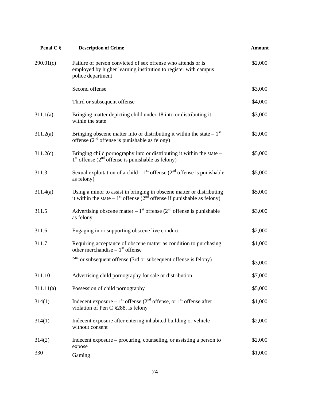| Penal C § | <b>Description of Crime</b>                                                                                                                                     | <b>Amount</b> |
|-----------|-----------------------------------------------------------------------------------------------------------------------------------------------------------------|---------------|
| 290.01(c) | Failure of person convicted of sex offense who attends or is<br>employed by higher learning institution to register with campus<br>police department            | \$2,000       |
|           | Second offense                                                                                                                                                  | \$3,000       |
|           | Third or subsequent offense                                                                                                                                     | \$4,000       |
| 311.1(a)  | Bringing matter depicting child under 18 into or distributing it<br>within the state                                                                            | \$3,000       |
| 311.2(a)  | Bringing obscene matter into or distributing it within the state $-1st$<br>offense $(2nd$ offense is punishable as felony)                                      | \$2,000       |
| 311.2(c)  | Bringing child pornography into or distributing it within the state –<br>$1st$ offense ( $2nd$ offense is punishable as felony)                                 | \$5,000       |
| 311.3     | Sexual exploitation of a child – $1st$ offense ( $2nd$ offense is punishable<br>as felony)                                                                      | \$5,000       |
| 311.4(a)  | Using a minor to assist in bringing in obscene matter or distributing<br>it within the state – 1 <sup>st</sup> offense ( $2nd$ offense if punishable as felony) | \$5,000       |
| 311.5     | Advertising obscene matter $-1^{st}$ offense ( $2^{nd}$ offense is punishable<br>as felony                                                                      | \$3,000       |
| 311.6     | Engaging in or supporting obscene live conduct                                                                                                                  | \$2,000       |
| 311.7     | Requiring acceptance of obscene matter as condition to purchasing<br>other merchandise $-1st$ offense                                                           | \$1,000       |
|           | $2nd$ or subsequent offense (3rd or subsequent offense is felony)                                                                                               | \$3,000       |
| 311.10    | Advertising child pornography for sale or distribution                                                                                                          | \$7,000       |
| 311.11(a) | Possession of child pornography                                                                                                                                 | \$5,000       |
| 314(1)    | Indecent exposure – $1^{st}$ offense ( $2^{nd}$ offense, or $1^{st}$ offense after<br>violation of Pen C §288, is felony                                        | \$1,000       |
| 314(1)    | Indecent exposure after entering inhabited building or vehicle<br>without consent                                                                               | \$2,000       |
| 314(2)    | Indecent exposure – procuring, counseling, or assisting a person to<br>expose                                                                                   | \$2,000       |
| 330       | Gaming                                                                                                                                                          | \$1,000       |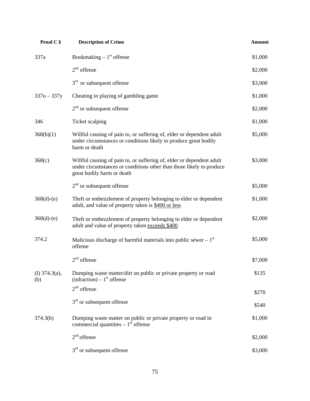| Penal C §               | <b>Description of Crime</b>                                                                                                                                                 | <b>Amount</b> |
|-------------------------|-----------------------------------------------------------------------------------------------------------------------------------------------------------------------------|---------------|
| 337a                    | Bookmaking $-1st$ offense                                                                                                                                                   | \$1,000       |
|                         | $2nd$ offense                                                                                                                                                               | \$2,000       |
|                         | $3rd$ or subsequent offense                                                                                                                                                 | \$3,000       |
| $337u - 337y$           | Cheating in playing of gambling game                                                                                                                                        | \$1,000       |
|                         | $2nd$ or subsequent offense                                                                                                                                                 | \$2,000       |
| 346                     | Ticket scalping                                                                                                                                                             | \$1,000       |
| 368(b)(1)               | Willful causing of pain to, or suffering of, elder or dependent adult<br>under circumstances or conditions likely to produce great bodily<br>harm or death                  | \$5,000       |
| 368(c)                  | Willful causing of pain to, or suffering of, elder or dependent adult<br>under circumstances or conditions other than those likely to produce<br>great bodily harm or death | \$3,000       |
|                         | $2nd$ or subsequent offense                                                                                                                                                 | \$5,000       |
| $368(d)-(e)$            | Theft or embezzlement of property belonging to elder or dependent<br>adult, and value of property taken is \$400 or less                                                    | \$1,000       |
| $368(d)-(e)$            | Theft or embezzlement of property belonging to elder or dependent<br>adult and value of property taken exceeds \$400                                                        | \$2,000       |
| 374.2                   | Malicious discharge of harmful materials into public sewer $-1st$<br>offense                                                                                                | \$5,000       |
|                         | $2nd$ offense                                                                                                                                                               | \$7,000       |
| (I) $374.3(a)$ ,<br>(b) | Dumping waste matter/dirt on public or private property or road<br>$(infraction) - 1st$ offense                                                                             | \$135         |
|                         | $2nd$ offense                                                                                                                                                               | \$270         |
|                         | $3rd$ or subsequent offense                                                                                                                                                 | \$540         |
| 374.3(h)                | Dumping waste matter on public or private property or road in<br>commercial quantities $-1st$ offense                                                                       | \$1,000       |
|                         | $2nd$ offense                                                                                                                                                               | \$2,000       |
|                         | $3rd$ or subsequent offense                                                                                                                                                 | \$3,000       |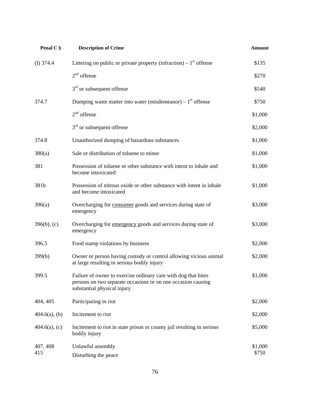| Penal C §        | <b>Description of Crime</b>                                                                                                                                   | <b>Amount</b>    |
|------------------|---------------------------------------------------------------------------------------------------------------------------------------------------------------|------------------|
| (I) $374.4$      | Littering on public or private property (infraction) – $1st$ offense                                                                                          | \$135            |
|                  | $2nd$ offense                                                                                                                                                 | \$270            |
|                  | $3rd$ or subsequent offense                                                                                                                                   | \$540            |
| 374.7            | Dumping waste matter into water (misdemeanor) – $1st$ offense                                                                                                 | \$750            |
|                  | $2nd$ offense                                                                                                                                                 | \$1,000          |
|                  | $3rd$ or subsequent offense                                                                                                                                   | \$2,000          |
| 374.8            | Unauthorized dumping of hazardous substances                                                                                                                  | \$1,000          |
| 380(a)           | Sale or distribution of toluene to minor                                                                                                                      | \$1,000          |
| 381              | Possession of toluene or other substance with intent to inhale and<br>become intoxicated                                                                      | \$1,000          |
| 381b             | Possession of nitrous oxide or other substance with intent in inhale<br>and become intoxicated                                                                | \$1,000          |
| 396(a)           | Overcharging for consumer goods and services during state of<br>emergency                                                                                     | \$3,000          |
| $396(b)$ , (c)   | Overcharging for emergency goods and services during state of<br>emergency                                                                                    | \$3,000          |
| 396.5            | Food stamp violations by business                                                                                                                             | \$2,000          |
| 399(b)           | Owner or person having custody or control allowing vicious animal<br>at large resulting in serious bodily injury                                              | \$2,000          |
| 399.5            | Failure of owner to exercise ordinary care with dog that bites<br>persons on two separate occasions or on one occasion causing<br>substantial physical injury | \$1,000          |
| 404, 405         | Participating in riot                                                                                                                                         | \$2,000          |
| $404.6(a)$ , (b) | Incitement to riot                                                                                                                                            | \$2,000          |
| $404.6(a)$ , (c) | Incitement to riot in state prison or county jail resulting in serious<br>bodily injury                                                                       | \$5,000          |
| 407, 408<br>415  | Unlawful assembly<br>Disturbing the peace                                                                                                                     | \$1,000<br>\$750 |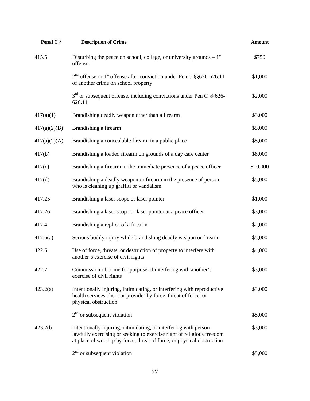| Penal C §    | <b>Description of Crime</b>                                                                                                                                                                                         | <b>Amount</b> |
|--------------|---------------------------------------------------------------------------------------------------------------------------------------------------------------------------------------------------------------------|---------------|
| 415.5        | Disturbing the peace on school, college, or university grounds $-1st$<br>offense                                                                                                                                    | \$750         |
|              | $2nd$ offense or 1 <sup>st</sup> offense after conviction under Pen C §§626-626.11<br>of another crime on school property                                                                                           | \$1,000       |
|              | $3rd$ or subsequent offense, including convictions under Pen C §§626-<br>626.11                                                                                                                                     | \$2,000       |
| 417(a)(1)    | Brandishing deadly weapon other than a firearm                                                                                                                                                                      | \$3,000       |
| 417(a)(2)(B) | Brandishing a firearm                                                                                                                                                                                               | \$5,000       |
| 417(a)(2)(A) | Brandishing a concealable firearm in a public place                                                                                                                                                                 | \$5,000       |
| 417(b)       | Brandishing a loaded firearm on grounds of a day care center                                                                                                                                                        | \$8,000       |
| 417(c)       | Brandishing a firearm in the immediate presence of a peace officer                                                                                                                                                  | \$10,000      |
| 417(d)       | Brandishing a deadly weapon or firearm in the presence of person<br>who is cleaning up graffiti or vandalism                                                                                                        | \$5,000       |
| 417.25       | Brandishing a laser scope or laser pointer                                                                                                                                                                          | \$1,000       |
| 417.26       | Brandishing a laser scope or laser pointer at a peace officer                                                                                                                                                       | \$3,000       |
| 417.4        | Brandishing a replica of a firearm                                                                                                                                                                                  | \$2,000       |
| 417.6(a)     | Serious bodily injury while brandishing deadly weapon or firearm                                                                                                                                                    | \$5,000       |
| 422.6        | Use of force, threats, or destruction of property to interfere with<br>another's exercise of civil rights                                                                                                           | \$4,000       |
| 422.7        | Commission of crime for purpose of interfering with another's<br>exercise of civil rights                                                                                                                           | \$3,000       |
| 423.2(a)     | Intentionally injuring, intimidating, or interfering with reproductive<br>health services client or provider by force, threat of force, or<br>physical obstruction                                                  | \$3,000       |
|              | $2nd$ or subsequent violation                                                                                                                                                                                       | \$5,000       |
| 423.2(b)     | Intentionally injuring, intimidating, or interfering with person<br>lawfully exercising or seeking to exercise right of religious freedom<br>at place of worship by force, threat of force, or physical obstruction | \$3,000       |
|              | $2nd$ or subsequent violation                                                                                                                                                                                       | \$5,000       |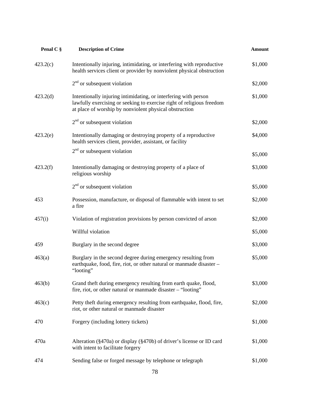| Penal C § | <b>Description of Crime</b>                                                                                                                                                                        | <b>Amount</b> |
|-----------|----------------------------------------------------------------------------------------------------------------------------------------------------------------------------------------------------|---------------|
| 423.2(c)  | Intentionally injuring, intimidating, or interfering with reproductive<br>health services client or provider by nonviolent physical obstruction                                                    | \$1,000       |
|           | $2nd$ or subsequent violation                                                                                                                                                                      | \$2,000       |
| 423.2(d)  | Intentionally injuring intimidating, or interfering with person<br>lawfully exercising or seeking to exercise right of religious freedom<br>at place of worship by nonviolent physical obstruction | \$1,000       |
|           | $2nd$ or subsequent violation                                                                                                                                                                      | \$2,000       |
| 423.2(e)  | Intentionally damaging or destroying property of a reproductive<br>health services client, provider, assistant, or facility                                                                        | \$4,000       |
|           | $2nd$ or subsequent violation                                                                                                                                                                      | \$5,000       |
| 423.2(f)  | Intentionally damaging or destroying property of a place of<br>religious worship                                                                                                                   | \$3,000       |
|           | $2nd$ or subsequent violation                                                                                                                                                                      | \$5,000       |
| 453       | Possession, manufacture, or disposal of flammable with intent to set<br>a fire                                                                                                                     | \$2,000       |
| 457(i)    | Violation of registration provisions by person convicted of arson                                                                                                                                  | \$2,000       |
|           | Willful violation                                                                                                                                                                                  | \$5,000       |
| 459       | Burglary in the second degree                                                                                                                                                                      | \$3,000       |
| 463(a)    | Burglary in the second degree during emergency resulting from<br>earthquake, food, fire, riot, or other natural or manmade disaster -<br>"looting"                                                 | \$5,000       |
| 463(b)    | Grand theft during emergency resulting from earth quake, flood,<br>fire, riot, or other natural or manmade disaster - "looting"                                                                    | \$3,000       |
| 463(c)    | Petty theft during emergency resulting from earthquake, flood, fire,<br>riot, or other natural or manmade disaster                                                                                 | \$2,000       |
| 470       | Forgery (including lottery tickets)                                                                                                                                                                | \$1,000       |
| 470a      | Alteration (§470a) or display (§470b) of driver's license or ID card<br>with intent to facilitate forgery                                                                                          | \$1,000       |
| 474       | Sending false or forged message by telephone or telegraph                                                                                                                                          | \$1,000       |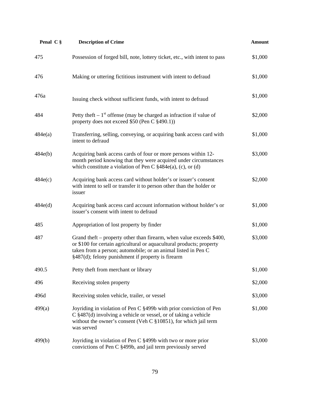| Penal C § | <b>Description of Crime</b>                                                                                                                                                                                                                                        | <b>Amount</b> |
|-----------|--------------------------------------------------------------------------------------------------------------------------------------------------------------------------------------------------------------------------------------------------------------------|---------------|
| 475       | Possession of forged bill, note, lottery ticket, etc., with intent to pass                                                                                                                                                                                         | \$1,000       |
| 476       | Making or uttering fictitious instrument with intent to defraud                                                                                                                                                                                                    | \$1,000       |
| 476a      | Issuing check without sufficient funds, with intent to defraud                                                                                                                                                                                                     | \$1,000       |
| 484       | Petty theft $-1st$ offense (may be charged as infraction if value of<br>property does not exceed \$50 (Pen C §490.1))                                                                                                                                              | \$2,000       |
| 484e(a)   | Transferring, selling, conveying, or acquiring bank access card with<br>intent to defraud                                                                                                                                                                          | \$1,000       |
| 484e(b)   | Acquiring bank access cards of four or more persons within 12-<br>month period knowing that they were acquired under circumstances<br>which constitute a violation of Pen C $§484e(a)$ , (c), or (d)                                                               | \$3,000       |
| 484e(c)   | Acquiring bank access card without holder's or issuer's consent<br>with intent to sell or transfer it to person other than the holder or<br>issuer                                                                                                                 | \$2,000       |
| 484e(d)   | Acquiring bank access card account information without holder's or<br>issuer's consent with intent to defraud                                                                                                                                                      | \$1,000       |
| 485       | Appropriation of lost property by finder                                                                                                                                                                                                                           | \$1,000       |
| 487       | Grand theft – property other than firearm, when value exceeds \$400,<br>or \$100 for certain agricultural or aquacultural products; property<br>taken from a person; automobile; or an animal listed in Pen C<br>§487(d); felony punishment if property is firearm | \$3,000       |
| 490.5     | Petty theft from merchant or library                                                                                                                                                                                                                               | \$1,000       |
| 496       | Receiving stolen property                                                                                                                                                                                                                                          | \$2,000       |
| 496d      | Receiving stolen vehicle, trailer, or vessel                                                                                                                                                                                                                       | \$3,000       |
| 499(a)    | Joyriding in violation of Pen C §499b with prior conviction of Pen<br>$C$ §487(d) involving a vehicle or vessel, or of taking a vehicle<br>without the owner's consent (Veh C §10851), for which jail term<br>was served                                           | \$1,000       |
| 499(b)    | Joyriding in violation of Pen C §499b with two or more prior<br>convictions of Pen C §499b, and jail term previously served                                                                                                                                        | \$3,000       |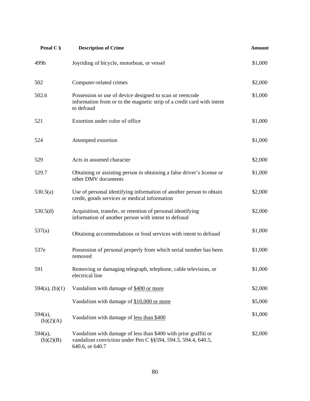| Penal C §               | <b>Description of Crime</b>                                                                                                                        | <b>Amount</b> |
|-------------------------|----------------------------------------------------------------------------------------------------------------------------------------------------|---------------|
| 499b                    | Joyriding of bicycle, motorboat, or vessel                                                                                                         | \$1,000       |
| 502                     | Computer-related crimes                                                                                                                            | \$2,000       |
| 502.6                   | Possession or use of device designed to scan or reencode<br>information from or to the magnetic strip of a credit card with intent<br>to defraud   | \$1,000       |
| 521                     | Extortion under color of office                                                                                                                    | \$1,000       |
| 524                     | Attempted extortion                                                                                                                                | \$1,000       |
| 529                     | Acts in assumed character                                                                                                                          | \$2,000       |
| 529.7                   | Obtaining or assisting person in obtaining a false driver's license or<br>other DMV documents                                                      | \$1,000       |
| 530.5(a)                | Use of personal identifying information of another person to obtain<br>credit, goods services or medical information                               | \$2,000       |
| 530.5(d)                | Acquisition, transfer, or retention of personal identifying<br>information of another person with intent to defraud                                | \$2,000       |
| 537(a)                  | Obtaining accommodations or food services with intent to defraud                                                                                   | \$1,000       |
| 537e                    | Possession of personal properly from which serial number has been<br>removed                                                                       | \$1,000       |
| 591                     | Removing or damaging telegraph, telephone, cable television, or<br>electrical line                                                                 | \$1,000       |
| $594(a)$ , (b)(1)       | Vandalism with damage of \$400 or more                                                                                                             | \$2,000       |
|                         | Vandalism with damage of \$10,000 or more                                                                                                          | \$5,000       |
| 594(a),<br>(b)(2)(A)    | Vandalism with damage of less than \$400                                                                                                           | \$1,000       |
| $594(a)$ ,<br>(b)(2)(B) | Vandalism with damage of less than \$400 with prior graffiti or<br>vandalism conviction under Pen C §§594, 594.3, 594.4, 640.5,<br>640.6, or 640.7 | \$2,000       |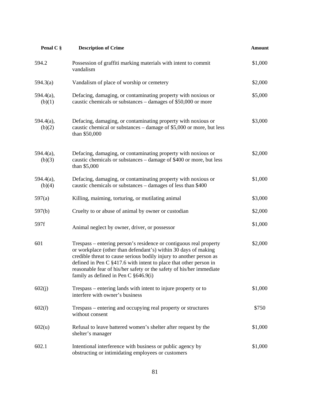| Penal C §           | <b>Description of Crime</b>                                                                                                                                                                                                                                                                                                                                                                              | <b>Amount</b> |
|---------------------|----------------------------------------------------------------------------------------------------------------------------------------------------------------------------------------------------------------------------------------------------------------------------------------------------------------------------------------------------------------------------------------------------------|---------------|
| 594.2               | Possession of graffiti marking materials with intent to commit<br>vandalism                                                                                                                                                                                                                                                                                                                              | \$1,000       |
| 594.3(a)            | Vandalism of place of worship or cemetery                                                                                                                                                                                                                                                                                                                                                                | \$2,000       |
| 594.4(a),<br>(b)(1) | Defacing, damaging, or contaminating property with noxious or<br>caustic chemicals or substances – damages of \$50,000 or more                                                                                                                                                                                                                                                                           | \$5,000       |
| 594.4(a),<br>(b)(2) | Defacing, damaging, or contaminating property with noxious or<br>caustic chemical or substances – damage of \$5,000 or more, but less<br>than \$50,000                                                                                                                                                                                                                                                   | \$3,000       |
| 594.4(a),<br>(b)(3) | Defacing, damaging, or contaminating property with noxious or<br>caustic chemicals or substances – damage of \$400 or more, but less<br>than \$5,000                                                                                                                                                                                                                                                     | \$2,000       |
| 594.4(a),<br>(b)(4) | Defacing, damaging, or contaminating property with noxious or<br>caustic chemicals or substances – damages of less than \$400                                                                                                                                                                                                                                                                            | \$1,000       |
| 597(a)              | Killing, maiming, torturing, or mutilating animal                                                                                                                                                                                                                                                                                                                                                        | \$3,000       |
| 597(b)              | Cruelty to or abuse of animal by owner or custodian                                                                                                                                                                                                                                                                                                                                                      | \$2,000       |
| 597f                | Animal neglect by owner, driver, or possessor                                                                                                                                                                                                                                                                                                                                                            | \$1,000       |
| 601                 | Trespass – entering person's residence or contiguous real property<br>or workplace (other than defendant's) within 30 days of making<br>credible threat to cause serious bodily injury to another person as<br>defined in Pen C $\S$ 417.6 with intent to place that other person in<br>reasonable fear of his/her safety or the safety of his/her immediate<br>family as defined in Pen C $\S 646.9(i)$ | \$2,000       |
| 602(j)              | Trespass – entering lands with intent to injure property or to<br>interfere with owner's business                                                                                                                                                                                                                                                                                                        | \$1,000       |
| 602(l)              | Trespass – entering and occupying real property or structures<br>without consent                                                                                                                                                                                                                                                                                                                         | \$750         |
| 602(u)              | Refusal to leave battered women's shelter after request by the<br>shelter's manager                                                                                                                                                                                                                                                                                                                      | \$1,000       |
| 602.1               | Intentional interference with business or public agency by<br>obstructing or intimidating employees or customers                                                                                                                                                                                                                                                                                         | \$1,000       |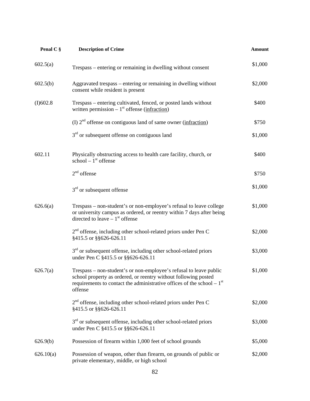| Penal C § | <b>Description of Crime</b>                                                                                                                                                                                                  | <b>Amount</b> |
|-----------|------------------------------------------------------------------------------------------------------------------------------------------------------------------------------------------------------------------------------|---------------|
| 602.5(a)  | Trespass – entering or remaining in dwelling without consent                                                                                                                                                                 | \$1,000       |
| 602.5(b)  | Aggravated trespass – entering or remaining in dwelling without<br>consent while resident is present                                                                                                                         | \$2,000       |
| (I)602.8  | Trespass – entering cultivated, fenced, or posted lands without<br>written permission $-1st$ offense (infraction)                                                                                                            | \$400         |
|           | (I) $2nd$ offense on contiguous land of same owner (infraction)                                                                                                                                                              | \$750         |
|           | $3rd$ or subsequent offense on contiguous land                                                                                                                                                                               | \$1,000       |
| 602.11    | Physically obstructing access to health care facility, church, or<br>school $-1st$ offense                                                                                                                                   | \$400         |
|           | $2nd$ offense                                                                                                                                                                                                                | \$750         |
|           | $3rd$ or subsequent offense                                                                                                                                                                                                  | \$1,000       |
| 626.6(a)  | Trespass – non-student's or non-employee's refusal to leave college<br>or university campus as ordered, or reentry within 7 days after being<br>directed to leave $-1st$ offense                                             | \$1,000       |
|           | 2 <sup>nd</sup> offense, including other school-related priors under Pen C<br>§415.5 or §§626-626.11                                                                                                                         | \$2,000       |
|           | $3rd$ or subsequent offense, including other school-related priors<br>under Pen C §415.5 or §§626-626.11                                                                                                                     | \$3,000       |
| 626.7(a)  | Trespass – non-student's or non-employee's refusal to leave public<br>school property as ordered, or reentry without following posted<br>requirements to contact the administrative offices of the school – $1st$<br>offense | \$1,000       |
|           | 2 <sup>nd</sup> offense, including other school-related priors under Pen C<br>§415.5 or §§626-626.11                                                                                                                         | \$2,000       |
|           | $3rd$ or subsequent offense, including other school-related priors<br>under Pen C §415.5 or §§626-626.11                                                                                                                     | \$3,000       |
| 626.9(b)  | Possession of firearm within 1,000 feet of school grounds                                                                                                                                                                    | \$5,000       |
| 626.10(a) | Possession of weapon, other than firearm, on grounds of public or<br>private elementary, middle, or high school                                                                                                              | \$2,000       |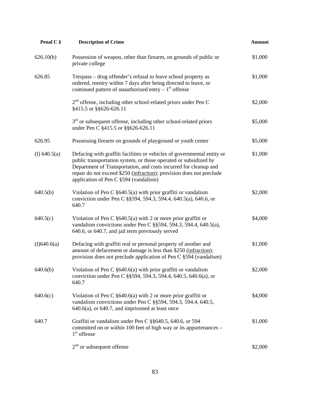| Penal C §      | <b>Description of Crime</b>                                                                                                                                                                                                                                                                                                      | <b>Amount</b> |
|----------------|----------------------------------------------------------------------------------------------------------------------------------------------------------------------------------------------------------------------------------------------------------------------------------------------------------------------------------|---------------|
| 626.10(b)      | Possession of weapon, other than firearm, on grounds of public or<br>private college                                                                                                                                                                                                                                             | \$1,000       |
| 626.85         | Trespass – drug offender's refusal to leave school property as<br>ordered, reentry within 7 days after being directed to leave, or<br>continued pattern of unauthorized entry $-1st$ offense                                                                                                                                     | \$1,000       |
|                | $2nd$ offense, including other school-related priors under Pen C<br>§415.5 or §§626-626.11                                                                                                                                                                                                                                       | \$2,000       |
|                | $3rd$ or subsequent offense, including other school-related priors<br>under Pen C §415.5 or §§626-626.11                                                                                                                                                                                                                         | \$5,000       |
| 626.95         | Possessing firearm on grounds of playground or youth center                                                                                                                                                                                                                                                                      | \$5,000       |
| (I) $640.5(a)$ | Defacing with graffiti facilities or vehicles of governmental entity or<br>public transportation system, or those operated or subsidized by<br>Department of Transportation, and costs incurred for cleanup and<br>repair do not exceed \$250 (infraction); provision does not preclude<br>application of Pen C §594 (vandalism) | \$1,000       |
| 640.5(b)       | Violation of Pen C $\S640.5(a)$ with prior graffiti or vandalism<br>conviction under Pen C §§594, 594.3, 594.4, 640.5(a), 640.6, or<br>640.7                                                                                                                                                                                     | \$2,000       |
| 640.5(c)       | Violation of Pen C $\S640.5(a)$ with 2 or more prior graffiti or<br>vandalism convictions under Pen C §§594, 594.3, 594.4, 640.5(a),<br>640.6, or 640.7, and jail term previously served                                                                                                                                         | \$4,000       |
| (I)640.6(a)    | Defacing with graffiti real or personal property of another and<br>amount of defacement or damage is less than \$250 (infraction);<br>provision does not preclude application of Pen C §594 (vandalism)                                                                                                                          | \$1,000       |
| 640.6(b)       | Violation of Pen C $\S640.6(a)$ with prior graffiti or vandalism<br>conviction under Pen C §§594, 594.3, 594.4, 640.5, 640.6(a), or<br>640.7                                                                                                                                                                                     | \$2,000       |
| 640.6(c)       | Violation of Pen C $\S640.6(a)$ with 2 or more prior graffiti or<br>vandalism convictions under Pen C §§594, 594.3, 594.4, 640.5,<br>$640.6(a)$ , or $640.7$ , and imprisoned at least once                                                                                                                                      | \$4,000       |
| 640.7          | Graffiti or vandalism under Pen C §§640.5, 640.6, or 594<br>committed on or within 100 feet of high way or its appurtenances -<br>$1st$ offense                                                                                                                                                                                  | \$1,000       |
|                | $2nd$ or subsequent offense                                                                                                                                                                                                                                                                                                      | \$2,000       |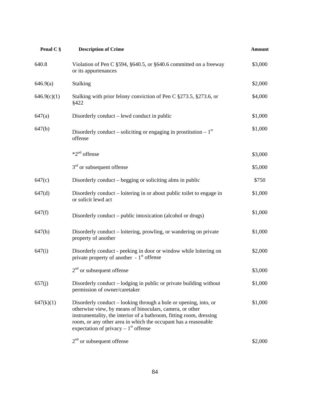| Penal C §   | <b>Description of Crime</b>                                                                                                                                                                                                                                                                                    | <b>Amount</b> |
|-------------|----------------------------------------------------------------------------------------------------------------------------------------------------------------------------------------------------------------------------------------------------------------------------------------------------------------|---------------|
| 640.8       | Violation of Pen C §594, §640.5, or §640.6 committed on a freeway<br>or its appurtenances                                                                                                                                                                                                                      | \$3,000       |
| 646.9(a)    | Stalking                                                                                                                                                                                                                                                                                                       | \$2,000       |
| 646.9(c)(1) | Stalking with prior felony conviction of Pen C §273.5, §273.6, or<br>§422                                                                                                                                                                                                                                      | \$4,000       |
| 647(a)      | Disorderly conduct – lewd conduct in public                                                                                                                                                                                                                                                                    | \$1,000       |
| 647(b)      | Disorderly conduct – soliciting or engaging in prostitution – $1st$<br>offense                                                                                                                                                                                                                                 | \$1,000       |
|             | $*2^{nd}$ offense                                                                                                                                                                                                                                                                                              | \$3,000       |
|             | $3rd$ or subsequent offense                                                                                                                                                                                                                                                                                    | \$5,000       |
| 647(c)      | Disorderly conduct – begging or soliciting alms in public                                                                                                                                                                                                                                                      | \$750         |
| 647(d)      | Disorderly conduct – loitering in or about public toilet to engage in<br>or solicit lewd act                                                                                                                                                                                                                   | \$1,000       |
| 647(f)      | Disorderly conduct – public intoxication (alcohol or drugs)                                                                                                                                                                                                                                                    | \$1,000       |
| 647(h)      | Disorderly conduct – loitering, prowling, or wandering on private<br>property of another                                                                                                                                                                                                                       | \$1,000       |
| 647(i)      | Disorderly conduct - peeking in door or window while loitering on<br>private property of another $-1st$ offense                                                                                                                                                                                                | \$2,000       |
|             | $2nd$ or subsequent offense                                                                                                                                                                                                                                                                                    | \$3,000       |
| 657(j)      | Disorderly conduct – lodging in public or private building without<br>permission of owner/caretaker                                                                                                                                                                                                            | \$1,000       |
| 647(k)(1)   | Disorderly conduct – looking through a hole or opening, into, or<br>otherwise view, by means of binoculars, camera, or other<br>instrumentality, the interior of a bathroom, fitting room, dressing<br>room, or any other area in which the occupant has a reasonable<br>expectation of privacy $-1st$ offense | \$1,000       |
|             | $2nd$ or subsequent offense                                                                                                                                                                                                                                                                                    | \$2,000       |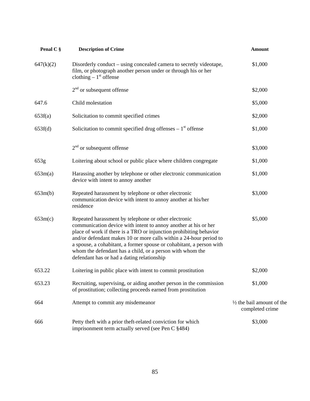| Penal C § | <b>Description of Crime</b>                                                                                                                                                                                                                                                                                                                                                                                                                            | <b>Amount</b>                                           |
|-----------|--------------------------------------------------------------------------------------------------------------------------------------------------------------------------------------------------------------------------------------------------------------------------------------------------------------------------------------------------------------------------------------------------------------------------------------------------------|---------------------------------------------------------|
| 647(k)(2) | Disorderly conduct – using concealed camera to secretly videotape,<br>film, or photograph another person under or through his or her<br>clothing $-1st$ offense                                                                                                                                                                                                                                                                                        | \$1,000                                                 |
|           | $2nd$ or subsequent offense                                                                                                                                                                                                                                                                                                                                                                                                                            | \$2,000                                                 |
| 647.6     | Child molestation                                                                                                                                                                                                                                                                                                                                                                                                                                      | \$5,000                                                 |
| 653f(a)   | Solicitation to commit specified crimes                                                                                                                                                                                                                                                                                                                                                                                                                | \$2,000                                                 |
| 653f(d)   | Solicitation to commit specified drug offenses $-1st$ offense                                                                                                                                                                                                                                                                                                                                                                                          | \$1,000                                                 |
|           | $2nd$ or subsequent offense                                                                                                                                                                                                                                                                                                                                                                                                                            | \$3,000                                                 |
| 653g      | Loitering about school or public place where children congregate                                                                                                                                                                                                                                                                                                                                                                                       | \$1,000                                                 |
| 653m(a)   | Harassing another by telephone or other electronic communication<br>device with intent to annoy another                                                                                                                                                                                                                                                                                                                                                | \$1,000                                                 |
| 653m(b)   | Repeated harassment by telephone or other electronic<br>communication device with intent to annoy another at his/her<br>residence                                                                                                                                                                                                                                                                                                                      | \$3,000                                                 |
| 653m(c)   | Repeated harassment by telephone or other electronic<br>communication device with intent to annoy another at his or her<br>place of work if there is a TRO or injunction prohibiting behavior<br>and/or defendant makes 10 or more calls within a 24-hour period to<br>a spouse, a cohabitant, a former spouse or cohabitant, a person with<br>whom the defendant has a child, or a person with whom the<br>defendant has or had a dating relationship | \$5,000                                                 |
| 653.22    | Loitering in public place with intent to commit prostitution                                                                                                                                                                                                                                                                                                                                                                                           | \$2,000                                                 |
| 653.23    | Recruiting, supervising, or aiding another person in the commission<br>of prostitution; collecting proceeds earned from prostitution                                                                                                                                                                                                                                                                                                                   | \$1,000                                                 |
| 664       | Attempt to commit any misdemeanor                                                                                                                                                                                                                                                                                                                                                                                                                      | $\frac{1}{2}$ the bail amount of the<br>completed crime |
| 666       | Petty theft with a prior theft-related conviction for which<br>imprisonment term actually served (see Pen C §484)                                                                                                                                                                                                                                                                                                                                      | \$3,000                                                 |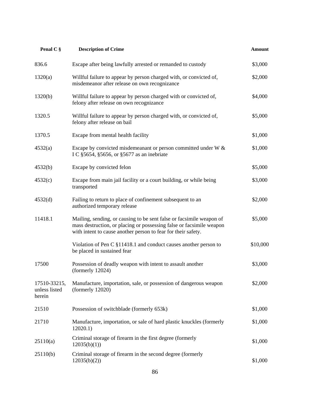| Penal C §                               | <b>Description of Crime</b>                                                                                                                                                                                   | <b>Amount</b> |
|-----------------------------------------|---------------------------------------------------------------------------------------------------------------------------------------------------------------------------------------------------------------|---------------|
| 836.6                                   | Escape after being lawfully arrested or remanded to custody                                                                                                                                                   | \$3,000       |
| 1320(a)                                 | Willful failure to appear by person charged with, or convicted of,<br>misdemeanor after release on own recognizance                                                                                           | \$2,000       |
| 1320(b)                                 | Willful failure to appear by person charged with or convicted of,<br>felony after release on own recognizance                                                                                                 |               |
| 1320.5                                  | Willful failure to appear by person charged with, or convicted of,<br>felony after release on bail                                                                                                            | \$5,000       |
| 1370.5                                  | Escape from mental health facility                                                                                                                                                                            | \$1,000       |
| 4532(a)                                 | Escape by convicted misdemeanant or person committed under W &<br>I C §5654, §5656, or §5677 as an inebriate                                                                                                  | \$1,000       |
| 4532(b)                                 | Escape by convicted felon                                                                                                                                                                                     | \$5,000       |
| 4532(c)                                 | Escape from main jail facility or a court building, or while being<br>transported                                                                                                                             | \$3,000       |
| 4532(d)                                 | Failing to return to place of confinement subsequent to an<br>authorized temporary release                                                                                                                    | \$2,000       |
| 11418.1                                 | Mailing, sending, or causing to be sent false or facsimile weapon of<br>mass destruction, or placing or possessing false or facsimile weapon<br>with intent to cause another person to fear for their safety. | \$5,000       |
|                                         | Violation of Pen C §11418.1 and conduct causes another person to<br>be placed in sustained fear                                                                                                               | \$10,000      |
| 17500                                   | Possession of deadly weapon with intent to assault another<br>(formerly 12024)                                                                                                                                | \$3,000       |
| 17510-33215,<br>unless listed<br>herein | Manufacture, importation, sale, or possession of dangerous weapon<br>(formerly $12020$ )                                                                                                                      | \$2,000       |
| 21510                                   | Possession of switchblade (formerly 653k)                                                                                                                                                                     | \$1,000       |
| 21710                                   | Manufacture, importation, or sale of hard plastic knuckles (formerly<br>12020.1)                                                                                                                              | \$1,000       |
| 25110(a)                                | Criminal storage of firearm in the first degree (formerly<br>12035(b)(1)                                                                                                                                      | \$1,000       |
| 25110(b)                                | Criminal storage of firearm in the second degree (formerly<br>12035(b)(2)                                                                                                                                     | \$1,000       |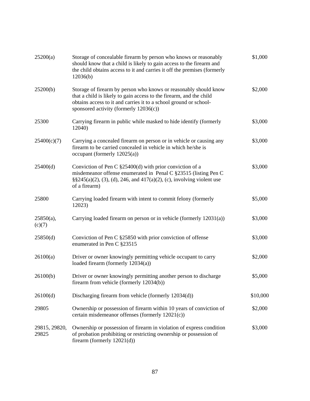| 25200(a)               | Storage of concealable firearm by person who knows or reasonably<br>should know that a child is likely to gain access to the firearm and<br>the child obtains access to it and carries it off the premises (formerly<br>12036(b)                       |          |
|------------------------|--------------------------------------------------------------------------------------------------------------------------------------------------------------------------------------------------------------------------------------------------------|----------|
| 25200(b)               | Storage of firearm by person who knows or reasonably should know<br>that a child is likely to gain access to the firearm, and the child<br>obtains access to it and carries it to a school ground or school-<br>sponsored activity (formerly 12036(c)) | \$2,000  |
| 25300                  | Carrying firearm in public while masked to hide identify (formerly<br>12040)                                                                                                                                                                           | \$3,000  |
| 25400(c)(7)            | Carrying a concealed firearm on person or in vehicle or causing any<br>firearm to be carried concealed in vehicle in which he/she is<br>occupant (formerly $12025(a)$ )                                                                                | \$3,000  |
| 25400(d)               | Conviction of Pen C $\S 25400(d)$ with prior conviction of a<br>misdemeanor offense enumerated in Penal C §23515 (listing Pen C<br>$\S$ \$245(a)(2), (3), (d), 246, and 417(a)(2), (c), involving violent use<br>of a firearm)                         | \$3,000  |
| 25800                  | Carrying loaded firearm with intent to commit felony (formerly<br>12023)                                                                                                                                                                               | \$5,000  |
| $25850(a)$ ,<br>(c)(7) | Carrying loaded firearm on person or in vehicle (formerly 12031(a))                                                                                                                                                                                    | \$3,000  |
| 25850(d)               | Conviction of Pen C §25850 with prior conviction of offense<br>enumerated in Pen C §23515                                                                                                                                                              | \$3,000  |
| 26100(a)               | Driver or owner knowingly permitting vehicle occupant to carry<br>loaded firearm (formerly 12034(a))                                                                                                                                                   | \$2,000  |
| 26100(b)               | Driver or owner knowingly permitting another person to discharge<br>firearm from vehicle (formerly $12034(b)$ )                                                                                                                                        | \$5,000  |
| 26100(d)               | Discharging firearm from vehicle (formerly 12034(d))                                                                                                                                                                                                   | \$10,000 |
| 29805                  | Ownership or possession of firearm within 10 years of conviction of<br>certain misdemeanor offenses (formerly 12021(c))                                                                                                                                | \$2,000  |
| 29815, 29820,<br>29825 | Ownership or possession of firearm in violation of express condition<br>of probation prohibiting or restricting ownership or possession of<br>firearm (formerly $12021(d)$ )                                                                           | \$3,000  |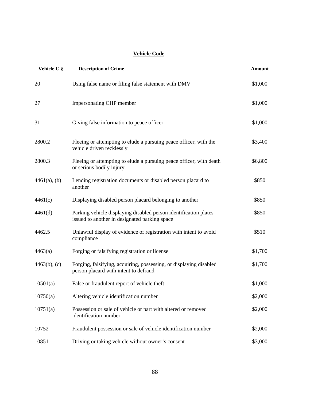# **Vehicle Code**

| Vehicle C §     | <b>Description of Crime</b>                                                                                       | <b>Amount</b> |
|-----------------|-------------------------------------------------------------------------------------------------------------------|---------------|
| 20              | Using false name or filing false statement with DMV                                                               | \$1,000       |
| 27              | <b>Impersonating CHP member</b>                                                                                   | \$1,000       |
| 31              | Giving false information to peace officer                                                                         | \$1,000       |
| 2800.2          | Fleeing or attempting to elude a pursuing peace officer, with the<br>vehicle driven recklessly                    | \$3,400       |
| 2800.3          | Fleeing or attempting to elude a pursuing peace officer, with death<br>or serious bodily injury                   | \$6,800       |
| $4461(a)$ , (b) | Lending registration documents or disabled person placard to<br>another                                           | \$850         |
| 4461(c)         | Displaying disabled person placard belonging to another                                                           | \$850         |
| 4461(d)         | Parking vehicle displaying disabled person identification plates<br>issued to another in designated parking space | \$850         |
| 4462.5          | Unlawful display of evidence of registration with intent to avoid<br>compliance                                   | \$510         |
| 4463(a)         | Forging or falsifying registration or license                                                                     | \$1,700       |
| $4463(b)$ , (c) | Forging, falsifying, acquiring, possessing, or displaying disabled<br>person placard with intent to defraud       | \$1,700       |
| 10501(a)        | False or fraudulent report of vehicle theft                                                                       | \$1,000       |
| 10750(a)        | Altering vehicle identification number                                                                            | \$2,000       |
| 10751(a)        | Possession or sale of vehicle or part with altered or removed<br>identification number                            | \$2,000       |
| 10752           | Fraudulent possession or sale of vehicle identification number                                                    | \$2,000       |
| 10851           | Driving or taking vehicle without owner's consent                                                                 | \$3,000       |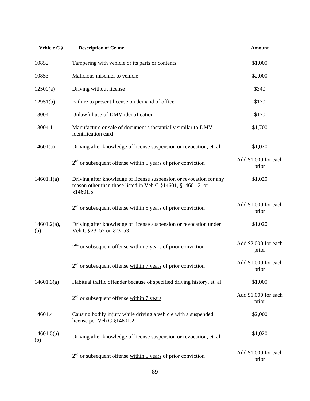| Vehicle C §           | <b>Description of Crime</b>                                                                                                                     | <b>Amount</b>                 |
|-----------------------|-------------------------------------------------------------------------------------------------------------------------------------------------|-------------------------------|
| 10852                 | Tampering with vehicle or its parts or contents                                                                                                 | \$1,000                       |
| 10853                 | Malicious mischief to vehicle                                                                                                                   | \$2,000                       |
| 12500(a)              | Driving without license                                                                                                                         | \$340                         |
| 12951(b)              | Failure to present license on demand of officer                                                                                                 | \$170                         |
| 13004                 | Unlawful use of DMV identification                                                                                                              | \$170                         |
| 13004.1               | Manufacture or sale of document substantially similar to DMV<br>identification card                                                             | \$1,700                       |
| 14601(a)              | Driving after knowledge of license suspension or revocation, et. al.                                                                            | \$1,020                       |
|                       | $2nd$ or subsequent offense within 5 years of prior conviction                                                                                  | Add \$1,000 for each<br>prior |
| 14601.1(a)            | Driving after knowledge of license suspension or revocation for any<br>reason other than those listed in Veh C §14601, §14601.2, or<br>§14601.5 | \$1,020                       |
|                       | $2nd$ or subsequent offense within 5 years of prior conviction                                                                                  | Add \$1,000 for each<br>prior |
| $14601.2(a)$ ,<br>(b) | Driving after knowledge of license suspension or revocation under<br>Veh C §23152 or §23153                                                     | \$1,020                       |
|                       | $2nd$ or subsequent offense within 5 years of prior conviction                                                                                  | Add \$2,000 for each<br>prior |
|                       | $2nd$ or subsequent offense within 7 years of prior conviction                                                                                  | Add \$1,000 for each<br>prior |
| 14601.3(a)            | Habitual traffic offender because of specified driving history, et. al.                                                                         | \$1,000                       |
|                       | $2nd$ or subsequent offense within 7 years                                                                                                      | Add \$1,000 for each<br>prior |
| 14601.4               | Causing bodily injury while driving a vehicle with a suspended<br>license per Veh C §14601.2                                                    | \$2,000                       |
| $14601.5(a)$ -<br>(b) | Driving after knowledge of license suspension or revocation, et. al.                                                                            | \$1,020                       |
|                       | $2nd$ or subsequent offense within 5 years of prior conviction                                                                                  | Add \$1,000 for each<br>prior |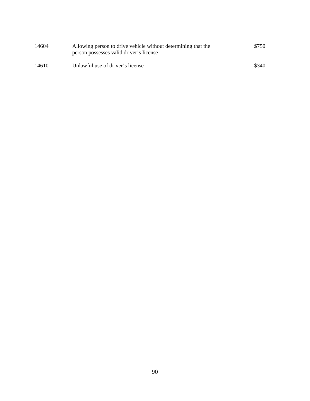| 14604 | Allowing person to drive vehicle without determining that the<br>person possesses valid driver's license | \$750 |
|-------|----------------------------------------------------------------------------------------------------------|-------|
| 14610 | Unlawful use of driver's license                                                                         | \$340 |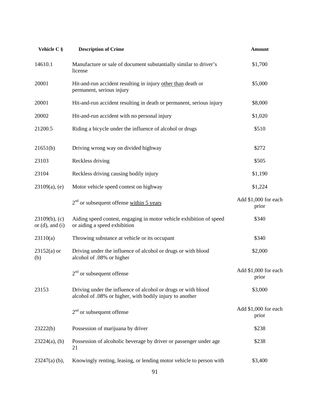| Vehicle C §                              | <b>Description of Crime</b>                                                                                               | <b>Amount</b>                 |
|------------------------------------------|---------------------------------------------------------------------------------------------------------------------------|-------------------------------|
| 14610.1                                  | Manufacture or sale of document substantially similar to driver's<br>license                                              | \$1,700                       |
| 20001                                    | Hit-and-run accident resulting in injury other than death or<br>permanent, serious injury                                 | \$5,000                       |
| 20001                                    | Hit-and-run accident resulting in death or permanent, serious injury                                                      | \$8,000                       |
| 20002                                    | Hit-and-run accident with no personal injury                                                                              | \$1,020                       |
| 21200.5                                  | Riding a bicycle under the influence of alcohol or drugs                                                                  | \$510                         |
| 21651(b)                                 | Driving wrong way on divided highway                                                                                      | \$272                         |
| 23103                                    | Reckless driving                                                                                                          | \$505                         |
| 23104                                    | Reckless driving causing bodily injury                                                                                    | \$1,190                       |
| $23109(a)$ , (e)                         | Motor vehicle speed contest on highway                                                                                    | \$1,224                       |
|                                          | $2nd$ or subsequent offense within 5 years                                                                                | Add \$1,000 for each<br>prior |
| $23109(b)$ , (c)<br>or $(d)$ , and $(i)$ | Aiding speed contest, engaging in motor vehicle exhibition of speed<br>or aiding a speed exhibition                       | \$340                         |
| 23110(a)                                 | Throwing substance at vehicle or its occupant                                                                             | \$340                         |
| $23152(a)$ or<br>(b)                     | Driving under the influence of alcohol or drugs or with blood<br>alcohol of .08% or higher                                | \$2,000                       |
|                                          | $2nd$ or subsequent offense                                                                                               | Add \$1,000 for each<br>prior |
| 23153                                    | Driving under the influence of alcohol or drugs or with blood<br>alcohol of .08% or higher, with bodily injury to another | \$3,000                       |
|                                          | $2nd$ or subsequent offense                                                                                               | Add \$1,000 for each<br>prior |
| 23222(b)                                 | Possession of marijuana by driver                                                                                         | \$238                         |
| $23224(a)$ , (b)                         | Possession of alcoholic beverage by driver or passenger under age<br>21                                                   | \$238                         |
| $23247(a)$ (b),                          | Knowingly renting, leasing, or lending motor vehicle to person with                                                       | \$3,400                       |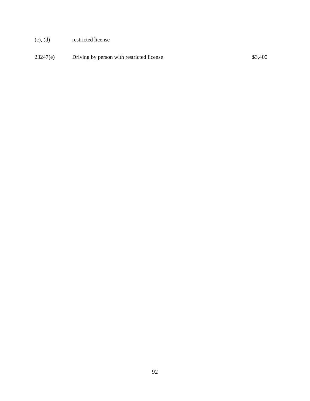- (c), (d) restricted license
- 23247(e) Driving by person with restricted license \$3,400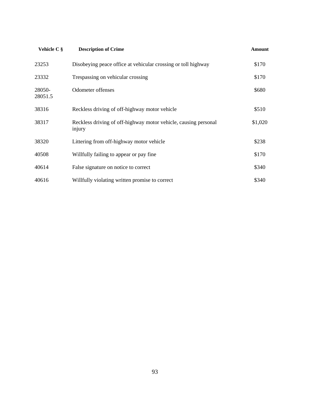| Vehicle C §       | <b>Description of Crime</b>                                               | Amount  |
|-------------------|---------------------------------------------------------------------------|---------|
| 23253             | Disobeying peace office at vehicular crossing or toll highway             | \$170   |
| 23332             | Trespassing on vehicular crossing                                         | \$170   |
| 28050-<br>28051.5 | Odometer offenses                                                         | \$680   |
| 38316             | Reckless driving of off-highway motor vehicle                             | \$510   |
| 38317             | Reckless driving of off-highway motor vehicle, causing personal<br>injury | \$1,020 |
| 38320             | Littering from off-highway motor vehicle                                  | \$238   |
| 40508             | Willfully failing to appear or pay fine                                   | \$170   |
| 40614             | False signature on notice to correct                                      | \$340   |
| 40616             | Willfully violating written promise to correct                            | \$340   |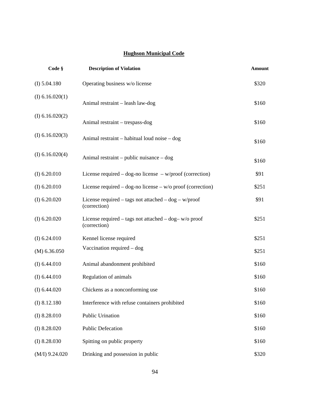### **Hughson Municipal Code**

| Code §          | <b>Description of Violation</b>                                           | <b>Amount</b> |
|-----------------|---------------------------------------------------------------------------|---------------|
| (I) 5.04.180    | Operating business w/o license                                            | \$320         |
| (I) 6.16.020(1) | Animal restraint - leash law-dog                                          | \$160         |
| (I) 6.16.020(2) | Animal restraint - trespass-dog                                           | \$160         |
| (I) 6.16.020(3) | Animal restraint – habitual loud noise – dog                              | \$160         |
| (I) 6.16.020(4) | Animal restraint – public nuisance – dog                                  | \$160         |
| (I) 6.20.010    | License required – dog-no license – $w/proof$ (correction)                | \$91          |
| (I) 6.20.010    | License required – dog-no license – $w/o$ proof (correction)              | \$251         |
| (I) 6.20.020    | License required – tags not attached – $dog - w/proof$<br>(correction)    | \$91          |
| (I) 6.20.020    | License required – tags not attached – $\log$ – w/o proof<br>(correction) | \$251         |
| (I) 6.24.010    | Kennel license required                                                   | \$251         |
| (M) 6.36.050    | Vaccination required $-\text{dog}$                                        | \$251         |
| (I) 6.44.010    | Animal abandonment prohibited                                             | \$160         |
| (I) 6.44.010    | Regulation of animals                                                     | \$160         |
| (I) 6.44.020    | Chickens as a nonconforming use                                           | \$160         |
| (I) 8.12.180    | Interference with refuse containers prohibited                            | \$160         |
| (I) 8.28.010    | Public Urination                                                          | \$160         |
| (I) 8.28.020    | <b>Public Defecation</b>                                                  | \$160         |
| (I) 8.28.030    | Spitting on public property                                               | \$160         |
| (M/I) 9.24.020  | Drinking and possession in public                                         | \$320         |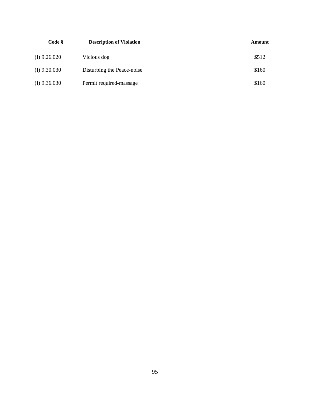| Code §         | <b>Description of Violation</b> | Amount |
|----------------|---------------------------------|--------|
| $(I)$ 9.26.020 | Vicious dog                     | \$512  |
| $(I)$ 9.30.030 | Disturbing the Peace-noise      | \$160  |
| $(I)$ 9.36.030 | Permit required-massage         | \$160  |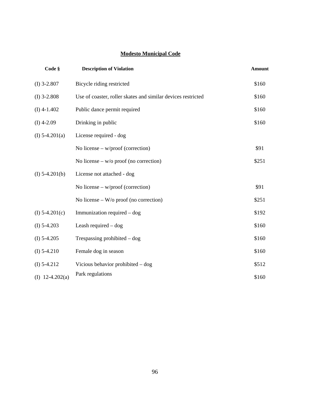### **Modesto Municipal Code**

| Code §            | <b>Description of Violation</b>                              | <b>Amount</b> |
|-------------------|--------------------------------------------------------------|---------------|
| $(I)$ 3-2.807     | Bicycle riding restricted                                    | \$160         |
| $(I)$ 3-2.808     | Use of coaster, roller skates and similar devices restricted | \$160         |
| $(I)$ 4-1.402     | Public dance permit required                                 | \$160         |
| $(I)$ 4-2.09      | Drinking in public                                           | \$160         |
| (I) $5-4.201(a)$  | License required - dog                                       |               |
|                   | No license – $w/proof$ (correction)                          | \$91          |
|                   | No license – $w/o$ proof (no correction)                     | \$251         |
| $(I)$ 5-4.201(b)  | License not attached - dog                                   |               |
|                   | No license – $w/proof$ (correction)                          | \$91          |
|                   | No license – $W$ /o proof (no correction)                    | \$251         |
| (I) $5-4.201(c)$  | Immunization required - dog                                  | \$192         |
| $(I)$ 5-4.203     | Leash required - dog                                         | \$160         |
| $(I)$ 5-4.205     | Trespassing prohibited $-\text{dog}$                         | \$160         |
| $(I)$ 5-4.210     | Female dog in season                                         | \$160         |
| $(I)$ 5-4.212     | Vicious behavior prohibited – dog                            | \$512         |
| (I) $12-4.202(a)$ | Park regulations                                             | \$160         |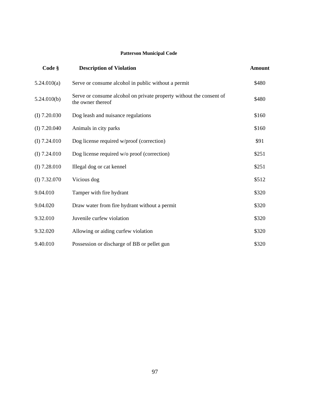#### **Patterson Municipal Code**

| Code §         | <b>Description of Violation</b>                                                          | <b>Amount</b> |
|----------------|------------------------------------------------------------------------------------------|---------------|
| 5.24.010(a)    | Serve or consume alcohol in public without a permit                                      | \$480         |
| 5.24.010(b)    | Serve or consume alcohol on private property without the consent of<br>the owner thereof | \$480         |
| $(I)$ 7.20.030 | Dog leash and nuisance regulations                                                       | \$160         |
| $(I)$ 7.20.040 | Animals in city parks                                                                    | \$160         |
| (I) $7.24.010$ | Dog license required w/proof (correction)                                                | \$91          |
| (I) $7.24.010$ | Dog license required w/o proof (correction)                                              | \$251         |
| $(I)$ 7.28.010 | Illegal dog or cat kennel                                                                | \$251         |
| (I) 7.32.070   | Vicious dog                                                                              | \$512         |
| 9.04.010       | Tamper with fire hydrant                                                                 | \$320         |
| 9.04.020       | Draw water from fire hydrant without a permit                                            | \$320         |
| 9.32.010       | Juvenile curfew violation                                                                | \$320         |
| 9.32.020       | Allowing or aiding curfew violation                                                      | \$320         |
| 9.40.010       | Possession or discharge of BB or pellet gun                                              | \$320         |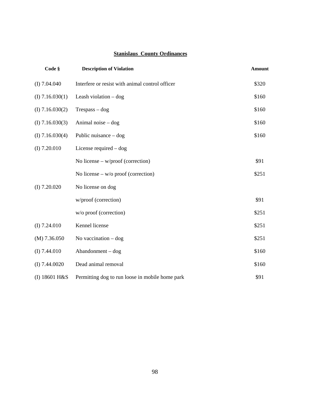# **Stanislaus County Ordinances**

| Code §          | <b>Description of Violation</b>                 | <b>Amount</b> |
|-----------------|-------------------------------------------------|---------------|
| (I) 7.04.040    | Interfere or resist with animal control officer | \$320         |
| (I) 7.16.030(1) | Leash violation $-\text{dog}$                   | \$160         |
| (I) 7.16.030(2) | $T$ respass – dog                               | \$160         |
| (I) 7.16.030(3) | Animal noise $-\text{dog}$                      | \$160         |
| (I) 7.16.030(4) | Public nuisance $-\text{dog}$                   | \$160         |
| (I) 7.20.010    | License required $-\text{dog}$                  |               |
|                 | No license $-w$ /proof (correction)             | \$91          |
|                 | No license – $w/o$ proof (correction)           | \$251         |
| $(I)$ 7.20.020  | No license on dog                               |               |
|                 | w/proof (correction)                            | \$91          |
|                 | w/o proof (correction)                          | \$251         |
| (I) 7.24.010    | Kennel license                                  | \$251         |
| $(M)$ 7.36.050  | No vaccination $-\text{dog}$                    | \$251         |
| (I) 7.44.010    | Abandonment - dog                               | \$160         |
| (I) 7.44.0020   | Dead animal removal                             | \$160         |
| (I) 18601 H&S   | Permitting dog to run loose in mobile home park | \$91          |